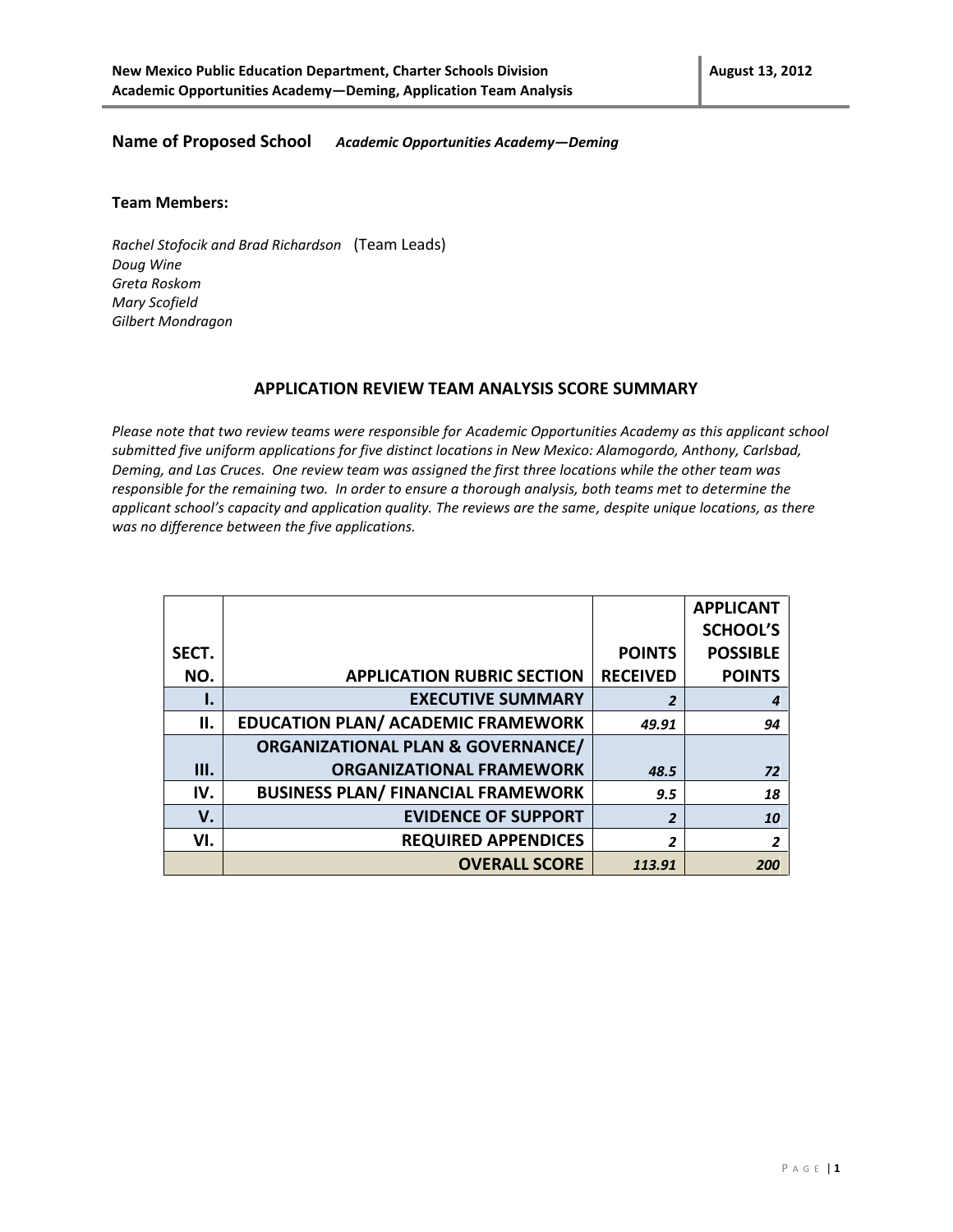#### **Name of Proposed School** *Academic Opportunities Academy—Deming*

#### **Team Members:**

*Rachel Stofocik and Brad Richardson* (Team Leads) *Doug Wine Greta Roskom Mary Scofield Gilbert Mondragon*

#### **APPLICATION REVIEW TEAM ANALYSIS SCORE SUMMARY**

*Please note that two review teams were responsible for Academic Opportunities Academy as this applicant school submitted five uniform applications for five distinct locations in New Mexico: Alamogordo, Anthony, Carlsbad, Deming, and Las Cruces. One review team was assigned the first three locations while the other team was responsible for the remaining two. In order to ensure a thorough analysis, both teams met to determine the applicant school's capacity and application quality. The reviews are the same, despite unique locations, as there was no difference between the five applications.*

|       |                                              |                 | <b>APPLICANT</b> |
|-------|----------------------------------------------|-----------------|------------------|
|       |                                              |                 | <b>SCHOOL'S</b>  |
| SECT. |                                              | <b>POINTS</b>   | <b>POSSIBLE</b>  |
| NO.   | <b>APPLICATION RUBRIC SECTION</b>            | <b>RECEIVED</b> | <b>POINTS</b>    |
| ı.    | <b>EXECUTIVE SUMMARY</b>                     | $\overline{2}$  | 4                |
| ΙΙ.   | <b>EDUCATION PLAN/ ACADEMIC FRAMEWORK</b>    | 49.91           | 94               |
|       | <b>ORGANIZATIONAL PLAN &amp; GOVERNANCE/</b> |                 |                  |
| Ш.    | <b>ORGANIZATIONAL FRAMEWORK</b>              | 48.5            | 72               |
| IV.   | <b>BUSINESS PLAN/ FINANCIAL FRAMEWORK</b>    | 9.5             | 18               |
| V.    | <b>EVIDENCE OF SUPPORT</b>                   | $\overline{2}$  | 10               |
| VI.   | <b>REQUIRED APPENDICES</b>                   | 2               | 2                |
|       | <b>OVERALL SCORE</b>                         | 113.91          | 200              |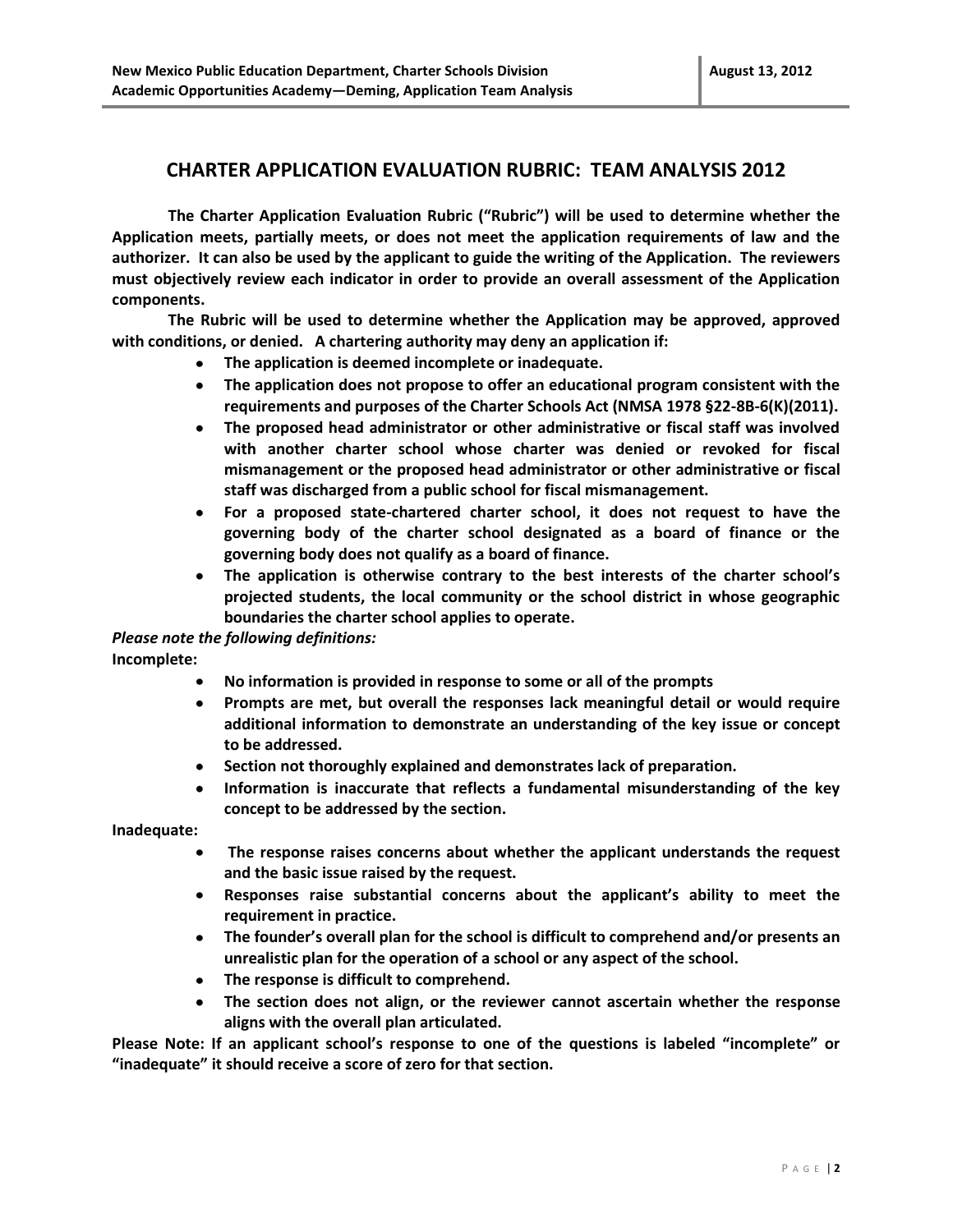#### **CHARTER APPLICATION EVALUATION RUBRIC: TEAM ANALYSIS 2012**

**The Charter Application Evaluation Rubric ("Rubric") will be used to determine whether the Application meets, partially meets, or does not meet the application requirements of law and the authorizer. It can also be used by the applicant to guide the writing of the Application. The reviewers must objectively review each indicator in order to provide an overall assessment of the Application components.** 

**The Rubric will be used to determine whether the Application may be approved, approved with conditions, or denied. A chartering authority may deny an application if:** 

- **The application is deemed incomplete or inadequate.**
- **The application does not propose to offer an educational program consistent with the requirements and purposes of the Charter Schools Act (NMSA 1978 §22-8B-6(K)(2011).**
- **The proposed head administrator or other administrative or fiscal staff was involved with another charter school whose charter was denied or revoked for fiscal mismanagement or the proposed head administrator or other administrative or fiscal staff was discharged from a public school for fiscal mismanagement.**
- **For a proposed state-chartered charter school, it does not request to have the**   $\bullet$ **governing body of the charter school designated as a board of finance or the governing body does not qualify as a board of finance.**
- $\bullet$ **The application is otherwise contrary to the best interests of the charter school's projected students, the local community or the school district in whose geographic boundaries the charter school applies to operate.**

#### *Please note the following definitions:*

**Incomplete:** 

- **No information is provided in response to some or all of the prompts**
- **Prompts are met, but overall the responses lack meaningful detail or would require**   $\bullet$ **additional information to demonstrate an understanding of the key issue or concept to be addressed.**
- $\bullet$ **Section not thoroughly explained and demonstrates lack of preparation.**
- **Information is inaccurate that reflects a fundamental misunderstanding of the key concept to be addressed by the section.**

**Inadequate:** 

- **The response raises concerns about whether the applicant understands the request**   $\bullet$ **and the basic issue raised by the request.**
- $\bullet$ **Responses raise substantial concerns about the applicant's ability to meet the requirement in practice.**
- **The founder's overall plan for the school is difficult to comprehend and/or presents an unrealistic plan for the operation of a school or any aspect of the school.**
- **The response is difficult to comprehend.**
- **The section does not align, or the reviewer cannot ascertain whether the response aligns with the overall plan articulated.**

**Please Note: If an applicant school's response to one of the questions is labeled "incomplete" or "inadequate" it should receive a score of zero for that section.**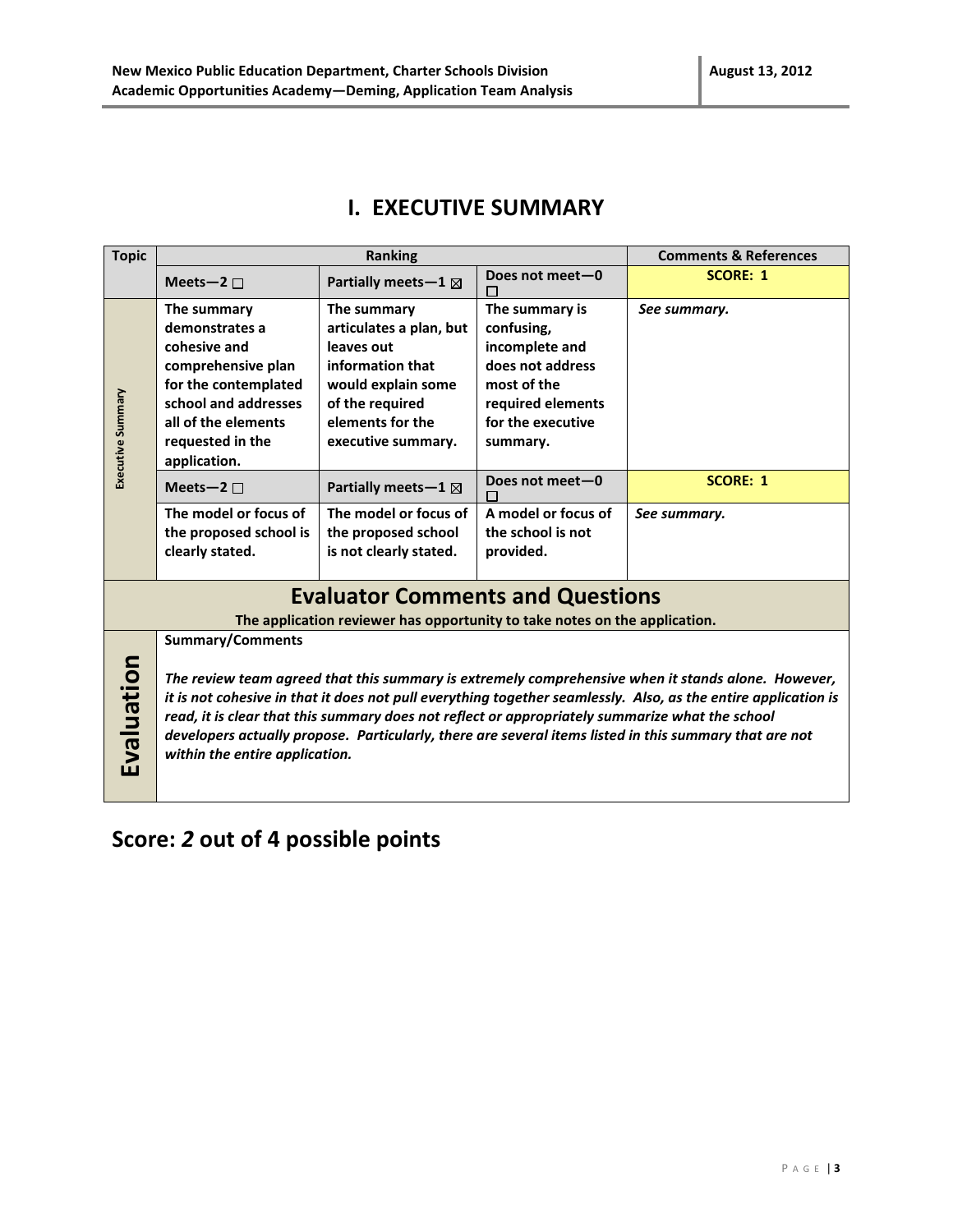### **I. EXECUTIVE SUMMARY**

| <b>Topic</b>                                                                                           | <b>Ranking</b>                                                                                                                                                                                                                  |                                                                            | <b>Comments &amp; References</b> |                 |  |
|--------------------------------------------------------------------------------------------------------|---------------------------------------------------------------------------------------------------------------------------------------------------------------------------------------------------------------------------------|----------------------------------------------------------------------------|----------------------------------|-----------------|--|
|                                                                                                        | Meets-2 $\square$                                                                                                                                                                                                               | Partially meets-1 $\boxtimes$                                              | Does not meet-0                  | <b>SCORE: 1</b> |  |
|                                                                                                        | The summary                                                                                                                                                                                                                     | The summary                                                                | The summary is                   | See summary.    |  |
|                                                                                                        | demonstrates a                                                                                                                                                                                                                  | articulates a plan, but                                                    | confusing,                       |                 |  |
|                                                                                                        | cohesive and                                                                                                                                                                                                                    | leaves out                                                                 | incomplete and                   |                 |  |
|                                                                                                        | comprehensive plan                                                                                                                                                                                                              | information that                                                           | does not address                 |                 |  |
|                                                                                                        | for the contemplated                                                                                                                                                                                                            | would explain some                                                         | most of the                      |                 |  |
|                                                                                                        | school and addresses                                                                                                                                                                                                            | of the required                                                            | required elements                |                 |  |
|                                                                                                        | all of the elements                                                                                                                                                                                                             | elements for the                                                           | for the executive                |                 |  |
|                                                                                                        | requested in the                                                                                                                                                                                                                | executive summary.                                                         | summary.                         |                 |  |
| Executive Summary                                                                                      | application.                                                                                                                                                                                                                    |                                                                            |                                  |                 |  |
|                                                                                                        | Meets-2 $\square$                                                                                                                                                                                                               | Partially meets-1 $\boxtimes$                                              | Does not meet-0                  | <b>SCORE: 1</b> |  |
|                                                                                                        | The model or focus of                                                                                                                                                                                                           | The model or focus of                                                      | A model or focus of              | See summary.    |  |
|                                                                                                        | the proposed school is                                                                                                                                                                                                          | the proposed school                                                        | the school is not                |                 |  |
|                                                                                                        | clearly stated.                                                                                                                                                                                                                 | is not clearly stated.                                                     | provided.                        |                 |  |
|                                                                                                        |                                                                                                                                                                                                                                 |                                                                            |                                  |                 |  |
|                                                                                                        |                                                                                                                                                                                                                                 | <b>Evaluator Comments and Questions</b>                                    |                                  |                 |  |
|                                                                                                        |                                                                                                                                                                                                                                 | The application reviewer has opportunity to take notes on the application. |                                  |                 |  |
|                                                                                                        | <b>Summary/Comments</b>                                                                                                                                                                                                         |                                                                            |                                  |                 |  |
|                                                                                                        |                                                                                                                                                                                                                                 |                                                                            |                                  |                 |  |
|                                                                                                        | The review team agreed that this summary is extremely comprehensive when it stands alone. However,                                                                                                                              |                                                                            |                                  |                 |  |
|                                                                                                        | Evaluation<br>it is not cohesive in that it does not pull everything together seamlessly. Also, as the entire application is<br>read, it is clear that this summary does not reflect or appropriately summarize what the school |                                                                            |                                  |                 |  |
|                                                                                                        |                                                                                                                                                                                                                                 |                                                                            |                                  |                 |  |
| developers actually propose. Particularly, there are several items listed in this summary that are not |                                                                                                                                                                                                                                 |                                                                            |                                  |                 |  |
|                                                                                                        | within the entire application.                                                                                                                                                                                                  |                                                                            |                                  |                 |  |
|                                                                                                        |                                                                                                                                                                                                                                 |                                                                            |                                  |                 |  |
|                                                                                                        |                                                                                                                                                                                                                                 |                                                                            |                                  |                 |  |

## **Score:** *2* **out of 4 possible points**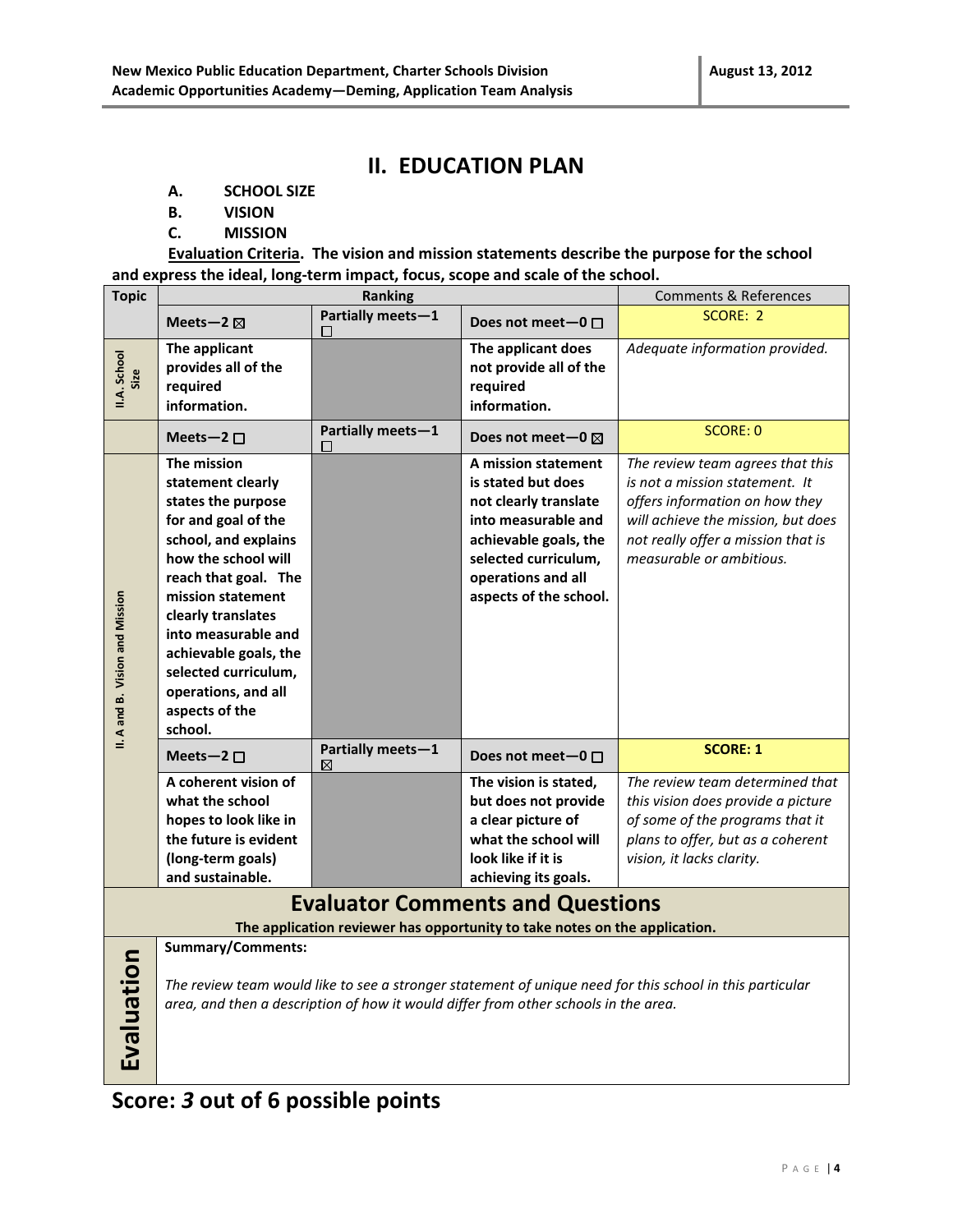### **II. EDUCATION PLAN**

- **A. SCHOOL SIZE**
- **B. VISION**
- **C. MISSION**

**Evaluation Criteria. The vision and mission statements describe the purpose for the school and express the ideal, long-term impact, focus, scope and scale of the school.**

| <b>Topic</b>                    | <b>Ranking</b>        |                             | <b>Comments &amp; References</b>                                                    |                                                                                                          |
|---------------------------------|-----------------------|-----------------------------|-------------------------------------------------------------------------------------|----------------------------------------------------------------------------------------------------------|
|                                 | Meets-2 $\boxtimes$   | Partially meets-1<br>⊔      | Does not meet-0 $\Box$                                                              | SCORE: 2                                                                                                 |
|                                 | The applicant         |                             | The applicant does                                                                  | Adequate information provided.                                                                           |
| Size                            | provides all of the   |                             | not provide all of the                                                              |                                                                                                          |
| II.A. School                    | required              |                             | required                                                                            |                                                                                                          |
|                                 | information.          |                             | information.                                                                        |                                                                                                          |
|                                 | Meets-2 $\square$     | Partially meets-1<br>$\Box$ | Does not meet $-0 \boxtimes$                                                        | <b>SCORE: 0</b>                                                                                          |
|                                 | The mission           |                             | A mission statement                                                                 | The review team agrees that this                                                                         |
|                                 | statement clearly     |                             | is stated but does                                                                  | is not a mission statement. It                                                                           |
|                                 | states the purpose    |                             | not clearly translate                                                               | offers information on how they                                                                           |
|                                 | for and goal of the   |                             | into measurable and                                                                 | will achieve the mission, but does                                                                       |
|                                 | school, and explains  |                             | achievable goals, the                                                               | not really offer a mission that is                                                                       |
|                                 | how the school will   |                             | selected curriculum,                                                                | measurable or ambitious.                                                                                 |
|                                 | reach that goal. The  |                             | operations and all                                                                  |                                                                                                          |
|                                 | mission statement     |                             | aspects of the school.                                                              |                                                                                                          |
|                                 | clearly translates    |                             |                                                                                     |                                                                                                          |
|                                 | into measurable and   |                             |                                                                                     |                                                                                                          |
|                                 | achievable goals, the |                             |                                                                                     |                                                                                                          |
|                                 | selected curriculum,  |                             |                                                                                     |                                                                                                          |
|                                 | operations, and all   |                             |                                                                                     |                                                                                                          |
|                                 | aspects of the        |                             |                                                                                     |                                                                                                          |
| II. A and B. Vision and Mission | school.               |                             |                                                                                     |                                                                                                          |
|                                 | Meets-2 $\square$     | Partially meets-1<br>⊠      | Does not meet-0 $\Box$                                                              | <b>SCORE: 1</b>                                                                                          |
|                                 | A coherent vision of  |                             | The vision is stated,                                                               | The review team determined that                                                                          |
|                                 | what the school       |                             | but does not provide                                                                | this vision does provide a picture                                                                       |
|                                 | hopes to look like in |                             | a clear picture of                                                                  | of some of the programs that it                                                                          |
|                                 | the future is evident |                             | what the school will                                                                | plans to offer, but as a coherent                                                                        |
|                                 | (long-term goals)     |                             | look like if it is                                                                  | vision, it lacks clarity.                                                                                |
|                                 | and sustainable.      |                             | achieving its goals.                                                                |                                                                                                          |
|                                 |                       |                             | <b>Evaluator Comments and Questions</b>                                             |                                                                                                          |
|                                 |                       |                             | The application reviewer has opportunity to take notes on the application.          |                                                                                                          |
|                                 | Summary/Comments:     |                             |                                                                                     |                                                                                                          |
| Evaluation                      |                       |                             |                                                                                     |                                                                                                          |
|                                 |                       |                             |                                                                                     | The review team would like to see a stronger statement of unique need for this school in this particular |
|                                 |                       |                             | area, and then a description of how it would differ from other schools in the area. |                                                                                                          |
|                                 |                       |                             |                                                                                     |                                                                                                          |
|                                 |                       |                             |                                                                                     |                                                                                                          |
|                                 |                       |                             |                                                                                     |                                                                                                          |
|                                 |                       |                             |                                                                                     |                                                                                                          |

**Score:** *3* **out of 6 possible points**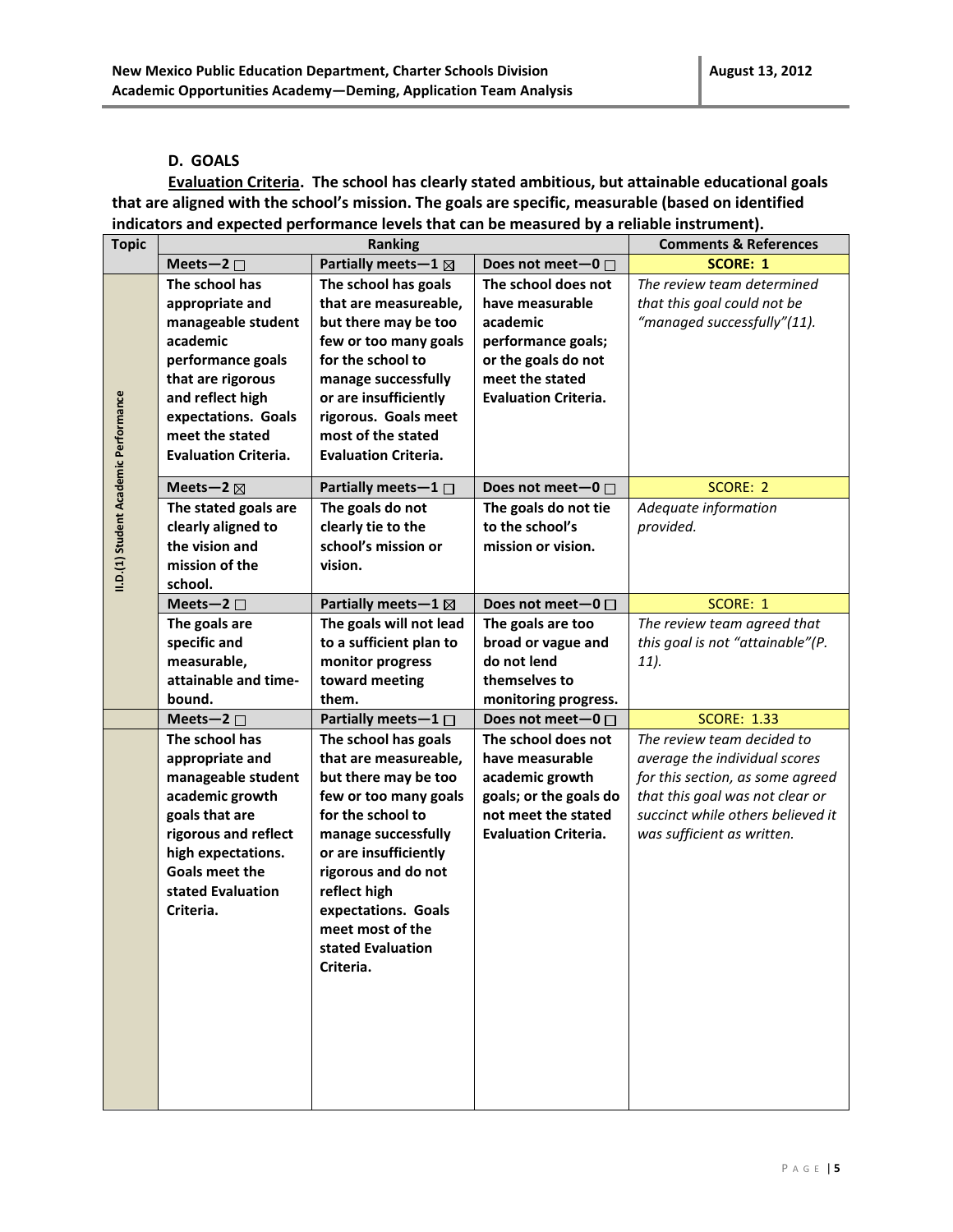#### **D. GOALS**

**Evaluation Criteria. The school has clearly stated ambitious, but attainable educational goals that are aligned with the school's mission. The goals are specific, measurable (based on identified indicators and expected performance levels that can be measured by a reliable instrument).** 

| <b>Topic</b>                          | Ranking                     |                                  | <b>Comments &amp; References</b> |                                   |
|---------------------------------------|-----------------------------|----------------------------------|----------------------------------|-----------------------------------|
|                                       | Meets-2 $\square$           | Partially meets $-1$ $\boxtimes$ | Does not meet-0 □                | <b>SCORE: 1</b>                   |
|                                       | The school has              | The school has goals             | The school does not              | The review team determined        |
|                                       | appropriate and             | that are measureable,            | have measurable                  | that this goal could not be       |
|                                       | manageable student          | but there may be too             | academic                         | "managed successfully"(11).       |
|                                       | academic                    | few or too many goals            | performance goals;               |                                   |
|                                       | performance goals           | for the school to                | or the goals do not              |                                   |
|                                       | that are rigorous           | manage successfully              | meet the stated                  |                                   |
|                                       | and reflect high            | or are insufficiently            | <b>Evaluation Criteria.</b>      |                                   |
|                                       | expectations. Goals         | rigorous. Goals meet             |                                  |                                   |
|                                       | meet the stated             | most of the stated               |                                  |                                   |
|                                       | <b>Evaluation Criteria.</b> | <b>Evaluation Criteria.</b>      |                                  |                                   |
| II.D.(1) Student Academic Performance |                             |                                  |                                  |                                   |
|                                       | Meets-2 $\boxtimes$         | Partially meets $-1$ $\Box$      | Does not meet-0 $\Box$           | SCORE: 2                          |
|                                       | The stated goals are        | The goals do not                 | The goals do not tie             | Adequate information              |
|                                       | clearly aligned to          | clearly tie to the               | to the school's                  | provided.                         |
|                                       | the vision and              | school's mission or              | mission or vision.               |                                   |
|                                       | mission of the              | vision.                          |                                  |                                   |
|                                       | school.                     |                                  |                                  |                                   |
|                                       | Meets-2 $\square$           | Partially meets $-1$ $\boxtimes$ | Does not meet-0 $\Box$           | SCORE: 1                          |
|                                       | The goals are               | The goals will not lead          | The goals are too                | The review team agreed that       |
|                                       | specific and                | to a sufficient plan to          | broad or vague and               | this goal is not "attainable"(P.  |
|                                       | measurable,                 | monitor progress                 | do not lend                      | 11).                              |
|                                       | attainable and time-        | toward meeting                   | themselves to                    |                                   |
|                                       | bound.                      | them.                            | monitoring progress.             |                                   |
|                                       | Meets-2 $\square$           | Partially meets $-1$ $\Box$      | Does not meet-0 $\Box$           | <b>SCORE: 1.33</b>                |
|                                       | The school has              | The school has goals             | The school does not              | The review team decided to        |
|                                       | appropriate and             | that are measureable,            | have measurable                  | average the individual scores     |
|                                       | manageable student          | but there may be too             | academic growth                  | for this section, as some agreed  |
|                                       | academic growth             | few or too many goals            | goals; or the goals do           | that this goal was not clear or   |
|                                       | goals that are              | for the school to                | not meet the stated              | succinct while others believed it |
|                                       | rigorous and reflect        | manage successfully              | <b>Evaluation Criteria.</b>      | was sufficient as written.        |
|                                       | high expectations.          | or are insufficiently            |                                  |                                   |
|                                       | <b>Goals meet the</b>       | rigorous and do not              |                                  |                                   |
|                                       | stated Evaluation           | reflect high                     |                                  |                                   |
|                                       | Criteria.                   | expectations. Goals              |                                  |                                   |
|                                       |                             | meet most of the                 |                                  |                                   |
|                                       |                             | stated Evaluation                |                                  |                                   |
|                                       |                             | Criteria.                        |                                  |                                   |
|                                       |                             |                                  |                                  |                                   |
|                                       |                             |                                  |                                  |                                   |
|                                       |                             |                                  |                                  |                                   |
|                                       |                             |                                  |                                  |                                   |
|                                       |                             |                                  |                                  |                                   |
|                                       |                             |                                  |                                  |                                   |
|                                       |                             |                                  |                                  |                                   |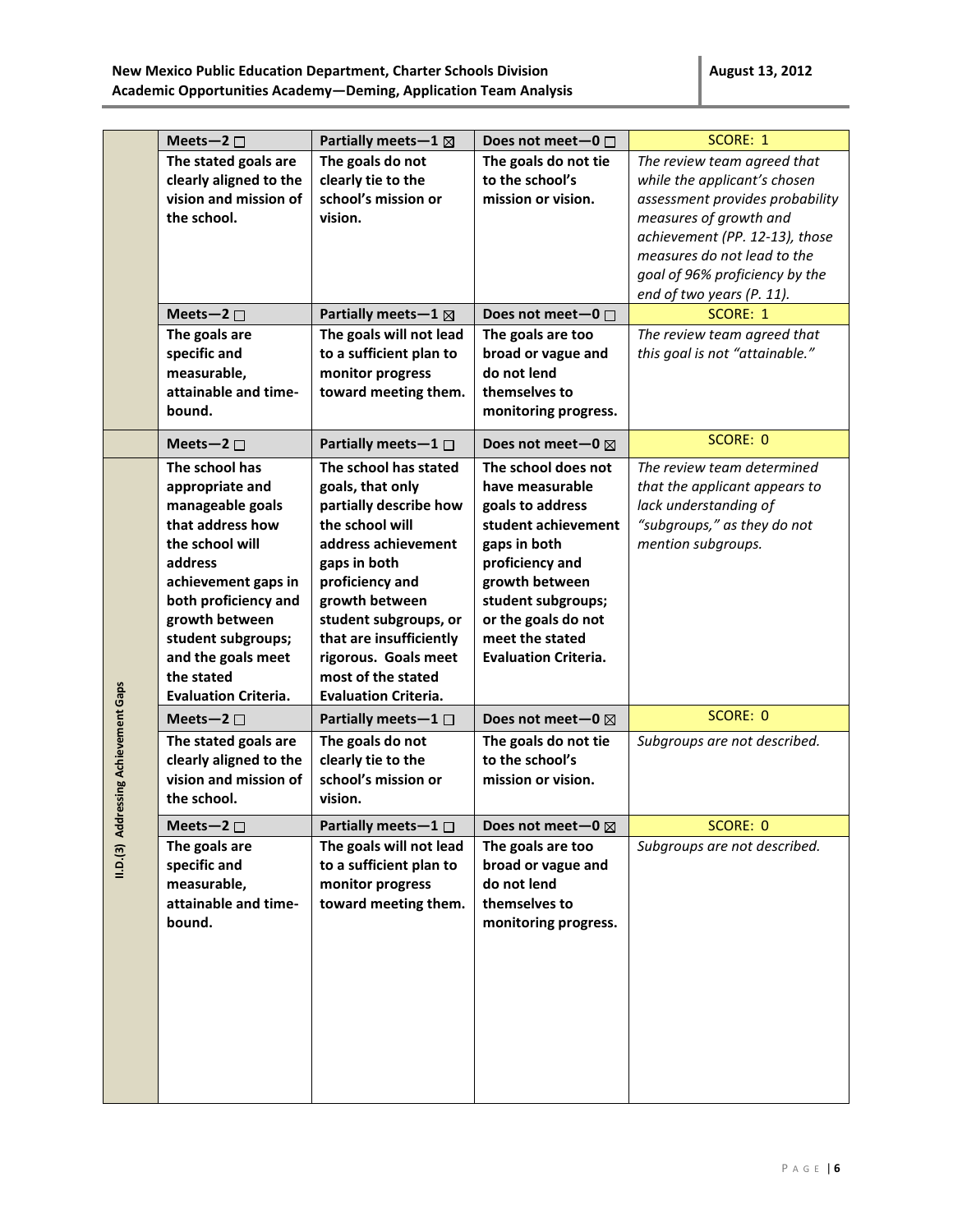|                                      | Meets-2 $\square$                                                                                                                                                                                                                                                 | Partially meets - $1 \boxtimes$                                                                                                                                                                                                                                                                     | Does not meet-0 $\Box$                                                                                                                                                                                                                | SCORE: 1                                                                                                                                                                                                                                                                                            |
|--------------------------------------|-------------------------------------------------------------------------------------------------------------------------------------------------------------------------------------------------------------------------------------------------------------------|-----------------------------------------------------------------------------------------------------------------------------------------------------------------------------------------------------------------------------------------------------------------------------------------------------|---------------------------------------------------------------------------------------------------------------------------------------------------------------------------------------------------------------------------------------|-----------------------------------------------------------------------------------------------------------------------------------------------------------------------------------------------------------------------------------------------------------------------------------------------------|
|                                      | The stated goals are<br>clearly aligned to the<br>vision and mission of<br>the school.<br>Meets-2 $\square$<br>The goals are                                                                                                                                      | The goals do not<br>clearly tie to the<br>school's mission or<br>vision.<br>Partially meets-1 ⊠<br>The goals will not lead                                                                                                                                                                          | The goals do not tie<br>to the school's<br>mission or vision.<br>Does not meet-0 $\Box$<br>The goals are too                                                                                                                          | The review team agreed that<br>while the applicant's chosen<br>assessment provides probability<br>measures of growth and<br>achievement (PP. 12-13), those<br>measures do not lead to the<br>goal of 96% proficiency by the<br>end of two years (P. 11).<br>SCORE: 1<br>The review team agreed that |
|                                      | specific and<br>measurable,<br>attainable and time-<br>bound.                                                                                                                                                                                                     | to a sufficient plan to<br>monitor progress<br>toward meeting them.                                                                                                                                                                                                                                 | broad or vague and<br>do not lend<br>themselves to<br>monitoring progress.                                                                                                                                                            | this goal is not "attainable."                                                                                                                                                                                                                                                                      |
|                                      | Meets-2 $\square$                                                                                                                                                                                                                                                 | Partially meets $-1$ $\Box$                                                                                                                                                                                                                                                                         | Does not meet-0 $\boxtimes$                                                                                                                                                                                                           | SCORE: 0                                                                                                                                                                                                                                                                                            |
|                                      | The school has<br>appropriate and<br>manageable goals<br>that address how<br>the school will<br>address<br>achievement gaps in<br>both proficiency and<br>growth between<br>student subgroups;<br>and the goals meet<br>the stated<br><b>Evaluation Criteria.</b> | The school has stated<br>goals, that only<br>partially describe how<br>the school will<br>address achievement<br>gaps in both<br>proficiency and<br>growth between<br>student subgroups, or<br>that are insufficiently<br>rigorous. Goals meet<br>most of the stated<br><b>Evaluation Criteria.</b> | The school does not<br>have measurable<br>goals to address<br>student achievement<br>gaps in both<br>proficiency and<br>growth between<br>student subgroups;<br>or the goals do not<br>meet the stated<br><b>Evaluation Criteria.</b> | The review team determined<br>that the applicant appears to<br>lack understanding of<br>"subgroups," as they do not<br>mention subgroups.                                                                                                                                                           |
|                                      | Meets-2 $\square$                                                                                                                                                                                                                                                 | Partially meets $-1$ $\Box$                                                                                                                                                                                                                                                                         | Does not meet-0 $\boxtimes$                                                                                                                                                                                                           | SCORE: 0                                                                                                                                                                                                                                                                                            |
| II.D.(3) Addressing Achievement Gaps | The stated goals are<br>clearly aligned to the<br>vision and mission of<br>the school.                                                                                                                                                                            | The goals do not<br>clearly tie to the<br>school's mission or<br>vision.                                                                                                                                                                                                                            | The goals do not tie<br>to the school's<br>mission or vision.                                                                                                                                                                         | Subgroups are not described.                                                                                                                                                                                                                                                                        |
|                                      | Meets-2 $\square$                                                                                                                                                                                                                                                 | Partially meets-1 □                                                                                                                                                                                                                                                                                 | Does not meet-0 ⊠                                                                                                                                                                                                                     | SCORE: 0                                                                                                                                                                                                                                                                                            |
|                                      | The goals are<br>specific and<br>measurable,<br>attainable and time-<br>bound.                                                                                                                                                                                    | The goals will not lead<br>to a sufficient plan to<br>monitor progress<br>toward meeting them.                                                                                                                                                                                                      | The goals are too<br>broad or vague and<br>do not lend<br>themselves to<br>monitoring progress.                                                                                                                                       | Subgroups are not described.                                                                                                                                                                                                                                                                        |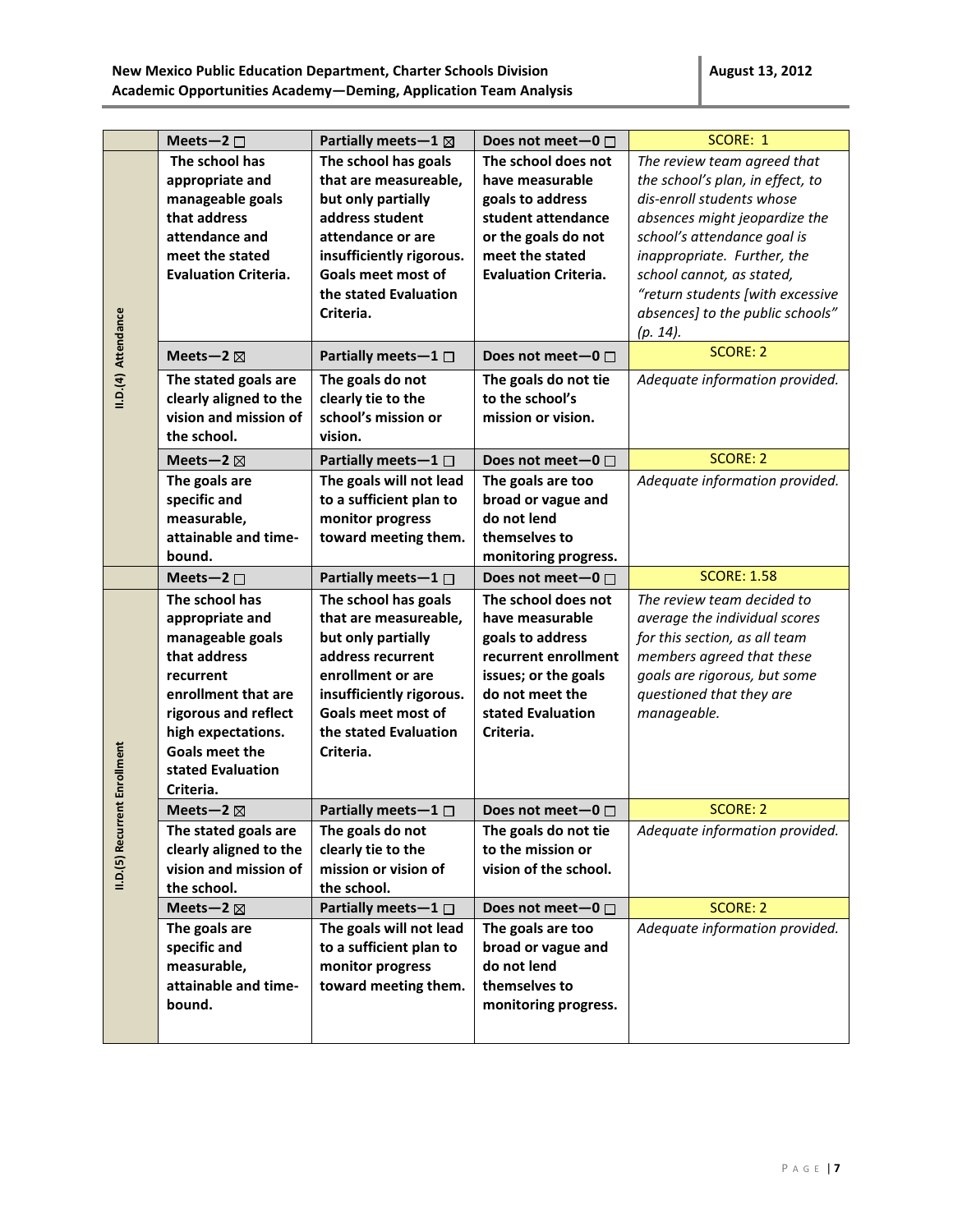|                     | Meets-2 $\square$           | Partially meets - $1 \boxtimes$ | Does not meet-0 $\Box$      | SCORE: 1                         |
|---------------------|-----------------------------|---------------------------------|-----------------------------|----------------------------------|
|                     | The school has              | The school has goals            | The school does not         | The review team agreed that      |
|                     | appropriate and             | that are measureable,           | have measurable             | the school's plan, in effect, to |
|                     | manageable goals            | but only partially              | goals to address            | dis-enroll students whose        |
|                     | that address                | address student                 | student attendance          | absences might jeopardize the    |
|                     | attendance and              | attendance or are               | or the goals do not         | school's attendance goal is      |
|                     | meet the stated             | insufficiently rigorous.        | meet the stated             | inappropriate. Further, the      |
|                     | <b>Evaluation Criteria.</b> | Goals meet most of              | <b>Evaluation Criteria.</b> | school cannot, as stated,        |
|                     |                             | the stated Evaluation           |                             | "return students [with excessive |
|                     |                             | Criteria.                       |                             | absences] to the public schools" |
|                     |                             |                                 |                             | $(p. 14)$ .                      |
| II.D.(4) Attendance | Meets-2 $\boxtimes$         | Partially meets $-1$ $\Box$     | Does not meet-0 $\Box$      | <b>SCORE: 2</b>                  |
|                     | The stated goals are        | The goals do not                | The goals do not tie        | Adequate information provided.   |
|                     | clearly aligned to the      | clearly tie to the              | to the school's             |                                  |
|                     | vision and mission of       | school's mission or             | mission or vision.          |                                  |
|                     | the school.                 | vision.                         |                             |                                  |
|                     | Meets-2 $\boxtimes$         | Partially meets-1 $\square$     | Does not meet-0 $\Box$      | <b>SCORE: 2</b>                  |
|                     | The goals are               | The goals will not lead         | The goals are too           | Adequate information provided.   |
|                     | specific and                | to a sufficient plan to         | broad or vague and          |                                  |
|                     | measurable,                 | monitor progress                | do not lend                 |                                  |
|                     | attainable and time-        | toward meeting them.            | themselves to               |                                  |
|                     | bound.                      |                                 | monitoring progress.        |                                  |
|                     | Meets-2 $\square$           | Partially meets $-1$ $\Box$     | Does not meet-0 □           | <b>SCORE: 1.58</b>               |
|                     | The school has              | The school has goals            | The school does not         | The review team decided to       |
|                     | appropriate and             | that are measureable,           | have measurable             | average the individual scores    |
|                     | manageable goals            | but only partially              | goals to address            | for this section, as all team    |
|                     | that address                | address recurrent               | recurrent enrollment        | members agreed that these        |
|                     | recurrent                   | enrollment or are               | issues; or the goals        | goals are rigorous, but some     |
|                     | enrollment that are         | insufficiently rigorous.        | do not meet the             | questioned that they are         |
|                     | rigorous and reflect        | Goals meet most of              | stated Evaluation           | manageable.                      |
|                     | high expectations.          | the stated Evaluation           | Criteria.                   |                                  |
|                     | Goals meet the              | Criteria.                       |                             |                                  |
|                     | stated Evaluation           |                                 |                             |                                  |
| ent Enrollment      | Criteria.                   |                                 |                             |                                  |
|                     | Meets-2 $\boxtimes$         | Partially meets $-1$ $\Box$     | Does not meet-0 $\Box$      | <b>SCORE: 2</b>                  |
| II.D.(5) Recur      | The stated goals are        | The goals do not                | The goals do not tie        | Adequate information provided.   |
|                     | clearly aligned to the      | clearly tie to the              | to the mission or           |                                  |
|                     | vision and mission of       | mission or vision of            | vision of the school.       |                                  |
|                     | the school.                 | the school.                     |                             |                                  |
|                     | Meets-2 $\boxtimes$         | Partially meets $-1$ $\Box$     | Does not meet-0 $\Box$      | <b>SCORE: 2</b>                  |
|                     | The goals are               | The goals will not lead         | The goals are too           | Adequate information provided.   |
|                     | specific and                | to a sufficient plan to         | broad or vague and          |                                  |
|                     | measurable,                 | monitor progress                | do not lend                 |                                  |
|                     | attainable and time-        | toward meeting them.            | themselves to               |                                  |
|                     | bound.                      |                                 | monitoring progress.        |                                  |
|                     |                             |                                 |                             |                                  |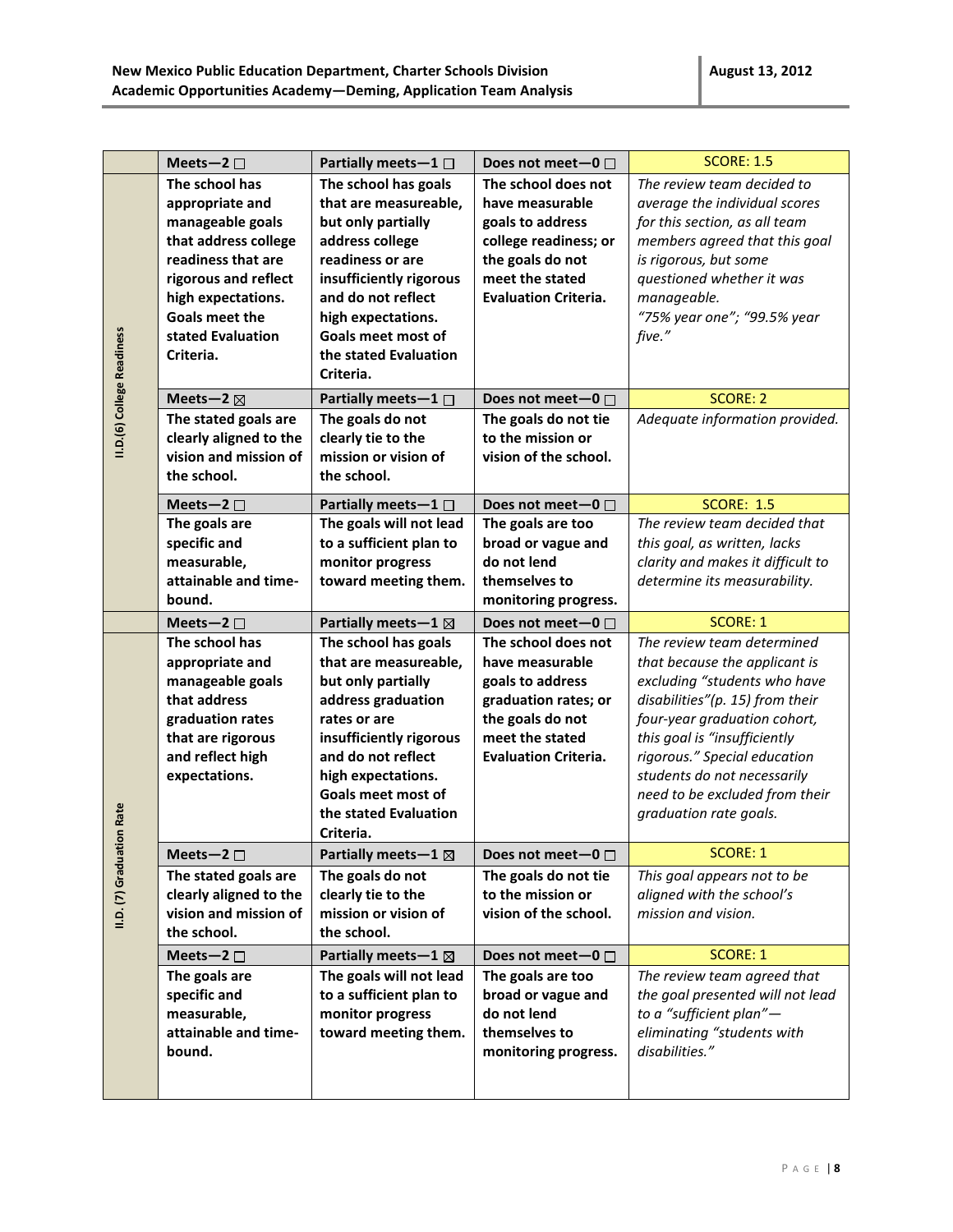|                            | Meets-2 $\square$      | Partially meets $-1$ $\Box$     | Does not meet-0 $\Box$      | <b>SCORE: 1.5</b>                 |
|----------------------------|------------------------|---------------------------------|-----------------------------|-----------------------------------|
|                            | The school has         | The school has goals            | The school does not         | The review team decided to        |
|                            | appropriate and        | that are measureable,           | have measurable             | average the individual scores     |
|                            | manageable goals       | but only partially              | goals to address            | for this section, as all team     |
|                            | that address college   | address college                 | college readiness; or       | members agreed that this goal     |
|                            | readiness that are     | readiness or are                | the goals do not            | is rigorous, but some             |
|                            | rigorous and reflect   | insufficiently rigorous         | meet the stated             | questioned whether it was         |
|                            | high expectations.     | and do not reflect              | <b>Evaluation Criteria.</b> | manageable.                       |
|                            | <b>Goals meet the</b>  | high expectations.              |                             | "75% year one"; "99.5% year       |
|                            | stated Evaluation      | Goals meet most of              |                             | five."                            |
|                            | Criteria.              | the stated Evaluation           |                             |                                   |
|                            |                        | Criteria.                       |                             |                                   |
| II.D.(6) College Readiness | Meets-2 $\boxtimes$    | Partially meets $-1$ $\Box$     | Does not meet-0 $\square$   | SCORE: 2                          |
|                            | The stated goals are   | The goals do not                | The goals do not tie        | Adequate information provided.    |
|                            | clearly aligned to the | clearly tie to the              | to the mission or           |                                   |
|                            | vision and mission of  | mission or vision of            | vision of the school.       |                                   |
|                            | the school.            | the school.                     |                             |                                   |
|                            | Meets-2 $\square$      | Partially meets $-1$ $\Box$     | Does not meet-0 □           | <b>SCORE: 1.5</b>                 |
|                            | The goals are          | The goals will not lead         | The goals are too           | The review team decided that      |
|                            | specific and           | to a sufficient plan to         | broad or vague and          | this goal, as written, lacks      |
|                            | measurable,            | monitor progress                | do not lend                 | clarity and makes it difficult to |
|                            | attainable and time-   | toward meeting them.            | themselves to               | determine its measurability.      |
|                            | bound.                 |                                 | monitoring progress.        |                                   |
|                            | Meets-2 $\square$      | Partially meets - $1 \boxtimes$ | Does not meet-0 $\Box$      | <b>SCORE: 1</b>                   |
|                            | The school has         | The school has goals            | The school does not         | The review team determined        |
|                            | appropriate and        | that are measureable,           | have measurable             | that because the applicant is     |
|                            | manageable goals       | but only partially              | goals to address            | excluding "students who have      |
|                            | that address           | address graduation              | graduation rates; or        | disabilities"(p. 15) from their   |
|                            | graduation rates       | rates or are                    | the goals do not            | four-year graduation cohort,      |
|                            | that are rigorous      | insufficiently rigorous         | meet the stated             | this goal is "insufficiently      |
|                            | and reflect high       | and do not reflect              | <b>Evaluation Criteria.</b> | rigorous." Special education      |
|                            | expectations.          | high expectations.              |                             | students do not necessarily       |
|                            |                        | Goals meet most of              |                             | need to be excluded from their    |
| ion Rate                   |                        | the stated Evaluation           |                             | graduation rate goals.            |
|                            |                        | Criteria.                       |                             |                                   |
| II.D. (7) Graduati         | Meets-2 $\square$      | Partially meets - $1 \boxtimes$ | Does not meet-0 $\Box$      | <b>SCORE: 1</b>                   |
|                            | The stated goals are   | The goals do not                | The goals do not tie        | This goal appears not to be       |
|                            | clearly aligned to the | clearly tie to the              | to the mission or           | aligned with the school's         |
|                            | vision and mission of  | mission or vision of            | vision of the school.       | mission and vision.               |
|                            | the school.            | the school.                     |                             |                                   |
|                            | Meets-2 $\square$      | Partially meets - $1 \boxtimes$ | Does not meet-0 □           | <b>SCORE: 1</b>                   |
|                            | The goals are          | The goals will not lead         | The goals are too           | The review team agreed that       |
|                            | specific and           | to a sufficient plan to         | broad or vague and          | the goal presented will not lead  |
|                            | measurable,            | monitor progress                | do not lend                 | to a "sufficient plan"-           |
|                            | attainable and time-   | toward meeting them.            | themselves to               | eliminating "students with        |
|                            | bound.                 |                                 | monitoring progress.        | disabilities."                    |
|                            |                        |                                 |                             |                                   |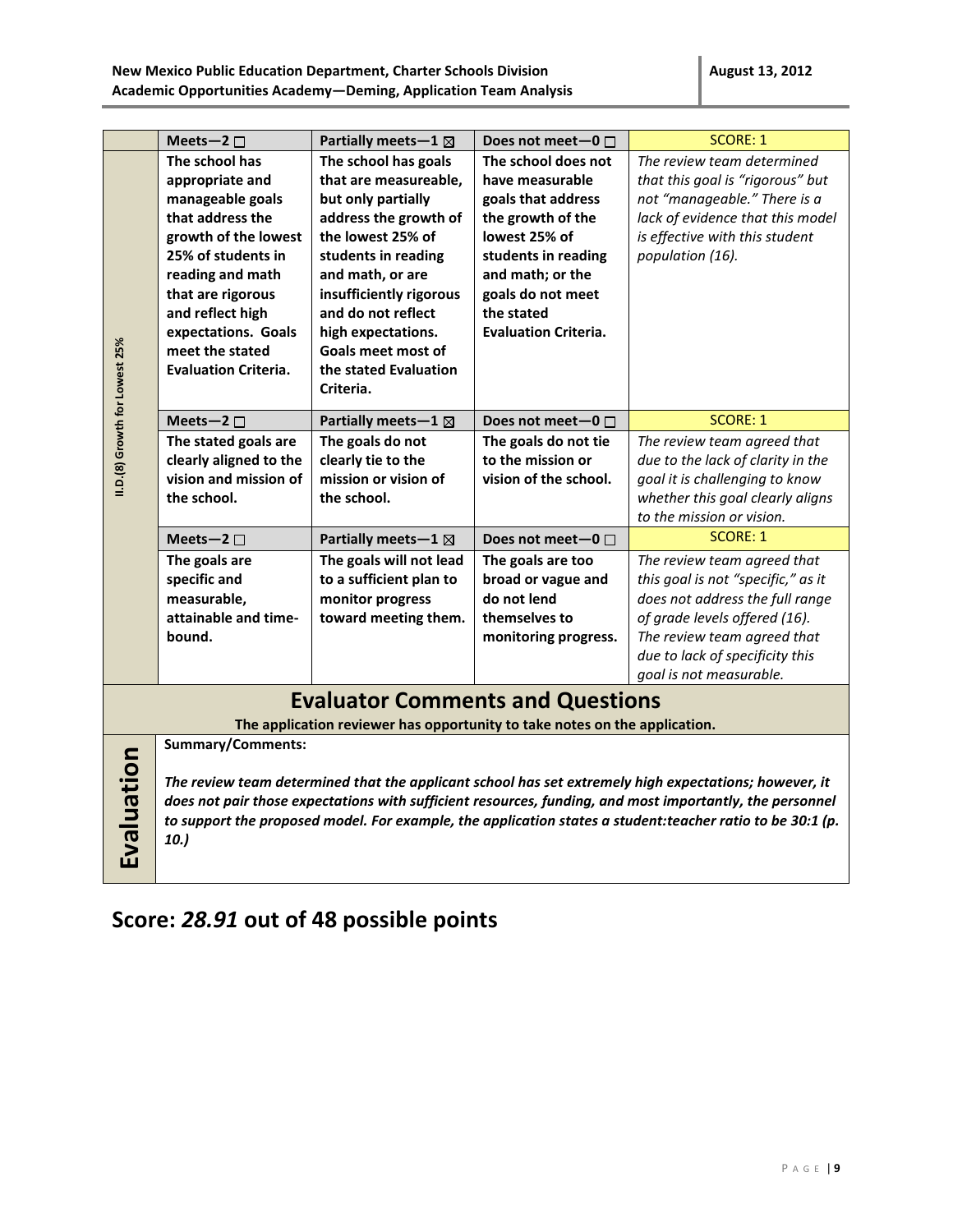|                                                                                                                       | Meets-2 $\square$                                                                                                                                                                                                                                                                                                                                                  | Partially meets - $1 \boxtimes$                                                                                                                                                                                                                                                                        | Does not meet-0 □                                                                                                                                                                                               | <b>SCORE: 1</b>                                                                                                                                                                                                                                                                                                                                                |
|-----------------------------------------------------------------------------------------------------------------------|--------------------------------------------------------------------------------------------------------------------------------------------------------------------------------------------------------------------------------------------------------------------------------------------------------------------------------------------------------------------|--------------------------------------------------------------------------------------------------------------------------------------------------------------------------------------------------------------------------------------------------------------------------------------------------------|-----------------------------------------------------------------------------------------------------------------------------------------------------------------------------------------------------------------|----------------------------------------------------------------------------------------------------------------------------------------------------------------------------------------------------------------------------------------------------------------------------------------------------------------------------------------------------------------|
| II.D.(8) Growth for Lowest 25%                                                                                        | The school has<br>appropriate and<br>manageable goals<br>that address the<br>growth of the lowest<br>25% of students in<br>reading and math<br>that are rigorous<br>and reflect high<br>expectations. Goals<br>meet the stated<br><b>Evaluation Criteria.</b>                                                                                                      | The school has goals<br>that are measureable,<br>but only partially<br>address the growth of<br>the lowest 25% of<br>students in reading<br>and math, or are<br>insufficiently rigorous<br>and do not reflect<br>high expectations.<br><b>Goals meet most of</b><br>the stated Evaluation<br>Criteria. | The school does not<br>have measurable<br>goals that address<br>the growth of the<br>lowest 25% of<br>students in reading<br>and math; or the<br>goals do not meet<br>the stated<br><b>Evaluation Criteria.</b> | The review team determined<br>that this goal is "rigorous" but<br>not "manageable." There is a<br>lack of evidence that this model<br>is effective with this student<br>population (16).                                                                                                                                                                       |
|                                                                                                                       | Meets-2 $\square$                                                                                                                                                                                                                                                                                                                                                  | Partially meets - $1 \boxtimes$                                                                                                                                                                                                                                                                        | Does not meet-0 $\Box$                                                                                                                                                                                          | <b>SCORE: 1</b>                                                                                                                                                                                                                                                                                                                                                |
|                                                                                                                       | The stated goals are<br>clearly aligned to the<br>vision and mission of<br>the school.<br>Meets-2 $\square$<br>The goals are<br>specific and<br>measurable,<br>attainable and time-<br>bound.                                                                                                                                                                      | The goals do not<br>clearly tie to the<br>mission or vision of<br>the school.<br>Partially meets - $1 \boxtimes$<br>The goals will not lead<br>to a sufficient plan to<br>monitor progress<br>toward meeting them.                                                                                     | The goals do not tie<br>to the mission or<br>vision of the school.<br>Does not meet-0 $\Box$<br>The goals are too<br>broad or vague and<br>do not lend<br>themselves to<br>monitoring progress.                 | The review team agreed that<br>due to the lack of clarity in the<br>goal it is challenging to know<br>whether this goal clearly aligns<br>to the mission or vision.<br><b>SCORE: 1</b><br>The review team agreed that<br>this goal is not "specific," as it<br>does not address the full range<br>of grade levels offered (16).<br>The review team agreed that |
|                                                                                                                       |                                                                                                                                                                                                                                                                                                                                                                    |                                                                                                                                                                                                                                                                                                        |                                                                                                                                                                                                                 | due to lack of specificity this<br>goal is not measurable.                                                                                                                                                                                                                                                                                                     |
| <b>Evaluator Comments and Questions</b><br>The application reviewer has opportunity to take notes on the application. |                                                                                                                                                                                                                                                                                                                                                                    |                                                                                                                                                                                                                                                                                                        |                                                                                                                                                                                                                 |                                                                                                                                                                                                                                                                                                                                                                |
| Evaluation                                                                                                            | <b>Summary/Comments:</b><br>The review team determined that the applicant school has set extremely high expectations; however, it<br>does not pair those expectations with sufficient resources, funding, and most importantly, the personnel<br>to support the proposed model. For example, the application states a student: teacher ratio to be 30:1 (p.<br>10. |                                                                                                                                                                                                                                                                                                        |                                                                                                                                                                                                                 |                                                                                                                                                                                                                                                                                                                                                                |

## **Score:** *28.91* **out of 48 possible points**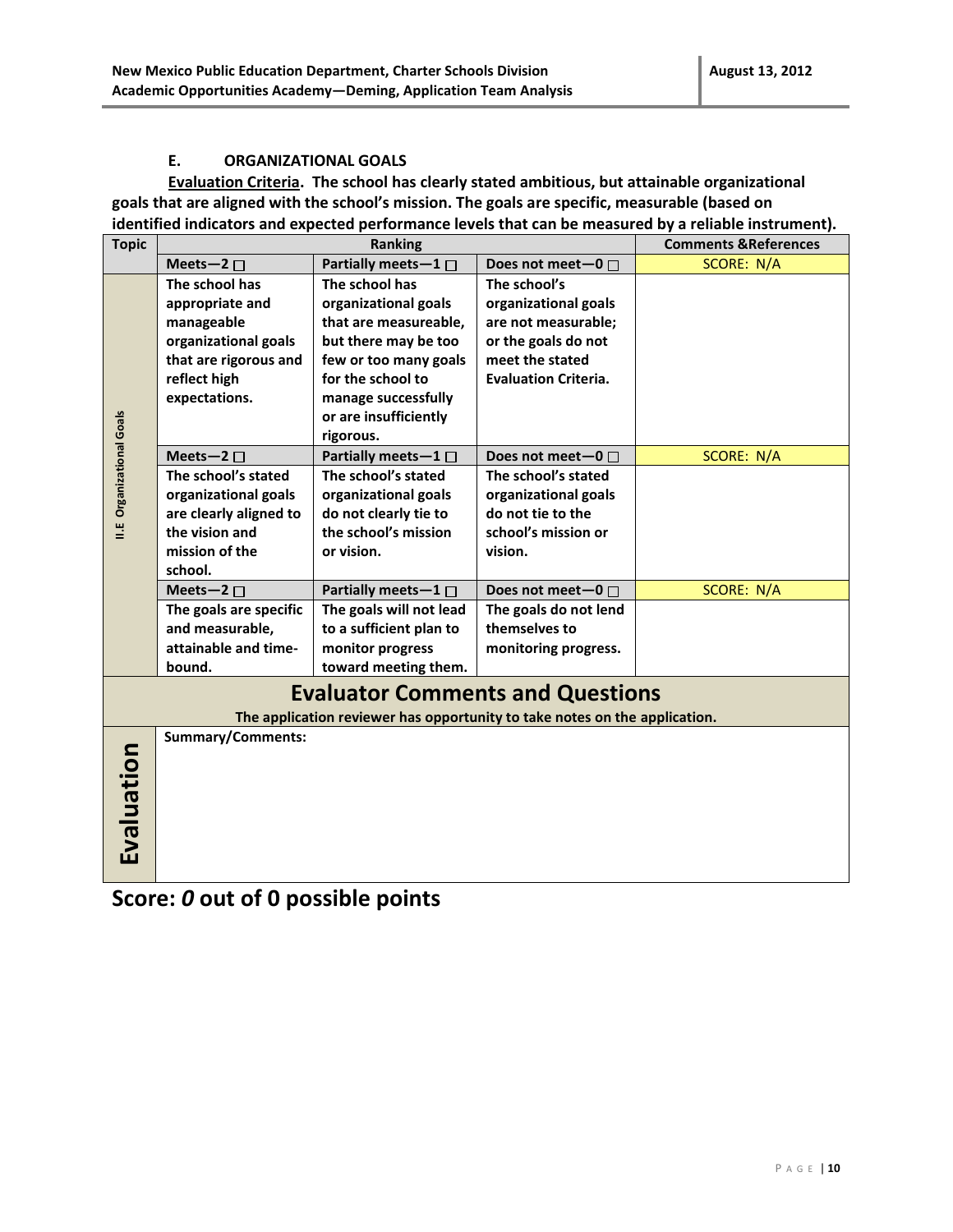#### **E. ORGANIZATIONAL GOALS**

**Evaluation Criteria. The school has clearly stated ambitious, but attainable organizational goals that are aligned with the school's mission. The goals are specific, measurable (based on identified indicators and expected performance levels that can be measured by a reliable instrument).** 

| <b>Topic</b>              |                          | <b>Ranking</b>                                                             |                             | <b>Comments &amp; References</b> |
|---------------------------|--------------------------|----------------------------------------------------------------------------|-----------------------------|----------------------------------|
|                           | Meets-2 $\square$        | Partially meets-1 $\square$                                                | Does not meet-0 $\square$   | SCORE: N/A                       |
|                           | The school has           | The school has                                                             | The school's                |                                  |
|                           | appropriate and          | organizational goals                                                       | organizational goals        |                                  |
|                           | manageable               | that are measureable,                                                      | are not measurable;         |                                  |
|                           | organizational goals     | but there may be too                                                       | or the goals do not         |                                  |
|                           | that are rigorous and    | few or too many goals                                                      | meet the stated             |                                  |
|                           | reflect high             | for the school to                                                          | <b>Evaluation Criteria.</b> |                                  |
|                           | expectations.            | manage successfully                                                        |                             |                                  |
|                           |                          | or are insufficiently                                                      |                             |                                  |
|                           |                          | rigorous.                                                                  |                             |                                  |
| II.E Organizational Goals | Meets-2 $\square$        | Partially meets-1 $\square$                                                | Does not meet-0             | SCORE: N/A                       |
|                           | The school's stated      | The school's stated                                                        | The school's stated         |                                  |
|                           | organizational goals     | organizational goals                                                       | organizational goals        |                                  |
|                           | are clearly aligned to   | do not clearly tie to                                                      | do not tie to the           |                                  |
|                           | the vision and           | the school's mission                                                       | school's mission or         |                                  |
|                           | mission of the           | or vision.                                                                 | vision.                     |                                  |
|                           | school.                  |                                                                            |                             |                                  |
|                           | Meets-2 $\square$        | Partially meets-1 □                                                        | Does not meet-0 $\Box$      | <b>SCORE: N/A</b>                |
|                           | The goals are specific   | The goals will not lead                                                    | The goals do not lend       |                                  |
|                           | and measurable,          | to a sufficient plan to                                                    | themselves to               |                                  |
|                           | attainable and time-     | monitor progress                                                           | monitoring progress.        |                                  |
|                           | bound.                   | toward meeting them.                                                       |                             |                                  |
|                           |                          | <b>Evaluator Comments and Questions</b>                                    |                             |                                  |
|                           |                          | The application reviewer has opportunity to take notes on the application. |                             |                                  |
|                           | <b>Summary/Comments:</b> |                                                                            |                             |                                  |
|                           |                          |                                                                            |                             |                                  |
|                           |                          |                                                                            |                             |                                  |
|                           |                          |                                                                            |                             |                                  |
|                           |                          |                                                                            |                             |                                  |
| Evaluation                |                          |                                                                            |                             |                                  |
|                           |                          |                                                                            |                             |                                  |
|                           |                          |                                                                            |                             |                                  |

**Score:** *0* **out of 0 possible points**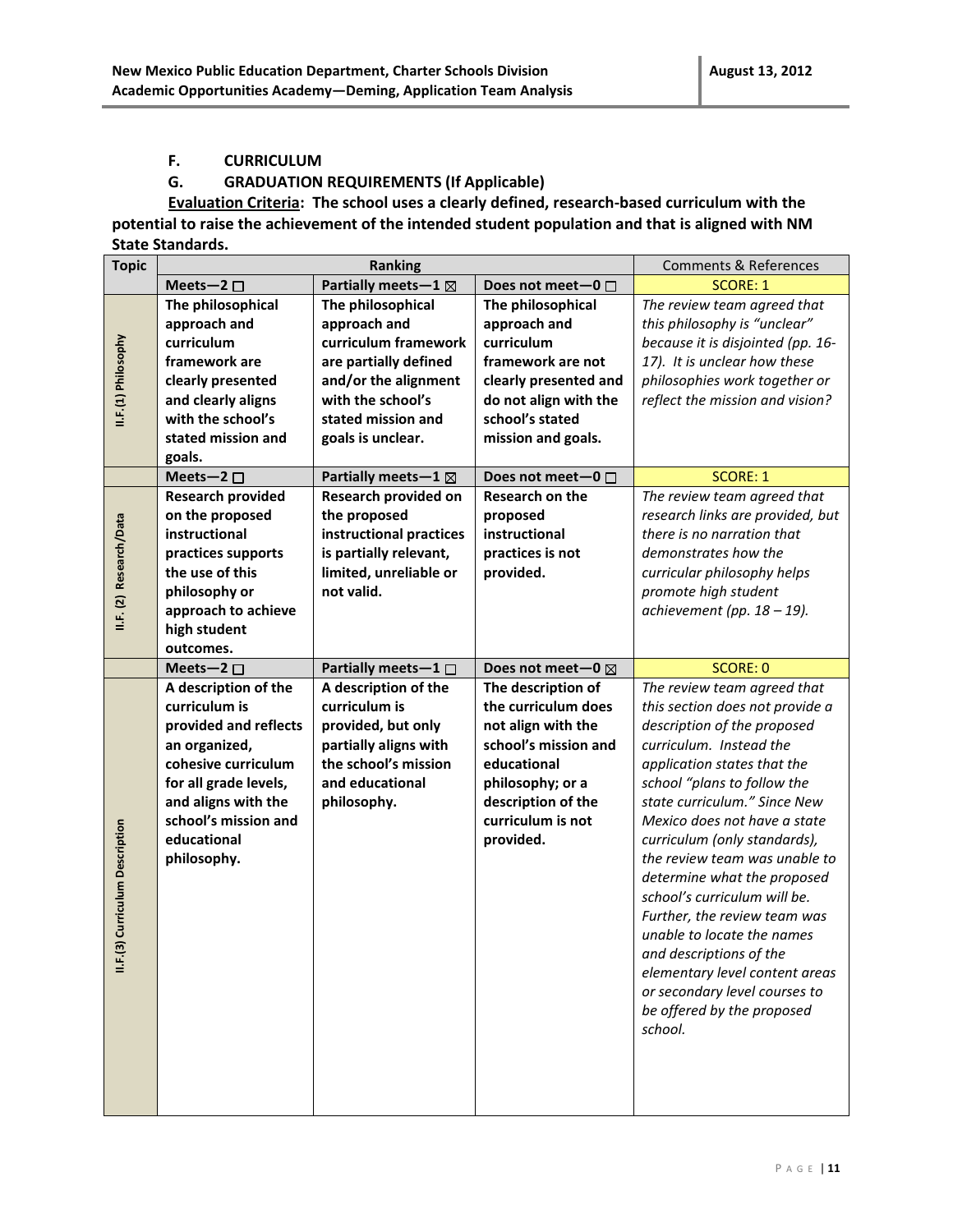#### **F. CURRICULUM**

#### **G. GRADUATION REQUIREMENTS (If Applicable)**

**Evaluation Criteria: The school uses a clearly defined, research-based curriculum with the potential to raise the achievement of the intended student population and that is aligned with NM State Standards.** 

| <b>Topic</b>              |                          | <b>Ranking</b>                  |                        | <b>Comments &amp; References</b>                            |
|---------------------------|--------------------------|---------------------------------|------------------------|-------------------------------------------------------------|
|                           | Meets-2 $\square$        | Partially meets - $1 \boxtimes$ | Does not meet-0 $\Box$ | <b>SCORE: 1</b>                                             |
|                           | The philosophical        | The philosophical               | The philosophical      | The review team agreed that                                 |
|                           | approach and             | approach and                    | approach and           | this philosophy is "unclear"                                |
| II.F.(1) Philosophy       | curriculum               | curriculum framework            | curriculum             | because it is disjointed (pp. 16-                           |
|                           | framework are            | are partially defined           | framework are not      | 17). It is unclear how these                                |
|                           | clearly presented        | and/or the alignment            | clearly presented and  | philosophies work together or                               |
|                           | and clearly aligns       | with the school's               | do not align with the  | reflect the mission and vision?                             |
|                           | with the school's        | stated mission and              | school's stated        |                                                             |
|                           | stated mission and       | goals is unclear.               | mission and goals.     |                                                             |
|                           | goals.                   |                                 |                        |                                                             |
|                           | Meets-2 $\square$        | Partially meets-1 $\boxtimes$   | Does not meet-0 □      | <b>SCORE: 1</b>                                             |
|                           | <b>Research provided</b> | Research provided on            | Research on the        | The review team agreed that                                 |
|                           | on the proposed          | the proposed                    | proposed               | research links are provided, but                            |
|                           | instructional            | instructional practices         | instructional          | there is no narration that                                  |
|                           | practices supports       | is partially relevant,          | practices is not       | demonstrates how the                                        |
|                           | the use of this          | limited, unreliable or          | provided.              | curricular philosophy helps                                 |
| II.F. (2) Research/Data   | philosophy or            | not valid.                      |                        | promote high student                                        |
|                           | approach to achieve      |                                 |                        | achievement (pp. $18 - 19$ ).                               |
|                           | high student             |                                 |                        |                                                             |
|                           | outcomes.                |                                 |                        |                                                             |
|                           | Meets-2 $\square$        | Partially meets-1 $\Box$        | Does not meet-0 ⊠      | <b>SCORE: 0</b>                                             |
|                           |                          |                                 |                        |                                                             |
|                           | A description of the     | A description of the            | The description of     | The review team agreed that                                 |
|                           | curriculum is            | curriculum is                   | the curriculum does    | this section does not provide a                             |
|                           | provided and reflects    | provided, but only              | not align with the     | description of the proposed                                 |
|                           | an organized,            | partially aligns with           | school's mission and   | curriculum. Instead the                                     |
|                           | cohesive curriculum      | the school's mission            | educational            | application states that the                                 |
|                           | for all grade levels,    | and educational                 | philosophy; or a       | school "plans to follow the                                 |
|                           | and aligns with the      | philosophy.                     | description of the     | state curriculum." Since New                                |
|                           | school's mission and     |                                 | curriculum is not      | Mexico does not have a state                                |
|                           | educational              |                                 | provided.              | curriculum (only standards),                                |
|                           | philosophy.              |                                 |                        | the review team was unable to                               |
|                           |                          |                                 |                        | determine what the proposed                                 |
|                           |                          |                                 |                        | school's curriculum will be.                                |
|                           |                          |                                 |                        | Further, the review team was                                |
| 3) Curriculum Description |                          |                                 |                        | unable to locate the names                                  |
| $\frac{1}{2}$             |                          |                                 |                        | and descriptions of the                                     |
|                           |                          |                                 |                        | elementary level content areas                              |
|                           |                          |                                 |                        | or secondary level courses to<br>be offered by the proposed |
|                           |                          |                                 |                        | school.                                                     |
|                           |                          |                                 |                        |                                                             |
|                           |                          |                                 |                        |                                                             |
|                           |                          |                                 |                        |                                                             |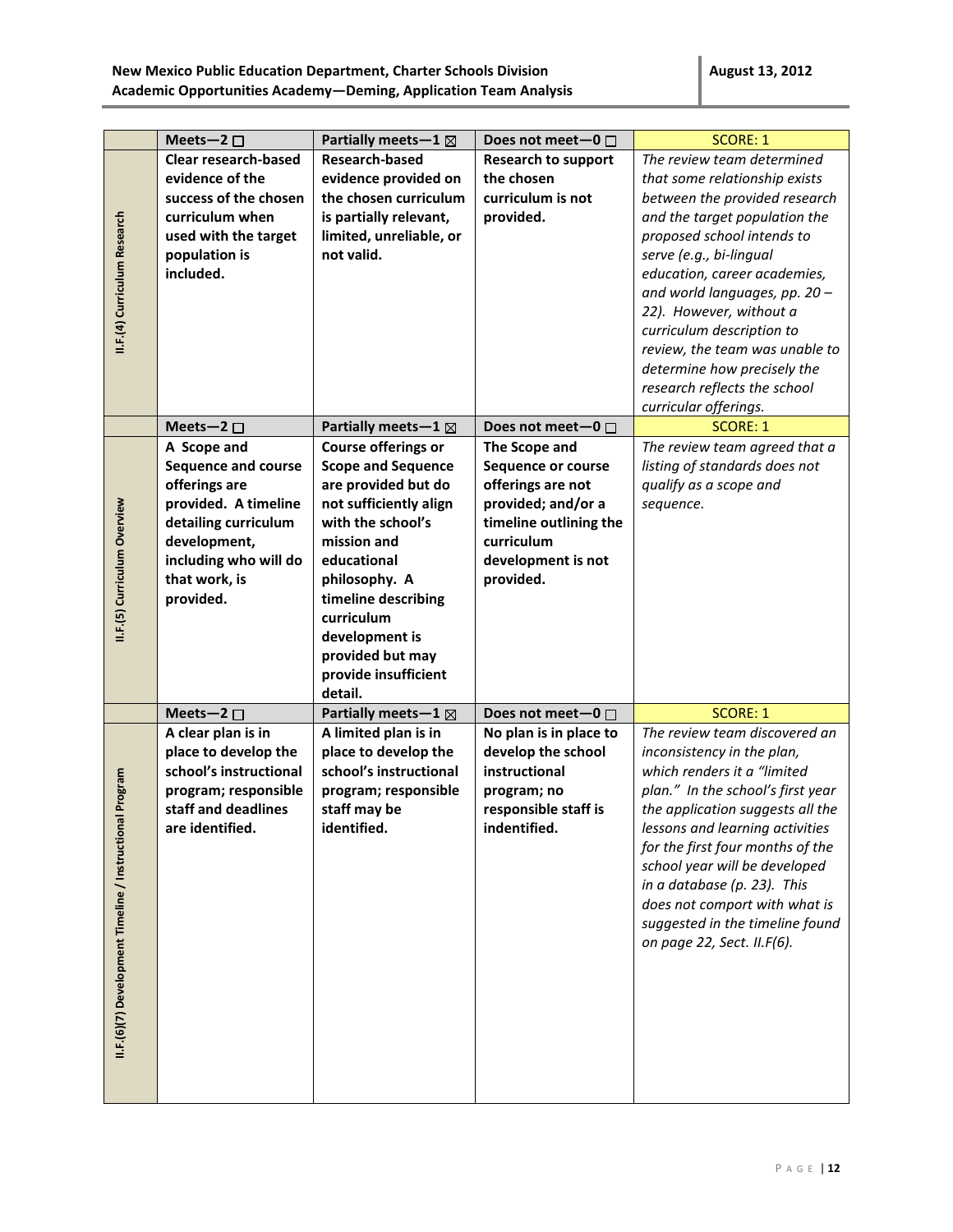|                                                             | Meets-2 $\square$                                                                                                                                                                 | Partially meets-1 $\boxtimes$                                                                                                                                                                                                                                                       | Does not meet $-0$ $\Box$                                                                                                                                 | <b>SCORE: 1</b>                                                                                                                                                                                                                                                                                                                                                                                                                           |
|-------------------------------------------------------------|-----------------------------------------------------------------------------------------------------------------------------------------------------------------------------------|-------------------------------------------------------------------------------------------------------------------------------------------------------------------------------------------------------------------------------------------------------------------------------------|-----------------------------------------------------------------------------------------------------------------------------------------------------------|-------------------------------------------------------------------------------------------------------------------------------------------------------------------------------------------------------------------------------------------------------------------------------------------------------------------------------------------------------------------------------------------------------------------------------------------|
| II.F.(4) Curriculum Research                                | <b>Clear research-based</b><br>evidence of the<br>success of the chosen<br>curriculum when<br>used with the target<br>population is<br>included.                                  | <b>Research-based</b><br>evidence provided on<br>the chosen curriculum<br>is partially relevant,<br>limited, unreliable, or<br>not valid.                                                                                                                                           | <b>Research to support</b><br>the chosen<br>curriculum is not<br>provided.                                                                                | The review team determined<br>that some relationship exists<br>between the provided research<br>and the target population the<br>proposed school intends to<br>serve (e.g., bi-lingual<br>education, career academies,<br>and world languages, pp. 20 -<br>22). However, without a<br>curriculum description to<br>review, the team was unable to<br>determine how precisely the<br>research reflects the school<br>curricular offerings. |
|                                                             | Meets-2 $\square$                                                                                                                                                                 | Partially meets - $1 \boxtimes$                                                                                                                                                                                                                                                     | Does not meet-0 $\Box$                                                                                                                                    | <b>SCORE: 1</b>                                                                                                                                                                                                                                                                                                                                                                                                                           |
| II.F.(5) Curriculum Overview                                | A Scope and<br><b>Sequence and course</b><br>offerings are<br>provided. A timeline<br>detailing curriculum<br>development,<br>including who will do<br>that work, is<br>provided. | Course offerings or<br><b>Scope and Sequence</b><br>are provided but do<br>not sufficiently align<br>with the school's<br>mission and<br>educational<br>philosophy. A<br>timeline describing<br>curriculum<br>development is<br>provided but may<br>provide insufficient<br>detail. | The Scope and<br>Sequence or course<br>offerings are not<br>provided; and/or a<br>timeline outlining the<br>curriculum<br>development is not<br>provided. | The review team agreed that a<br>listing of standards does not<br>qualify as a scope and<br>sequence.                                                                                                                                                                                                                                                                                                                                     |
|                                                             | Meets-2 $\square$                                                                                                                                                                 | Partially meets - $1 \boxtimes$                                                                                                                                                                                                                                                     | Does not meet-0 □                                                                                                                                         | <b>SCORE: 1</b>                                                                                                                                                                                                                                                                                                                                                                                                                           |
| Program<br>II.F.(6)(7) Development Timeline / Instructional | A clear plan is in<br>place to develop the<br>school's instructional<br>program; responsible<br>staff and deadlines<br>are identified.                                            | A limited plan is in<br>place to develop the<br>school's instructional<br>program; responsible<br>staff may be<br>identified.                                                                                                                                                       | No plan is in place to<br>develop the school<br>instructional<br>program; no<br>responsible staff is<br>indentified.                                      | The review team discovered an<br>inconsistency in the plan,<br>which renders it a "limited<br>plan." In the school's first year<br>the application suggests all the<br>lessons and learning activities<br>for the first four months of the<br>school year will be developed<br>in a database (p. 23). This<br>does not comport with what is<br>suggested in the timeline found<br>on page 22, Sect. II.F(6).                              |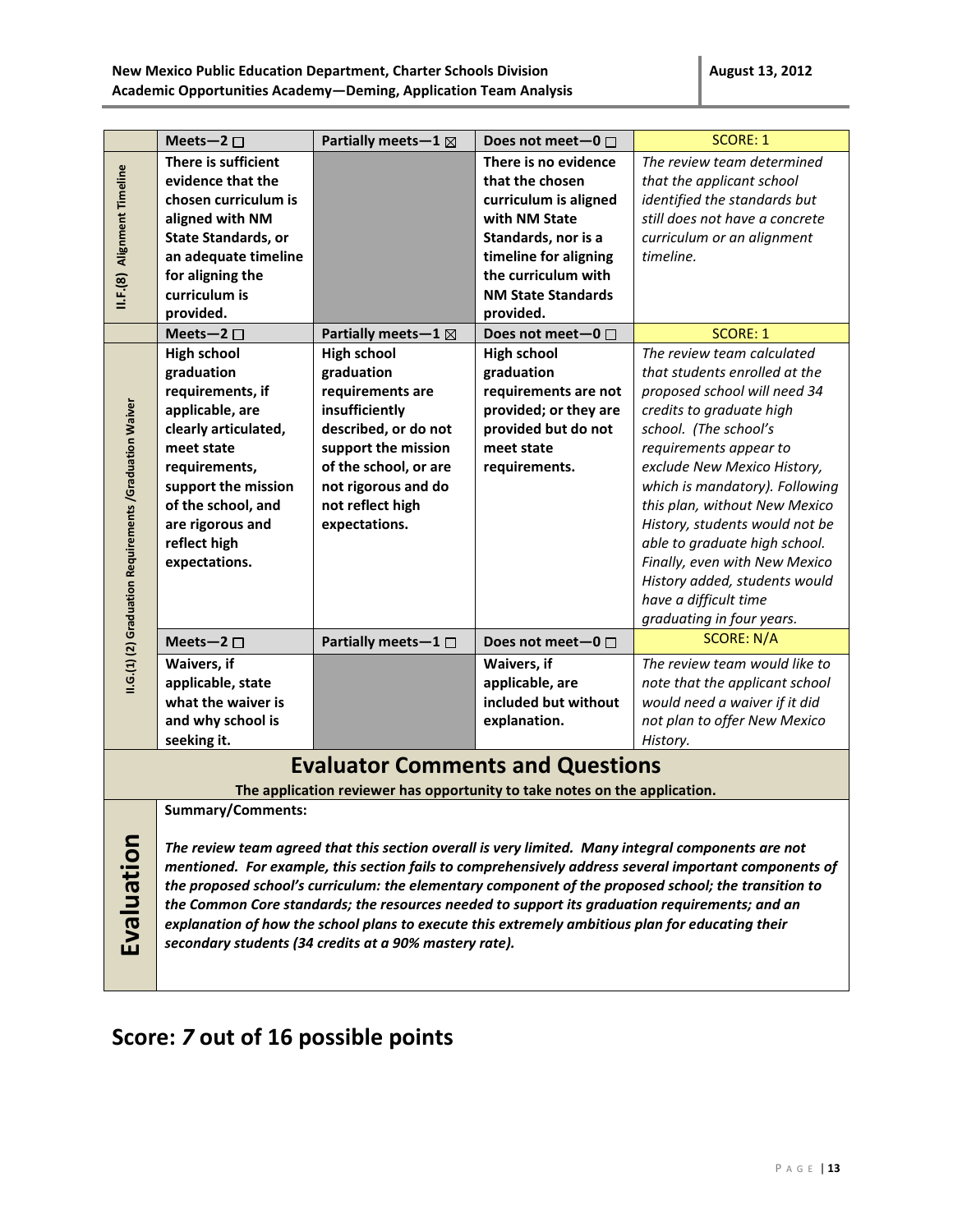|                                                                                                                                                                                                                                                                                                                                                                                                                                                                                                                                                                                                                               | Meets-2 $\square$                                                                                                                                                                                                                | Partially meets-1 $\boxtimes$                                                                                                                                                                              | Does not meet $-0$ $\Box$                                                                                                                                                                          | <b>SCORE: 1</b>                                                                                                                                                                                                                                                                                                                                                                                                                                                         |
|-------------------------------------------------------------------------------------------------------------------------------------------------------------------------------------------------------------------------------------------------------------------------------------------------------------------------------------------------------------------------------------------------------------------------------------------------------------------------------------------------------------------------------------------------------------------------------------------------------------------------------|----------------------------------------------------------------------------------------------------------------------------------------------------------------------------------------------------------------------------------|------------------------------------------------------------------------------------------------------------------------------------------------------------------------------------------------------------|----------------------------------------------------------------------------------------------------------------------------------------------------------------------------------------------------|-------------------------------------------------------------------------------------------------------------------------------------------------------------------------------------------------------------------------------------------------------------------------------------------------------------------------------------------------------------------------------------------------------------------------------------------------------------------------|
| II.F.(8) Alignment Timeline                                                                                                                                                                                                                                                                                                                                                                                                                                                                                                                                                                                                   | There is sufficient<br>evidence that the<br>chosen curriculum is<br>aligned with NM<br><b>State Standards, or</b><br>an adequate timeline<br>for aligning the<br>curriculum is<br>provided.                                      |                                                                                                                                                                                                            | There is no evidence<br>that the chosen<br>curriculum is aligned<br>with NM State<br>Standards, nor is a<br>timeline for aligning<br>the curriculum with<br><b>NM State Standards</b><br>provided. | The review team determined<br>that the applicant school<br>identified the standards but<br>still does not have a concrete<br>curriculum or an alignment<br>timeline.                                                                                                                                                                                                                                                                                                    |
|                                                                                                                                                                                                                                                                                                                                                                                                                                                                                                                                                                                                                               | Meets-2 $\square$                                                                                                                                                                                                                | Partially meets - $1 \boxtimes$                                                                                                                                                                            | Does not meet-0 $\Box$                                                                                                                                                                             | <b>SCORE: 1</b>                                                                                                                                                                                                                                                                                                                                                                                                                                                         |
| II.G.(1) (2) Graduation Requirements /Graduation Waiver                                                                                                                                                                                                                                                                                                                                                                                                                                                                                                                                                                       | <b>High school</b><br>graduation<br>requirements, if<br>applicable, are<br>clearly articulated,<br>meet state<br>requirements,<br>support the mission<br>of the school, and<br>are rigorous and<br>reflect high<br>expectations. | <b>High school</b><br>graduation<br>requirements are<br>insufficiently<br>described, or do not<br>support the mission<br>of the school, or are<br>not rigorous and do<br>not reflect high<br>expectations. | <b>High school</b><br>graduation<br>requirements are not<br>provided; or they are<br>provided but do not<br>meet state<br>requirements.                                                            | The review team calculated<br>that students enrolled at the<br>proposed school will need 34<br>credits to graduate high<br>school. (The school's<br>requirements appear to<br>exclude New Mexico History,<br>which is mandatory). Following<br>this plan, without New Mexico<br>History, students would not be<br>able to graduate high school.<br>Finally, even with New Mexico<br>History added, students would<br>have a difficult time<br>graduating in four years. |
|                                                                                                                                                                                                                                                                                                                                                                                                                                                                                                                                                                                                                               | Meets-2 $\square$                                                                                                                                                                                                                | Partially meets-1 □                                                                                                                                                                                        | Does not meet-0 □                                                                                                                                                                                  | <b>SCORE: N/A</b>                                                                                                                                                                                                                                                                                                                                                                                                                                                       |
|                                                                                                                                                                                                                                                                                                                                                                                                                                                                                                                                                                                                                               | Waivers, if<br>applicable, state<br>what the waiver is<br>and why school is<br>seeking it.                                                                                                                                       |                                                                                                                                                                                                            | Waivers, if<br>applicable, are<br>included but without<br>explanation.                                                                                                                             | The review team would like to<br>note that the applicant school<br>would need a waiver if it did<br>not plan to offer New Mexico<br>History.                                                                                                                                                                                                                                                                                                                            |
|                                                                                                                                                                                                                                                                                                                                                                                                                                                                                                                                                                                                                               |                                                                                                                                                                                                                                  | <b>Evaluator Comments and Questions</b>                                                                                                                                                                    |                                                                                                                                                                                                    |                                                                                                                                                                                                                                                                                                                                                                                                                                                                         |
|                                                                                                                                                                                                                                                                                                                                                                                                                                                                                                                                                                                                                               |                                                                                                                                                                                                                                  | The application reviewer has opportunity to take notes on the application.                                                                                                                                 |                                                                                                                                                                                                    |                                                                                                                                                                                                                                                                                                                                                                                                                                                                         |
| <b>Summary/Comments:</b><br>Evaluation<br>The review team agreed that this section overall is very limited. Many integral components are not<br>mentioned. For example, this section fails to comprehensively address several important components of<br>the proposed school's curriculum: the elementary component of the proposed school; the transition to<br>the Common Core standards; the resources needed to support its graduation requirements; and an<br>explanation of how the school plans to execute this extremely ambitious plan for educating their<br>secondary students (34 credits at a 90% mastery rate). |                                                                                                                                                                                                                                  |                                                                                                                                                                                                            |                                                                                                                                                                                                    |                                                                                                                                                                                                                                                                                                                                                                                                                                                                         |

# **Score:** *7* **out of 16 possible points**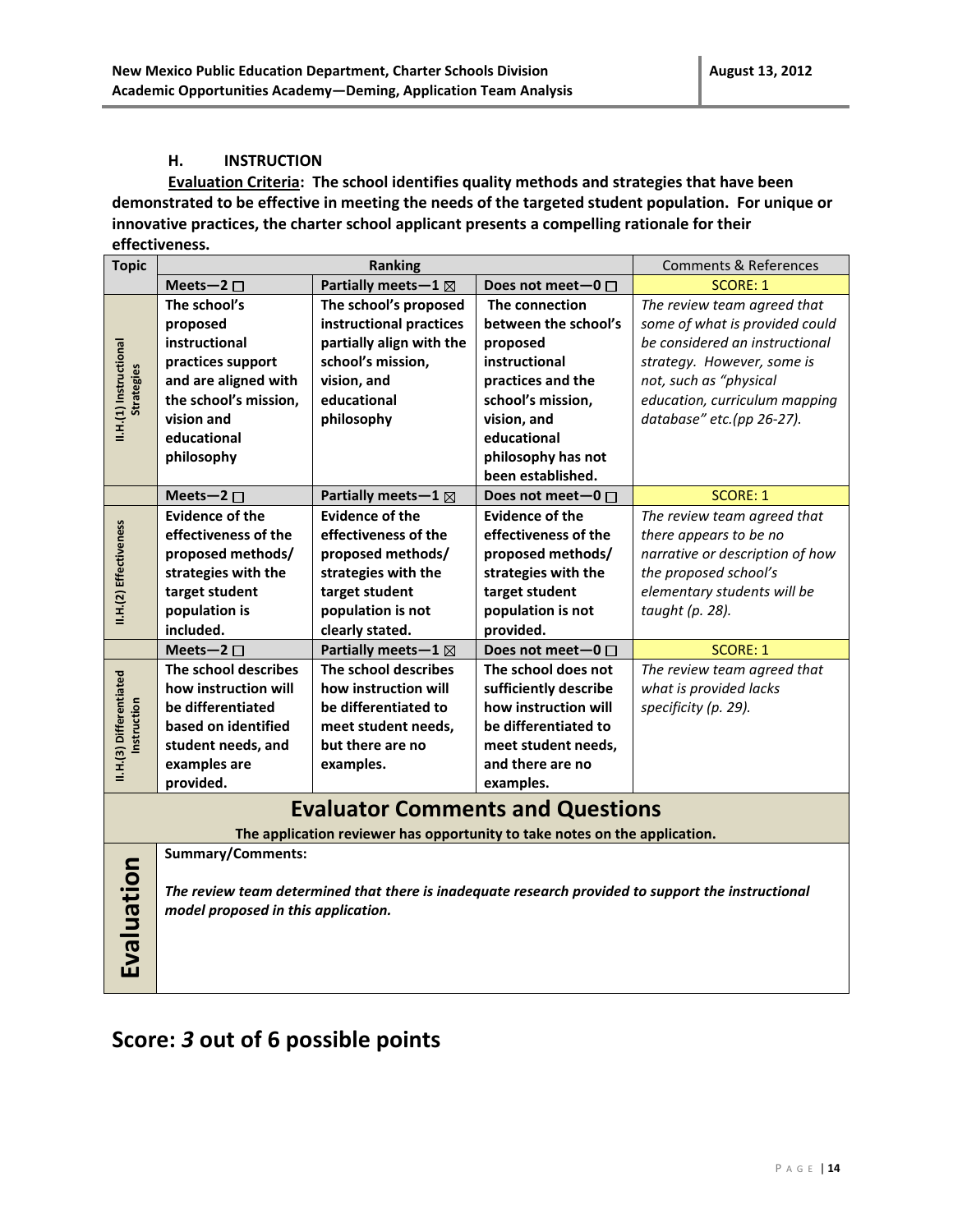#### **H. INSTRUCTION**

**Evaluation Criteria: The school identifies quality methods and strategies that have been demonstrated to be effective in meeting the needs of the targeted student population. For unique or innovative practices, the charter school applicant presents a compelling rationale for their effectiveness.**

| <b>Topic</b>                                | <b>Ranking</b>                      |                                                                            |                        | <b>Comments &amp; References</b>                                                                   |
|---------------------------------------------|-------------------------------------|----------------------------------------------------------------------------|------------------------|----------------------------------------------------------------------------------------------------|
|                                             | Meets-2 $\square$                   | Partially meets-1 ⊠                                                        | Does not meet-0 □      | <b>SCORE: 1</b>                                                                                    |
|                                             | The school's                        | The school's proposed                                                      | The connection         | The review team agreed that                                                                        |
|                                             | proposed                            | instructional practices                                                    | between the school's   | some of what is provided could                                                                     |
|                                             | instructional                       | partially align with the                                                   | proposed               | be considered an instructional                                                                     |
|                                             | practices support                   | school's mission,                                                          | instructional          | strategy. However, some is                                                                         |
| II.H.(1) Instructional<br><b>Strategies</b> | and are aligned with                | vision, and                                                                | practices and the      | not, such as "physical                                                                             |
|                                             | the school's mission,               | educational                                                                | school's mission,      | education, curriculum mapping                                                                      |
|                                             | vision and                          | philosophy                                                                 | vision, and            | database" etc.(pp 26-27).                                                                          |
|                                             | educational                         |                                                                            | educational            |                                                                                                    |
|                                             | philosophy                          |                                                                            | philosophy has not     |                                                                                                    |
|                                             |                                     |                                                                            | been established.      |                                                                                                    |
|                                             | Meets-2 $\square$                   | Partially meets-1 ⊠                                                        | Does not meet-0 $\Box$ | <b>SCORE: 1</b>                                                                                    |
|                                             | <b>Evidence of the</b>              | <b>Evidence of the</b>                                                     | <b>Evidence of the</b> | The review team agreed that                                                                        |
|                                             | effectiveness of the                | effectiveness of the                                                       | effectiveness of the   | there appears to be no                                                                             |
|                                             | proposed methods/                   | proposed methods/                                                          | proposed methods/      | narrative or description of how                                                                    |
|                                             | strategies with the                 | strategies with the                                                        | strategies with the    | the proposed school's                                                                              |
|                                             | target student                      | target student                                                             | target student         | elementary students will be                                                                        |
| II.H.(2) Effectiveness                      | population is                       | population is not                                                          | population is not      | taught (p. 28).                                                                                    |
|                                             | included.                           | clearly stated.                                                            | provided.              |                                                                                                    |
|                                             | Meets-2 $\square$                   | Partially meets-1 $\boxtimes$                                              | Does not meet-0 □      | <b>SCORE: 1</b>                                                                                    |
|                                             | The school describes                | The school describes                                                       | The school does not    | The review team agreed that                                                                        |
|                                             | how instruction will                | how instruction will                                                       | sufficiently describe  | what is provided lacks                                                                             |
| II.H.(3) Differentiated<br>nstruction       | be differentiated                   | be differentiated to                                                       | how instruction will   | specificity (p. 29).                                                                               |
|                                             | based on identified                 | meet student needs,                                                        | be differentiated to   |                                                                                                    |
|                                             | student needs, and                  | but there are no                                                           | meet student needs,    |                                                                                                    |
|                                             | examples are                        | examples.                                                                  | and there are no       |                                                                                                    |
|                                             | provided.                           |                                                                            | examples.              |                                                                                                    |
|                                             |                                     | <b>Evaluator Comments and Questions</b>                                    |                        |                                                                                                    |
|                                             |                                     | The application reviewer has opportunity to take notes on the application. |                        |                                                                                                    |
|                                             | <b>Summary/Comments:</b>            |                                                                            |                        |                                                                                                    |
| Evaluation                                  |                                     |                                                                            |                        | The review team determined that there is inadequate research provided to support the instructional |
|                                             | model proposed in this application. |                                                                            |                        |                                                                                                    |
|                                             |                                     |                                                                            |                        |                                                                                                    |
|                                             |                                     |                                                                            |                        |                                                                                                    |
|                                             |                                     |                                                                            |                        |                                                                                                    |
|                                             |                                     |                                                                            |                        |                                                                                                    |

## **Score:** *3* **out of 6 possible points**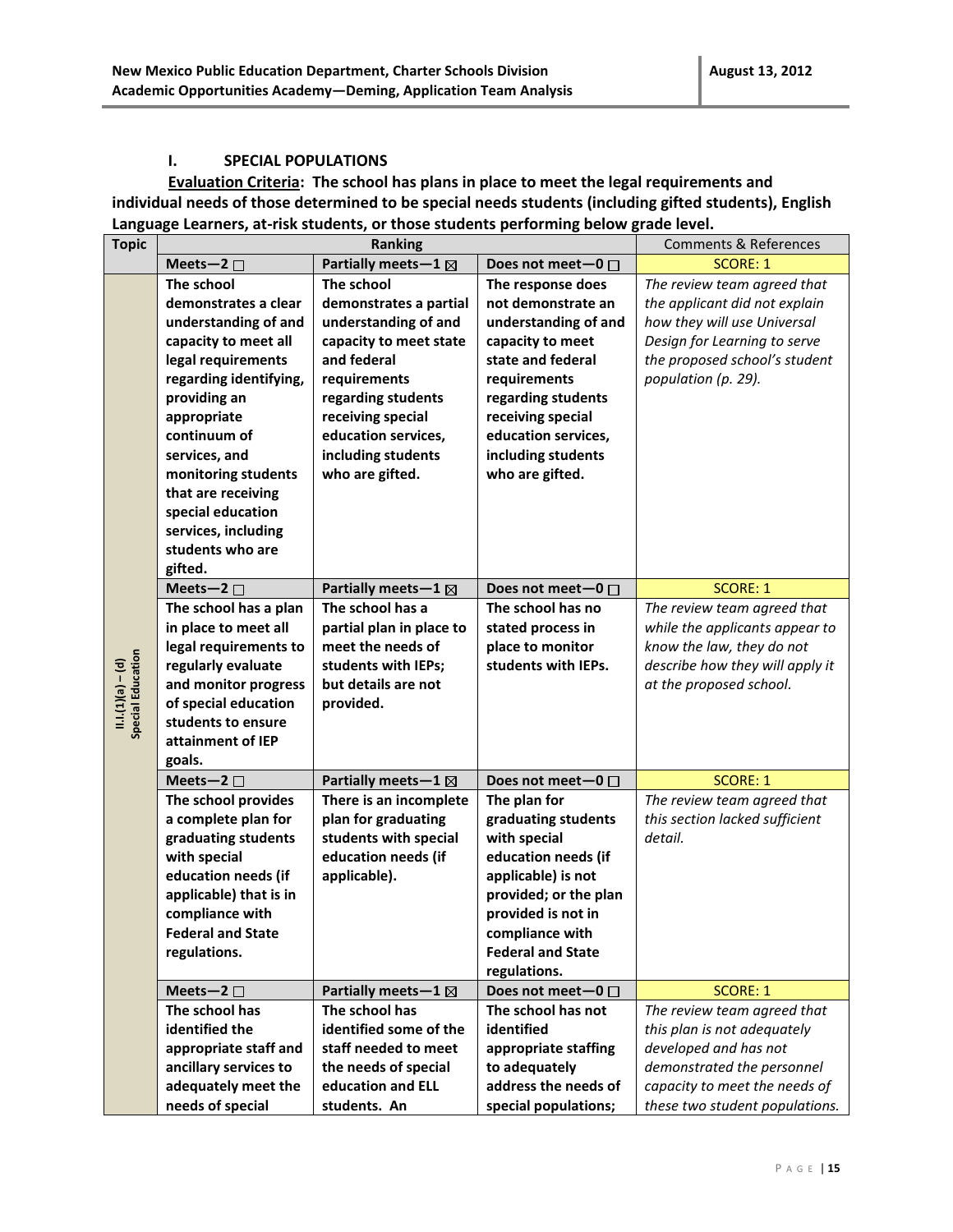#### **I. SPECIAL POPULATIONS**

**Evaluation Criteria: The school has plans in place to meet the legal requirements and individual needs of those determined to be special needs students (including gifted students), English Language Learners, at-risk students, or those students performing below grade level.**

| <b>Topic</b>                           | Ranking                                 |                                 |                           | <b>Comments &amp; References</b> |
|----------------------------------------|-----------------------------------------|---------------------------------|---------------------------|----------------------------------|
|                                        | Meets-2 $\square$                       | Partially meets - $1 \boxtimes$ | Does not meet $-0$ $\Box$ | <b>SCORE: 1</b>                  |
|                                        | The school                              | The school                      | The response does         | The review team agreed that      |
|                                        | demonstrates a clear                    | demonstrates a partial          | not demonstrate an        | the applicant did not explain    |
|                                        | understanding of and                    | understanding of and            | understanding of and      | how they will use Universal      |
|                                        | capacity to meet all                    | capacity to meet state          | capacity to meet          | Design for Learning to serve     |
|                                        | legal requirements                      | and federal                     | state and federal         | the proposed school's student    |
|                                        | regarding identifying,                  | requirements                    | requirements              | population (p. 29).              |
|                                        | providing an                            | regarding students              | regarding students        |                                  |
|                                        | appropriate                             | receiving special               | receiving special         |                                  |
|                                        | continuum of                            | education services,             | education services,       |                                  |
|                                        | services, and                           | including students              | including students        |                                  |
|                                        | monitoring students                     | who are gifted.                 | who are gifted.           |                                  |
|                                        | that are receiving                      |                                 |                           |                                  |
|                                        | special education                       |                                 |                           |                                  |
|                                        |                                         |                                 |                           |                                  |
|                                        | services, including<br>students who are |                                 |                           |                                  |
|                                        |                                         |                                 |                           |                                  |
|                                        | gifted.                                 |                                 |                           |                                  |
|                                        | Meets-2 $\square$                       | Partially meets - $1 \boxtimes$ | Does not meet-0 $\Box$    | <b>SCORE: 1</b>                  |
|                                        | The school has a plan                   | The school has a                | The school has no         | The review team agreed that      |
|                                        | in place to meet all                    | partial plan in place to        | stated process in         | while the applicants appear to   |
|                                        | legal requirements to                   | meet the needs of               | place to monitor          | know the law, they do not        |
|                                        | regularly evaluate                      | students with IEPs;             | students with IEPs.       | describe how they will apply it  |
| II.I.(1)(a) – (d)<br>Special Education | and monitor progress                    | but details are not             |                           | at the proposed school.          |
|                                        | of special education                    | provided.                       |                           |                                  |
|                                        | students to ensure                      |                                 |                           |                                  |
|                                        | attainment of IEP                       |                                 |                           |                                  |
|                                        | goals.                                  |                                 |                           |                                  |
|                                        | Meets-2 $\square$                       | Partially meets - $1 \boxtimes$ | Does not meet-0 $\Box$    | <b>SCORE: 1</b>                  |
|                                        | The school provides                     | There is an incomplete          | The plan for              | The review team agreed that      |
|                                        | a complete plan for                     | plan for graduating             | graduating students       | this section lacked sufficient   |
|                                        | graduating students                     | students with special           | with special              | detail.                          |
|                                        | with special                            | education needs (if             | education needs (if       |                                  |
|                                        | education needs (if                     | applicable).                    | applicable) is not        |                                  |
|                                        | applicable) that is in                  |                                 | provided; or the plan     |                                  |
|                                        | compliance with                         |                                 | provided is not in        |                                  |
|                                        | <b>Federal and State</b>                |                                 | compliance with           |                                  |
|                                        | regulations.                            |                                 | <b>Federal and State</b>  |                                  |
|                                        |                                         |                                 | regulations.              |                                  |
|                                        | Meets-2 $\square$                       | Partially meets-1 ⊠             | Does not meet-0 □         | <b>SCORE: 1</b>                  |
|                                        | The school has                          | The school has                  | The school has not        | The review team agreed that      |
|                                        | identified the                          | identified some of the          | identified                | this plan is not adequately      |
|                                        | appropriate staff and                   | staff needed to meet            | appropriate staffing      | developed and has not            |
|                                        | ancillary services to                   | the needs of special            | to adequately             | demonstrated the personnel       |
|                                        | adequately meet the                     | education and ELL               | address the needs of      | capacity to meet the needs of    |
|                                        | needs of special                        | students. An                    | special populations;      | these two student populations.   |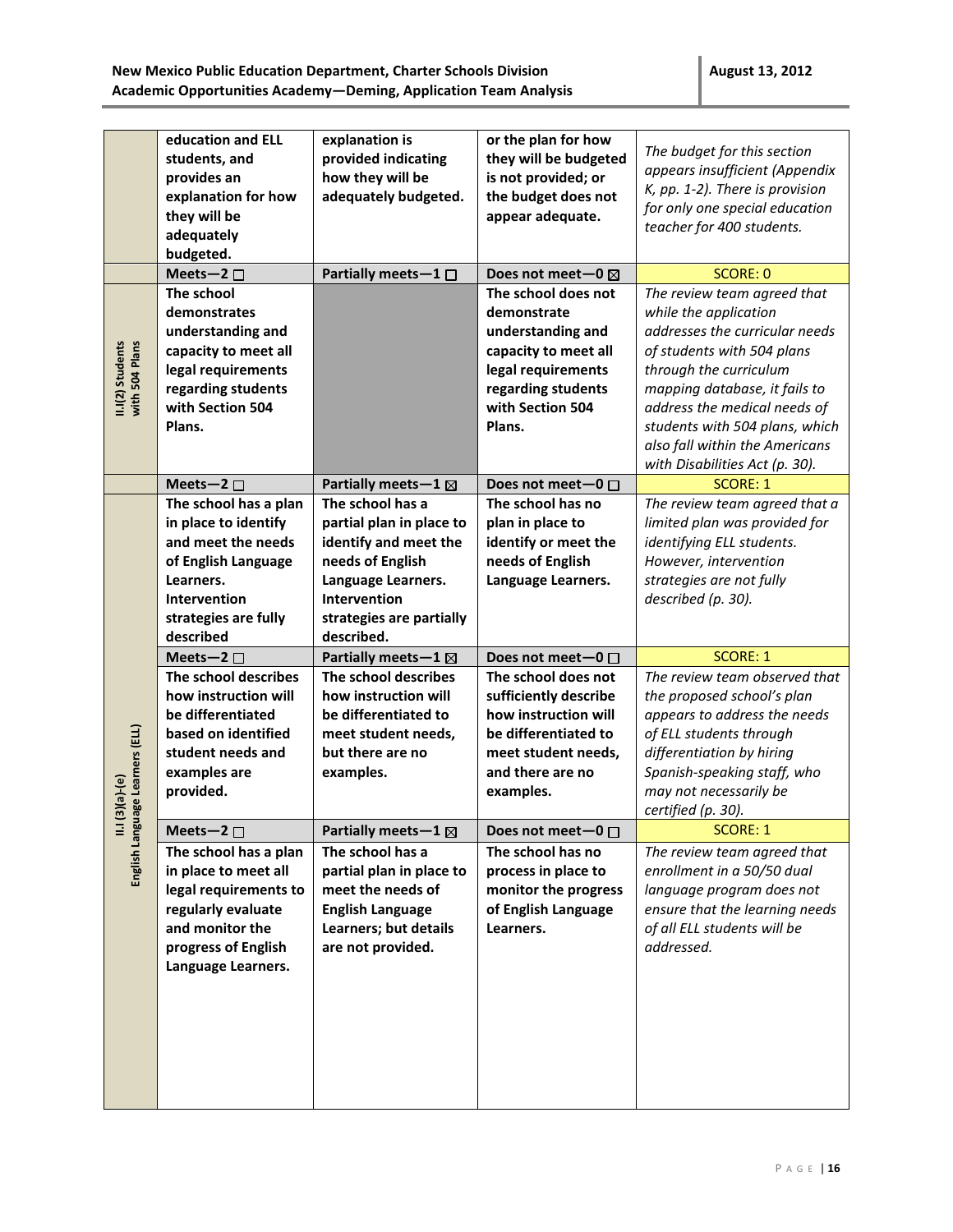|                                    | education and ELL<br>students, and<br>provides an<br>explanation for how<br>they will be<br>adequately<br>budgeted.                                                 | explanation is<br>provided indicating<br>how they will be<br>adequately budgeted.                                                                                         | or the plan for how<br>they will be budgeted<br>is not provided; or<br>the budget does not<br>appear adequate.                                            | The budget for this section<br>appears insufficient (Appendix<br>K, pp. 1-2). There is provision<br>for only one special education<br>teacher for 400 students.                                                                                                                                                       |
|------------------------------------|---------------------------------------------------------------------------------------------------------------------------------------------------------------------|---------------------------------------------------------------------------------------------------------------------------------------------------------------------------|-----------------------------------------------------------------------------------------------------------------------------------------------------------|-----------------------------------------------------------------------------------------------------------------------------------------------------------------------------------------------------------------------------------------------------------------------------------------------------------------------|
|                                    | Meets-2 $\square$                                                                                                                                                   | Partially meets-1 □                                                                                                                                                       | Does not meet-0 ⊠                                                                                                                                         | <b>SCORE: 0</b>                                                                                                                                                                                                                                                                                                       |
| with 504 Plans<br>II.I(2) Students | The school<br>demonstrates<br>understanding and<br>capacity to meet all<br>legal requirements<br>regarding students<br>with Section 504<br>Plans.                   |                                                                                                                                                                           | The school does not<br>demonstrate<br>understanding and<br>capacity to meet all<br>legal requirements<br>regarding students<br>with Section 504<br>Plans. | The review team agreed that<br>while the application<br>addresses the curricular needs<br>of students with 504 plans<br>through the curriculum<br>mapping database, it fails to<br>address the medical needs of<br>students with 504 plans, which<br>also fall within the Americans<br>with Disabilities Act (p. 30). |
|                                    | Meets-2 $\square$                                                                                                                                                   | Partially meets - $1 \boxtimes$                                                                                                                                           | Does not meet-0 □                                                                                                                                         | <b>SCORE: 1</b>                                                                                                                                                                                                                                                                                                       |
|                                    | The school has a plan<br>in place to identify<br>and meet the needs<br>of English Language<br>Learners.<br><b>Intervention</b><br>strategies are fully<br>described | The school has a<br>partial plan in place to<br>identify and meet the<br>needs of English<br>Language Learners.<br>Intervention<br>strategies are partially<br>described. | The school has no<br>plan in place to<br>identify or meet the<br>needs of English<br>Language Learners.                                                   | The review team agreed that a<br>limited plan was provided for<br>identifying ELL students.<br>However, intervention<br>strategies are not fully<br>described (p. 30).                                                                                                                                                |
|                                    | Meets-2 $\square$                                                                                                                                                   | Partially meets-1 ⊠                                                                                                                                                       | Does not meet-0 $\Box$                                                                                                                                    | <b>SCORE: 1</b>                                                                                                                                                                                                                                                                                                       |
| uage Learners (ELL)<br>$(a)-(s)$   | The school describes<br>how instruction will<br>be differentiated<br>based on identified<br>student needs and<br>examples are<br>provided.                          | The school describes<br>how instruction will<br>be differentiated to<br>meet student needs,<br>but there are no<br>examples.                                              | The school does not<br>sufficiently describe<br>how instruction will<br>be differentiated to<br>meet student needs,<br>and there are no<br>examples.      | The review team observed that<br>the proposed school's plan<br>appears to address the needs<br>of ELL students through<br>differentiation by hiring<br>Spanish-speaking staff, who<br>may not necessarily be<br>certified (p. 30).                                                                                    |
|                                    | Meets-2 $\square$                                                                                                                                                   | Partially meets - $1 \boxtimes$                                                                                                                                           | Does not meet-0 $\Box$                                                                                                                                    | <b>SCORE: 1</b>                                                                                                                                                                                                                                                                                                       |
|                                    | The school has a plan<br>in place to meet all<br>legal requirements to<br>regularly evaluate<br>and monitor the<br>progress of English<br>Language Learners.        | The school has a<br>partial plan in place to<br>meet the needs of<br><b>English Language</b><br>Learners; but details<br>are not provided.                                | The school has no<br>process in place to<br>monitor the progress<br>of English Language<br>Learners.                                                      | The review team agreed that<br>enrollment in a 50/50 dual<br>language program does not<br>ensure that the learning needs<br>of all ELL students will be<br>addressed.                                                                                                                                                 |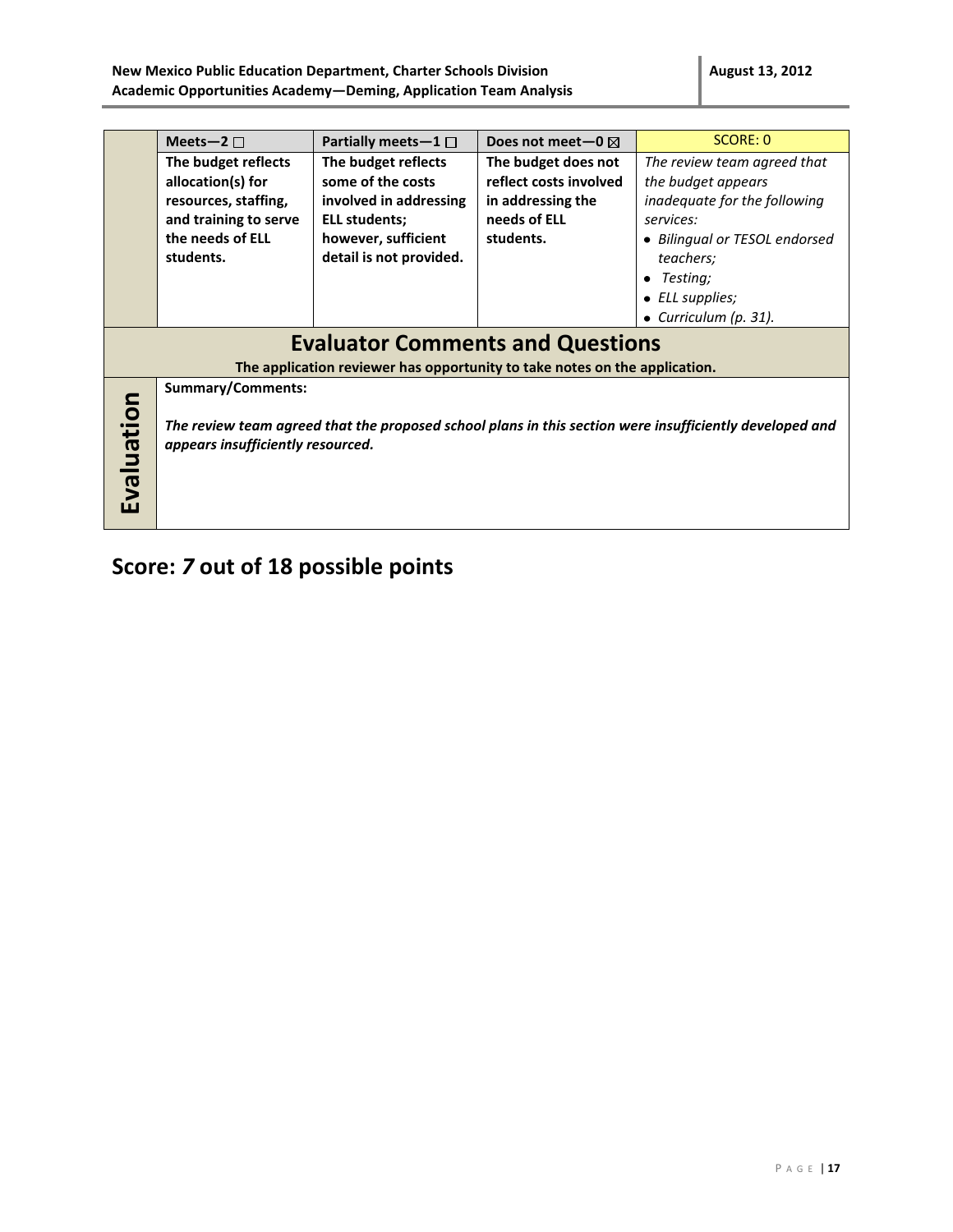|                                         | Meets-2 $\square$                                                          | Partially meets $-1$ $\Box$ | Does not meet-0 $\boxtimes$ | SCORE: 0                                                                                                |  |  |
|-----------------------------------------|----------------------------------------------------------------------------|-----------------------------|-----------------------------|---------------------------------------------------------------------------------------------------------|--|--|
|                                         | The budget reflects                                                        | The budget reflects         | The budget does not         | The review team agreed that                                                                             |  |  |
|                                         | allocation(s) for                                                          | some of the costs           | reflect costs involved      | the budget appears                                                                                      |  |  |
|                                         | resources, staffing,                                                       | involved in addressing      | in addressing the           | inadequate for the following                                                                            |  |  |
|                                         | and training to serve                                                      | ELL students;               | needs of ELL                | services:                                                                                               |  |  |
|                                         | the needs of ELL                                                           | however, sufficient         | students.                   | • Bilingual or TESOL endorsed                                                                           |  |  |
|                                         | students.                                                                  | detail is not provided.     |                             | teachers;                                                                                               |  |  |
|                                         |                                                                            |                             |                             | Testing;<br>٠                                                                                           |  |  |
|                                         |                                                                            |                             |                             | $\bullet$ ELL supplies;                                                                                 |  |  |
|                                         |                                                                            |                             |                             | • Curriculum (p. 31).                                                                                   |  |  |
| <b>Evaluator Comments and Questions</b> |                                                                            |                             |                             |                                                                                                         |  |  |
|                                         | The application reviewer has opportunity to take notes on the application. |                             |                             |                                                                                                         |  |  |
| Evaluation                              | <b>Summary/Comments:</b><br>appears insufficiently resourced.              |                             |                             | The review team agreed that the proposed school plans in this section were insufficiently developed and |  |  |

## **Score:** *7* **out of 18 possible points**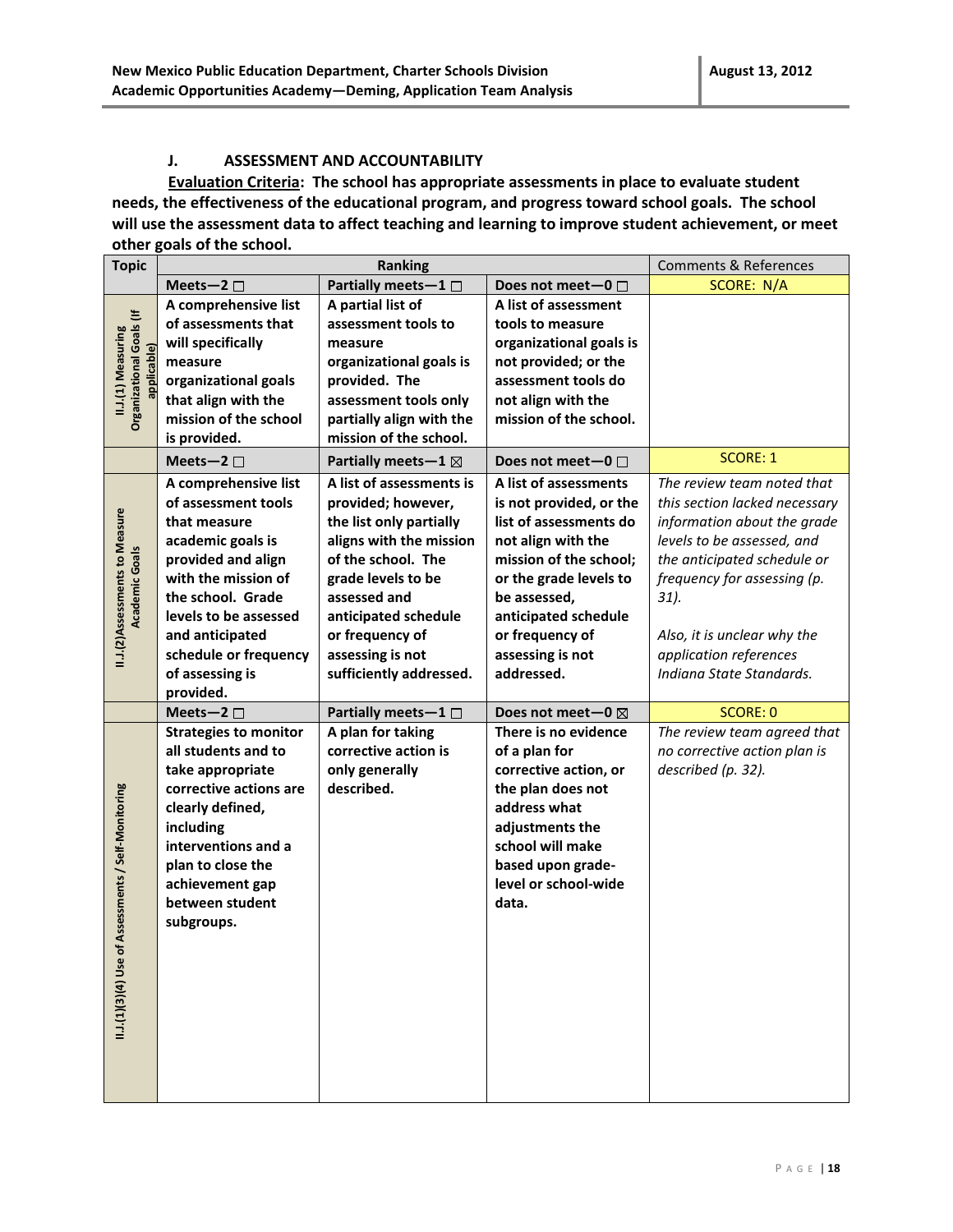#### **J. ASSESSMENT AND ACCOUNTABILITY**

**Evaluation Criteria: The school has appropriate assessments in place to evaluate student needs, the effectiveness of the educational program, and progress toward school goals. The school will use the assessment data to affect teaching and learning to improve student achievement, or meet other goals of the school.** 

| Partially meets-1<br><b>SCORE: N/A</b><br>Meets-2 $\square$<br>Does not meet-0 $\Box$<br>A comprehensive list<br>A partial list of<br>A list of assessment<br><b>Organizational Goals (If</b><br>of assessments that<br>assessment tools to<br>tools to measure<br>II.J.(1) Measuring<br>will specifically<br>organizational goals is<br>measure<br>applicable)<br>organizational goals is<br>not provided; or the<br>measure<br>assessment tools do<br>organizational goals<br>provided. The<br>that align with the<br>assessment tools only<br>not align with the<br>mission of the school<br>partially align with the<br>mission of the school.<br>mission of the school.<br>is provided.<br><b>SCORE: 1</b><br>Partially meets - $1 \boxtimes$<br>Meets-2 $\square$<br>Does not meet-0 $\Box$<br>A comprehensive list<br>A list of assessments is<br>A list of assessments<br>The review team noted that<br>of assessment tools<br>provided; however,<br>is not provided, or the<br>this section lacked necessary<br>II.J.(2)Assessments to Measure<br>list of assessments do<br>that measure<br>the list only partially<br>information about the grade |
|-------------------------------------------------------------------------------------------------------------------------------------------------------------------------------------------------------------------------------------------------------------------------------------------------------------------------------------------------------------------------------------------------------------------------------------------------------------------------------------------------------------------------------------------------------------------------------------------------------------------------------------------------------------------------------------------------------------------------------------------------------------------------------------------------------------------------------------------------------------------------------------------------------------------------------------------------------------------------------------------------------------------------------------------------------------------------------------------------------------------------------------------------------------|
|                                                                                                                                                                                                                                                                                                                                                                                                                                                                                                                                                                                                                                                                                                                                                                                                                                                                                                                                                                                                                                                                                                                                                             |
|                                                                                                                                                                                                                                                                                                                                                                                                                                                                                                                                                                                                                                                                                                                                                                                                                                                                                                                                                                                                                                                                                                                                                             |
|                                                                                                                                                                                                                                                                                                                                                                                                                                                                                                                                                                                                                                                                                                                                                                                                                                                                                                                                                                                                                                                                                                                                                             |
|                                                                                                                                                                                                                                                                                                                                                                                                                                                                                                                                                                                                                                                                                                                                                                                                                                                                                                                                                                                                                                                                                                                                                             |
|                                                                                                                                                                                                                                                                                                                                                                                                                                                                                                                                                                                                                                                                                                                                                                                                                                                                                                                                                                                                                                                                                                                                                             |
|                                                                                                                                                                                                                                                                                                                                                                                                                                                                                                                                                                                                                                                                                                                                                                                                                                                                                                                                                                                                                                                                                                                                                             |
|                                                                                                                                                                                                                                                                                                                                                                                                                                                                                                                                                                                                                                                                                                                                                                                                                                                                                                                                                                                                                                                                                                                                                             |
|                                                                                                                                                                                                                                                                                                                                                                                                                                                                                                                                                                                                                                                                                                                                                                                                                                                                                                                                                                                                                                                                                                                                                             |
|                                                                                                                                                                                                                                                                                                                                                                                                                                                                                                                                                                                                                                                                                                                                                                                                                                                                                                                                                                                                                                                                                                                                                             |
|                                                                                                                                                                                                                                                                                                                                                                                                                                                                                                                                                                                                                                                                                                                                                                                                                                                                                                                                                                                                                                                                                                                                                             |
|                                                                                                                                                                                                                                                                                                                                                                                                                                                                                                                                                                                                                                                                                                                                                                                                                                                                                                                                                                                                                                                                                                                                                             |
|                                                                                                                                                                                                                                                                                                                                                                                                                                                                                                                                                                                                                                                                                                                                                                                                                                                                                                                                                                                                                                                                                                                                                             |
|                                                                                                                                                                                                                                                                                                                                                                                                                                                                                                                                                                                                                                                                                                                                                                                                                                                                                                                                                                                                                                                                                                                                                             |
| academic goals is<br>aligns with the mission<br>not align with the<br>levels to be assessed, and                                                                                                                                                                                                                                                                                                                                                                                                                                                                                                                                                                                                                                                                                                                                                                                                                                                                                                                                                                                                                                                            |
| Academic Goals<br>of the school. The<br>mission of the school;<br>the anticipated schedule or<br>provided and align                                                                                                                                                                                                                                                                                                                                                                                                                                                                                                                                                                                                                                                                                                                                                                                                                                                                                                                                                                                                                                         |
| with the mission of<br>grade levels to be<br>or the grade levels to<br>frequency for assessing (p.                                                                                                                                                                                                                                                                                                                                                                                                                                                                                                                                                                                                                                                                                                                                                                                                                                                                                                                                                                                                                                                          |
| the school. Grade<br>assessed and<br>be assessed,<br>31.                                                                                                                                                                                                                                                                                                                                                                                                                                                                                                                                                                                                                                                                                                                                                                                                                                                                                                                                                                                                                                                                                                    |
| anticipated schedule<br>levels to be assessed<br>anticipated schedule                                                                                                                                                                                                                                                                                                                                                                                                                                                                                                                                                                                                                                                                                                                                                                                                                                                                                                                                                                                                                                                                                       |
| and anticipated<br>or frequency of<br>or frequency of<br>Also, it is unclear why the                                                                                                                                                                                                                                                                                                                                                                                                                                                                                                                                                                                                                                                                                                                                                                                                                                                                                                                                                                                                                                                                        |
| assessing is not<br>schedule or frequency<br>assessing is not<br>application references                                                                                                                                                                                                                                                                                                                                                                                                                                                                                                                                                                                                                                                                                                                                                                                                                                                                                                                                                                                                                                                                     |
| addressed.<br>Indiana State Standards.<br>of assessing is<br>sufficiently addressed.                                                                                                                                                                                                                                                                                                                                                                                                                                                                                                                                                                                                                                                                                                                                                                                                                                                                                                                                                                                                                                                                        |
| provided.                                                                                                                                                                                                                                                                                                                                                                                                                                                                                                                                                                                                                                                                                                                                                                                                                                                                                                                                                                                                                                                                                                                                                   |
| Partially meets-1 □<br>Meets-2 $\square$<br>Does not meet-0 $\boxtimes$<br>SCORE: 0                                                                                                                                                                                                                                                                                                                                                                                                                                                                                                                                                                                                                                                                                                                                                                                                                                                                                                                                                                                                                                                                         |
| There is no evidence<br><b>Strategies to monitor</b><br>A plan for taking<br>The review team agreed that                                                                                                                                                                                                                                                                                                                                                                                                                                                                                                                                                                                                                                                                                                                                                                                                                                                                                                                                                                                                                                                    |
| corrective action is<br>all students and to<br>of a plan for<br>no corrective action plan is                                                                                                                                                                                                                                                                                                                                                                                                                                                                                                                                                                                                                                                                                                                                                                                                                                                                                                                                                                                                                                                                |
| take appropriate<br>only generally<br>corrective action, or<br>described (p. 32).                                                                                                                                                                                                                                                                                                                                                                                                                                                                                                                                                                                                                                                                                                                                                                                                                                                                                                                                                                                                                                                                           |
| corrective actions are<br>described.<br>II.1.(1)(3)(4) Use of Assessments / Self-Monitoring<br>the plan does not                                                                                                                                                                                                                                                                                                                                                                                                                                                                                                                                                                                                                                                                                                                                                                                                                                                                                                                                                                                                                                            |
| address what<br>clearly defined,                                                                                                                                                                                                                                                                                                                                                                                                                                                                                                                                                                                                                                                                                                                                                                                                                                                                                                                                                                                                                                                                                                                            |
| including<br>adjustments the                                                                                                                                                                                                                                                                                                                                                                                                                                                                                                                                                                                                                                                                                                                                                                                                                                                                                                                                                                                                                                                                                                                                |
| interventions and a<br>school will make                                                                                                                                                                                                                                                                                                                                                                                                                                                                                                                                                                                                                                                                                                                                                                                                                                                                                                                                                                                                                                                                                                                     |
| plan to close the<br>based upon grade-                                                                                                                                                                                                                                                                                                                                                                                                                                                                                                                                                                                                                                                                                                                                                                                                                                                                                                                                                                                                                                                                                                                      |
| level or school-wide<br>achievement gap                                                                                                                                                                                                                                                                                                                                                                                                                                                                                                                                                                                                                                                                                                                                                                                                                                                                                                                                                                                                                                                                                                                     |
| between student<br>data.                                                                                                                                                                                                                                                                                                                                                                                                                                                                                                                                                                                                                                                                                                                                                                                                                                                                                                                                                                                                                                                                                                                                    |
| subgroups.                                                                                                                                                                                                                                                                                                                                                                                                                                                                                                                                                                                                                                                                                                                                                                                                                                                                                                                                                                                                                                                                                                                                                  |
|                                                                                                                                                                                                                                                                                                                                                                                                                                                                                                                                                                                                                                                                                                                                                                                                                                                                                                                                                                                                                                                                                                                                                             |
|                                                                                                                                                                                                                                                                                                                                                                                                                                                                                                                                                                                                                                                                                                                                                                                                                                                                                                                                                                                                                                                                                                                                                             |
|                                                                                                                                                                                                                                                                                                                                                                                                                                                                                                                                                                                                                                                                                                                                                                                                                                                                                                                                                                                                                                                                                                                                                             |
|                                                                                                                                                                                                                                                                                                                                                                                                                                                                                                                                                                                                                                                                                                                                                                                                                                                                                                                                                                                                                                                                                                                                                             |
|                                                                                                                                                                                                                                                                                                                                                                                                                                                                                                                                                                                                                                                                                                                                                                                                                                                                                                                                                                                                                                                                                                                                                             |
|                                                                                                                                                                                                                                                                                                                                                                                                                                                                                                                                                                                                                                                                                                                                                                                                                                                                                                                                                                                                                                                                                                                                                             |
|                                                                                                                                                                                                                                                                                                                                                                                                                                                                                                                                                                                                                                                                                                                                                                                                                                                                                                                                                                                                                                                                                                                                                             |
|                                                                                                                                                                                                                                                                                                                                                                                                                                                                                                                                                                                                                                                                                                                                                                                                                                                                                                                                                                                                                                                                                                                                                             |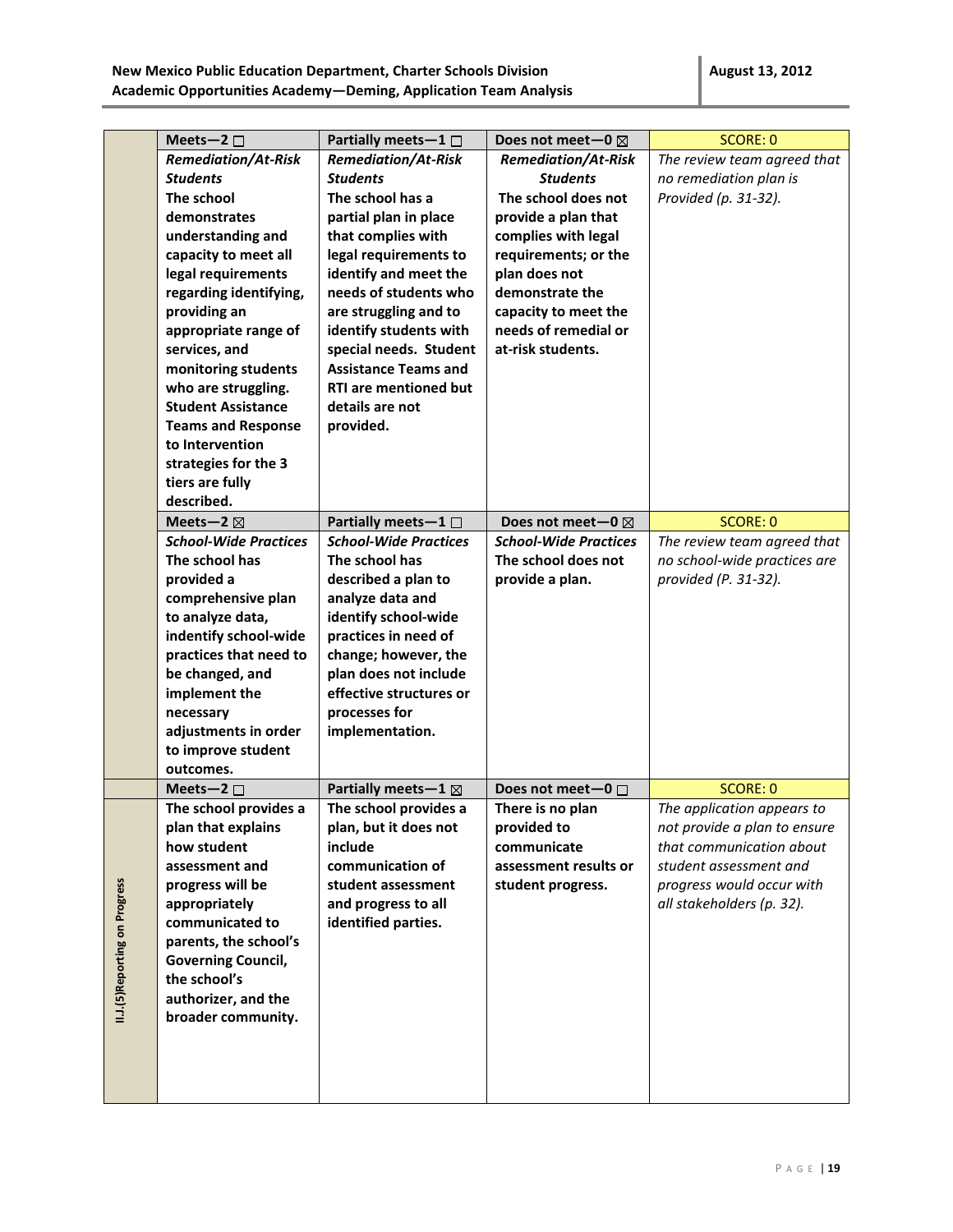|                                | Meets-2 $\square$                 | Partially meets-1 $\Box$                   | Does not meet-0 $\boxtimes$  | <b>SCORE: 0</b>              |
|--------------------------------|-----------------------------------|--------------------------------------------|------------------------------|------------------------------|
|                                | <b>Remediation/At-Risk</b>        | <b>Remediation/At-Risk</b>                 | <b>Remediation/At-Risk</b>   | The review team agreed that  |
|                                | <b>Students</b>                   | <b>Students</b>                            | <b>Students</b>              | no remediation plan is       |
|                                | The school                        | The school has a                           | The school does not          | Provided (p. 31-32).         |
|                                | demonstrates                      | partial plan in place                      | provide a plan that          |                              |
|                                | understanding and                 | that complies with                         | complies with legal          |                              |
|                                | capacity to meet all              | legal requirements to                      | requirements; or the         |                              |
|                                | legal requirements                | identify and meet the                      | plan does not                |                              |
|                                | regarding identifying,            | needs of students who                      | demonstrate the              |                              |
|                                | providing an                      | are struggling and to                      | capacity to meet the         |                              |
|                                | appropriate range of              | identify students with                     | needs of remedial or         |                              |
|                                | services, and                     | special needs. Student                     | at-risk students.            |                              |
|                                | monitoring students               | <b>Assistance Teams and</b>                |                              |                              |
|                                | who are struggling.               | <b>RTI are mentioned but</b>               |                              |                              |
|                                | <b>Student Assistance</b>         | details are not                            |                              |                              |
|                                | <b>Teams and Response</b>         | provided.                                  |                              |                              |
|                                | to Intervention                   |                                            |                              |                              |
|                                | strategies for the 3              |                                            |                              |                              |
|                                | tiers are fully                   |                                            |                              |                              |
|                                | described.                        |                                            |                              |                              |
|                                | Meets-2 $\boxtimes$               | Partially meets-1 $\Box$                   | Does not meet-0 $\boxtimes$  | <b>SCORE: 0</b>              |
|                                | <b>School-Wide Practices</b>      | <b>School-Wide Practices</b>               | <b>School-Wide Practices</b> | The review team agreed that  |
|                                | The school has                    | The school has                             | The school does not          | no school-wide practices are |
|                                | provided a                        | described a plan to                        | provide a plan.              | provided (P. 31-32).         |
|                                | comprehensive plan                | analyze data and                           |                              |                              |
|                                | to analyze data,                  | identify school-wide                       |                              |                              |
|                                | indentify school-wide             | practices in need of                       |                              |                              |
|                                | practices that need to            | change; however, the                       |                              |                              |
|                                | be changed, and                   | plan does not include                      |                              |                              |
|                                | implement the                     | effective structures or                    |                              |                              |
|                                | necessary                         | processes for                              |                              |                              |
|                                | adjustments in order              | implementation.                            |                              |                              |
|                                | to improve student                |                                            |                              |                              |
|                                | outcomes.                         |                                            |                              |                              |
|                                | Meets-2 $\square$                 | Partially meets - $1 \boxtimes$            | Does not meet-0 □            | <b>SCORE: 0</b>              |
|                                | The school provides a             | The school provides a                      | There is no plan             | The application appears to   |
|                                | plan that explains<br>how student | plan, but it does not<br>include           | provided to                  | not provide a plan to ensure |
|                                |                                   |                                            | communicate                  | that communication about     |
|                                | assessment and                    | communication of                           | assessment results or        | student assessment and       |
|                                | progress will be                  | student assessment                         | student progress.            | progress would occur with    |
|                                | appropriately<br>communicated to  | and progress to all<br>identified parties. |                              | all stakeholders (p. 32).    |
|                                | parents, the school's             |                                            |                              |                              |
|                                | <b>Governing Council,</b>         |                                            |                              |                              |
|                                | the school's                      |                                            |                              |                              |
|                                | authorizer, and the               |                                            |                              |                              |
| II.J.(5) Reporting on Progress | broader community.                |                                            |                              |                              |
|                                |                                   |                                            |                              |                              |
|                                |                                   |                                            |                              |                              |
|                                |                                   |                                            |                              |                              |
|                                |                                   |                                            |                              |                              |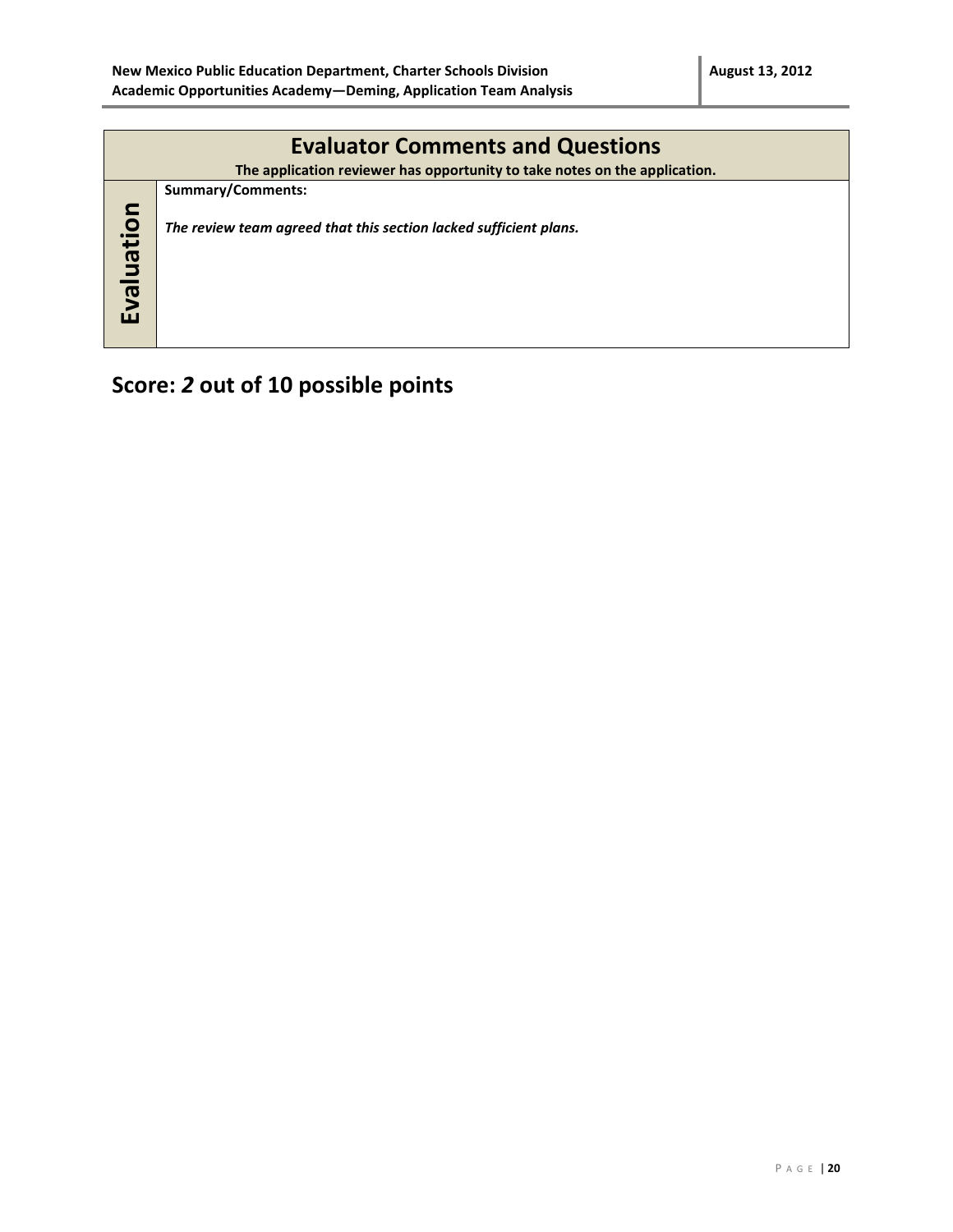| <b>Evaluator Comments and Questions</b> |                                                                                                 |  |  |  |  |  |
|-----------------------------------------|-------------------------------------------------------------------------------------------------|--|--|--|--|--|
|                                         | The application reviewer has opportunity to take notes on the application.<br>Summary/Comments: |  |  |  |  |  |
| Evaluation                              | The review team agreed that this section lacked sufficient plans.                               |  |  |  |  |  |

# **Score:** *2* **out of 10 possible points**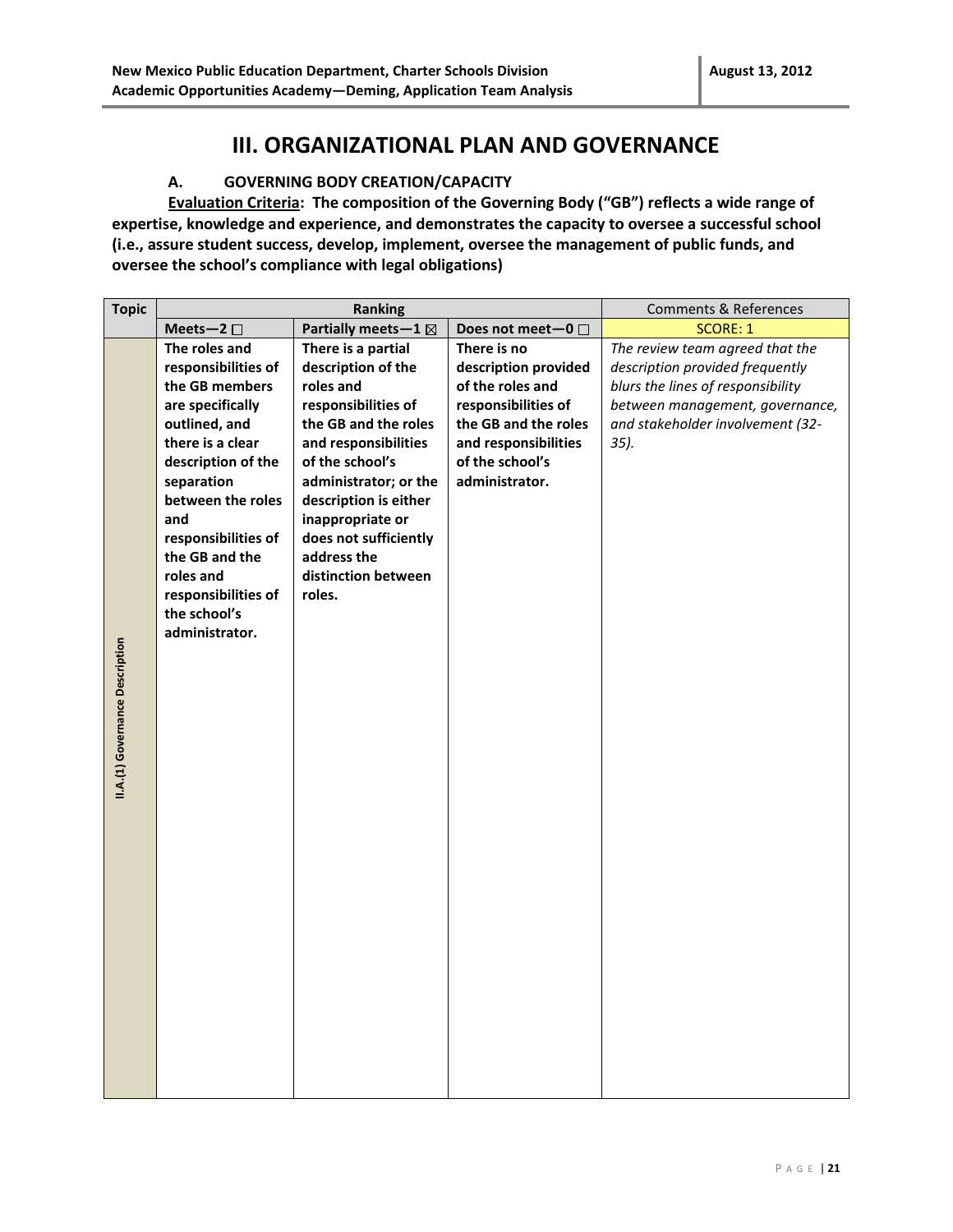### **III. ORGANIZATIONAL PLAN AND GOVERNANCE**

#### **A. GOVERNING BODY CREATION/CAPACITY**

**Evaluation Criteria: The composition of the Governing Body ("GB") reflects a wide range of expertise, knowledge and experience, and demonstrates the capacity to oversee a successful school (i.e., assure student success, develop, implement, oversee the management of public funds, and oversee the school's compliance with legal obligations)**

| <b>Topic</b><br>Ranking<br><b>Comments &amp; References</b>                                                                                                                                                                                                                                                                                                                                                                                                                                                                                                                                                                                                                                                                                                                                                                                                                                                                                                                                             |  |
|---------------------------------------------------------------------------------------------------------------------------------------------------------------------------------------------------------------------------------------------------------------------------------------------------------------------------------------------------------------------------------------------------------------------------------------------------------------------------------------------------------------------------------------------------------------------------------------------------------------------------------------------------------------------------------------------------------------------------------------------------------------------------------------------------------------------------------------------------------------------------------------------------------------------------------------------------------------------------------------------------------|--|
| Partially meets-1 ⊠<br><b>SCORE: 1</b><br>Meets-2 $\square$<br>Does not meet-0 □                                                                                                                                                                                                                                                                                                                                                                                                                                                                                                                                                                                                                                                                                                                                                                                                                                                                                                                        |  |
| The roles and<br>There is a partial<br>The review team agreed that the<br>There is no<br>description of the<br>responsibilities of<br>description provided<br>description provided frequently<br>the GB members<br>roles and<br>of the roles and<br>blurs the lines of responsibility<br>responsibilities of<br>responsibilities of<br>are specifically<br>between management, governance,<br>outlined, and<br>the GB and the roles<br>the GB and the roles<br>and stakeholder involvement (32-<br>there is a clear<br>and responsibilities<br>and responsibilities<br>$35$ ).<br>description of the<br>of the school's<br>of the school's<br>separation<br>administrator; or the<br>administrator.<br>between the roles<br>description is either<br>and<br>inappropriate or<br>responsibilities of<br>does not sufficiently<br>the GB and the<br>address the<br>roles and<br>distinction between<br>responsibilities of<br>roles.<br>the school's<br>administrator.<br>II.A.(1) Governance Description |  |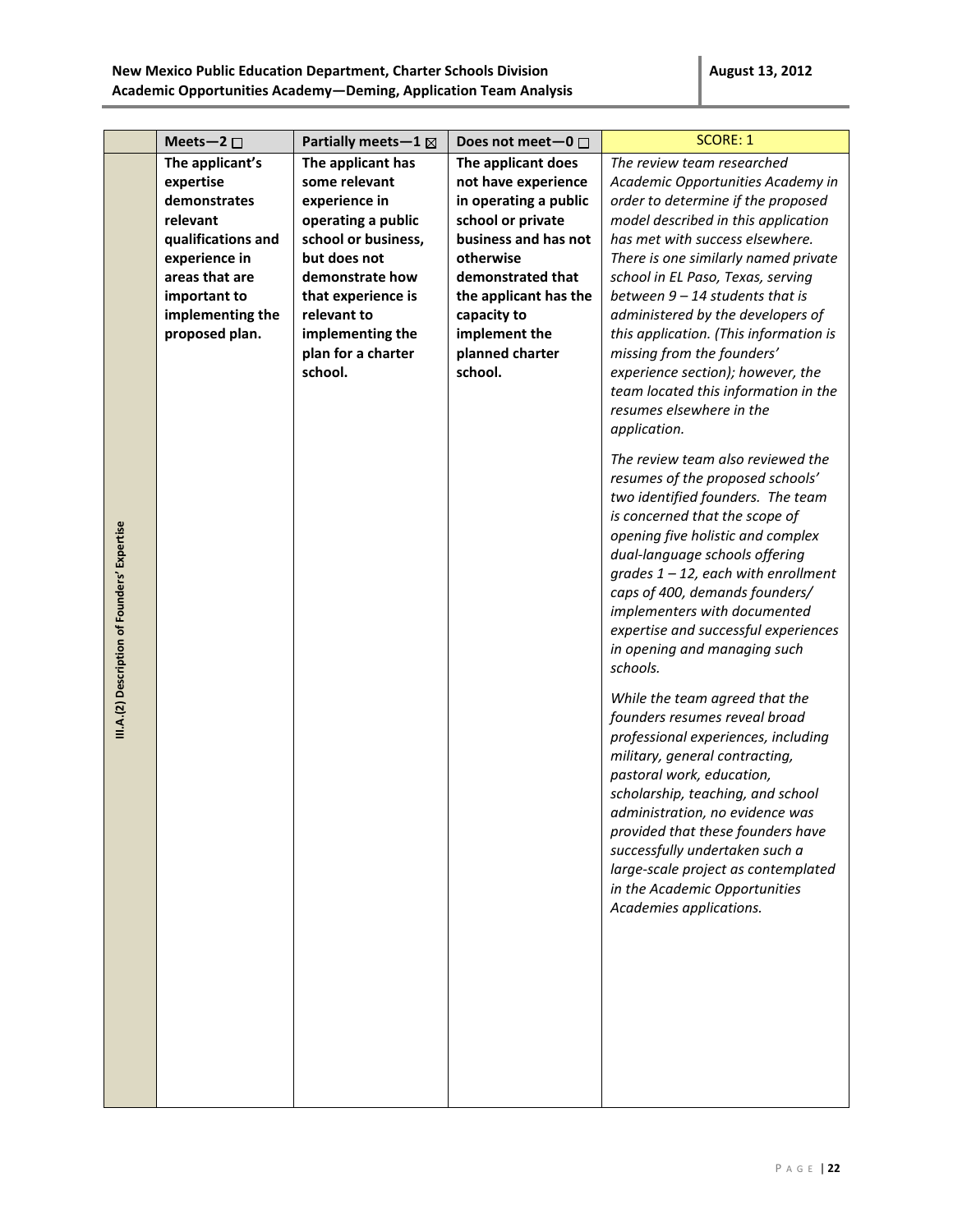|                                              | Meets-2 $\square$                                                                                                                                                       | Partially meets-1 ⊠                                                                                                                                                                                                           | Does not meet-0 $\square$                                                                                                                                                                                                                | <b>SCORE: 1</b>                                                                                                                                                                                                                                                                                                                                                                                                                                                                                                                                                                                                                                                                                                                                                                                                                                                                                                                                                                                                                                                                                                                                                                                                                                                                                                                                                                           |
|----------------------------------------------|-------------------------------------------------------------------------------------------------------------------------------------------------------------------------|-------------------------------------------------------------------------------------------------------------------------------------------------------------------------------------------------------------------------------|------------------------------------------------------------------------------------------------------------------------------------------------------------------------------------------------------------------------------------------|-------------------------------------------------------------------------------------------------------------------------------------------------------------------------------------------------------------------------------------------------------------------------------------------------------------------------------------------------------------------------------------------------------------------------------------------------------------------------------------------------------------------------------------------------------------------------------------------------------------------------------------------------------------------------------------------------------------------------------------------------------------------------------------------------------------------------------------------------------------------------------------------------------------------------------------------------------------------------------------------------------------------------------------------------------------------------------------------------------------------------------------------------------------------------------------------------------------------------------------------------------------------------------------------------------------------------------------------------------------------------------------------|
| III.A.(2) Description of Founders' Expertise | The applicant's<br>expertise<br>demonstrates<br>relevant<br>qualifications and<br>experience in<br>areas that are<br>important to<br>implementing the<br>proposed plan. | The applicant has<br>some relevant<br>experience in<br>operating a public<br>school or business,<br>but does not<br>demonstrate how<br>that experience is<br>relevant to<br>implementing the<br>plan for a charter<br>school. | The applicant does<br>not have experience<br>in operating a public<br>school or private<br>business and has not<br>otherwise<br>demonstrated that<br>the applicant has the<br>capacity to<br>implement the<br>planned charter<br>school. | The review team researched<br>Academic Opportunities Academy in<br>order to determine if the proposed<br>model described in this application<br>has met with success elsewhere.<br>There is one similarly named private<br>school in EL Paso, Texas, serving<br>between $9 - 14$ students that is<br>administered by the developers of<br>this application. (This information is<br>missing from the founders'<br>experience section); however, the<br>team located this information in the<br>resumes elsewhere in the<br>application.<br>The review team also reviewed the<br>resumes of the proposed schools'<br>two identified founders. The team<br>is concerned that the scope of<br>opening five holistic and complex<br>dual-language schools offering<br>$grades 1 - 12$ , each with enrollment<br>caps of 400, demands founders/<br>implementers with documented<br>expertise and successful experiences<br>in opening and managing such<br>schools.<br>While the team agreed that the<br>founders resumes reveal broad<br>professional experiences, including<br>military, general contracting,<br>pastoral work, education,<br>scholarship, teaching, and school<br>administration, no evidence was<br>provided that these founders have<br>successfully undertaken such a<br>large-scale project as contemplated<br>in the Academic Opportunities<br>Academies applications. |
|                                              |                                                                                                                                                                         |                                                                                                                                                                                                                               |                                                                                                                                                                                                                                          |                                                                                                                                                                                                                                                                                                                                                                                                                                                                                                                                                                                                                                                                                                                                                                                                                                                                                                                                                                                                                                                                                                                                                                                                                                                                                                                                                                                           |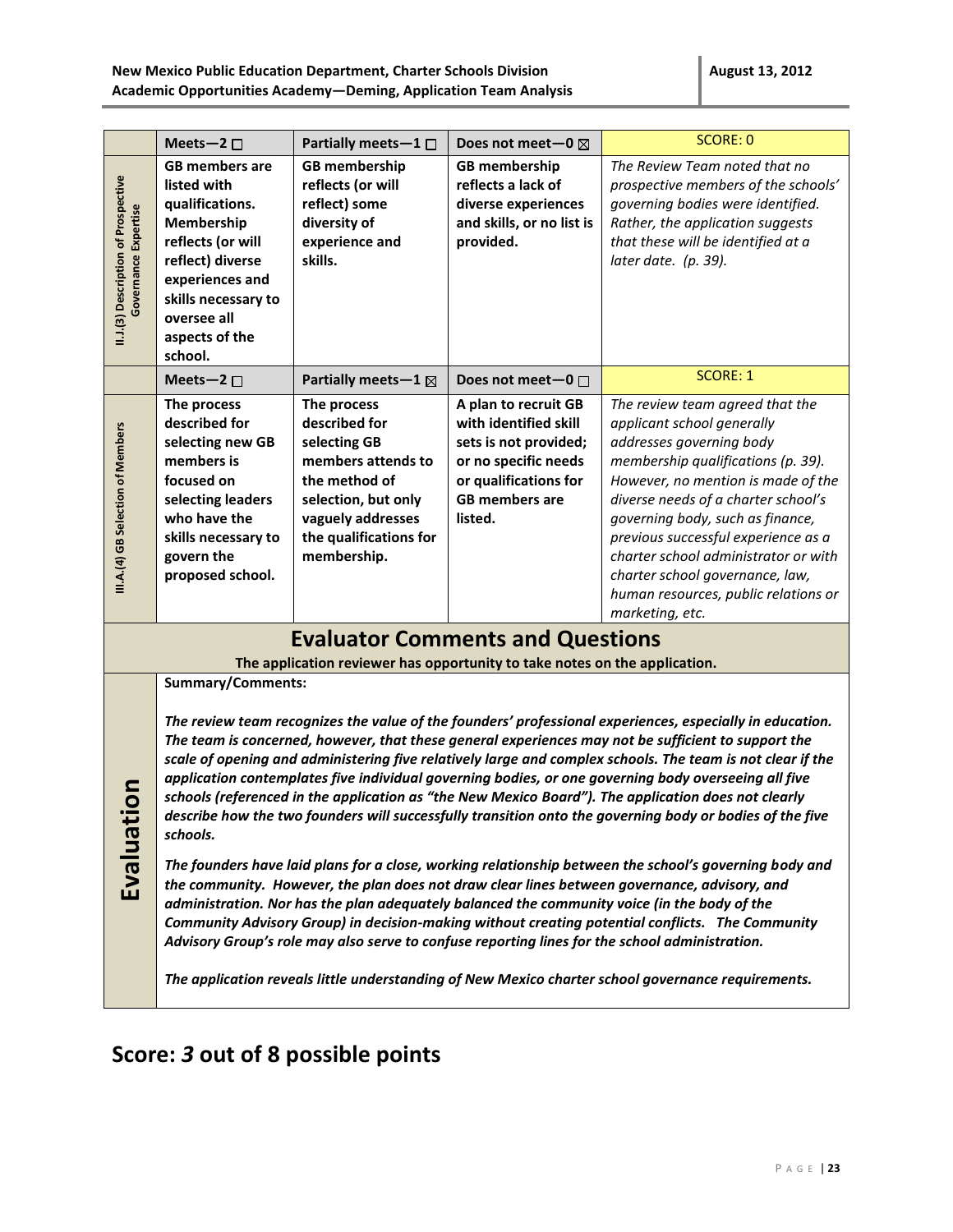| Meets-2 $\square$                                                                                                                                                                                                                                                                                                                                                                                                                                                                                                                                                                                                                                                                                                                                                                                                                                                                                                                                                                                                                                                                                                                                                                                                                                                                                                                                                                                                          | Partially meets-1 $\Box$                                                                                                                                                 | Does not meet-0 $\boxtimes$                                                                                                                                 | <b>SCORE: 0</b>                                                                                                                                                                                                                                                                                                                                                                                                               |  |
|----------------------------------------------------------------------------------------------------------------------------------------------------------------------------------------------------------------------------------------------------------------------------------------------------------------------------------------------------------------------------------------------------------------------------------------------------------------------------------------------------------------------------------------------------------------------------------------------------------------------------------------------------------------------------------------------------------------------------------------------------------------------------------------------------------------------------------------------------------------------------------------------------------------------------------------------------------------------------------------------------------------------------------------------------------------------------------------------------------------------------------------------------------------------------------------------------------------------------------------------------------------------------------------------------------------------------------------------------------------------------------------------------------------------------|--------------------------------------------------------------------------------------------------------------------------------------------------------------------------|-------------------------------------------------------------------------------------------------------------------------------------------------------------|-------------------------------------------------------------------------------------------------------------------------------------------------------------------------------------------------------------------------------------------------------------------------------------------------------------------------------------------------------------------------------------------------------------------------------|--|
| <b>GB members are</b><br>listed with<br>qualifications.<br>Membership<br>reflects (or will<br>reflect) diverse<br>experiences and<br>skills necessary to<br>oversee all<br>aspects of the<br>school.                                                                                                                                                                                                                                                                                                                                                                                                                                                                                                                                                                                                                                                                                                                                                                                                                                                                                                                                                                                                                                                                                                                                                                                                                       | <b>GB</b> membership<br>reflects (or will<br>reflect) some<br>diversity of<br>experience and<br>skills.                                                                  | <b>GB</b> membership<br>reflects a lack of<br>diverse experiences<br>and skills, or no list is<br>provided.                                                 | The Review Team noted that no<br>prospective members of the schools'<br>governing bodies were identified.<br>Rather, the application suggests<br>that these will be identified at a<br>later date. (p. 39).                                                                                                                                                                                                                   |  |
| Meets-2 $\square$                                                                                                                                                                                                                                                                                                                                                                                                                                                                                                                                                                                                                                                                                                                                                                                                                                                                                                                                                                                                                                                                                                                                                                                                                                                                                                                                                                                                          | Partially meets-1 $\boxtimes$                                                                                                                                            | Does not meet $-0$ $\Box$                                                                                                                                   | <b>SCORE: 1</b>                                                                                                                                                                                                                                                                                                                                                                                                               |  |
| The process<br>described for<br>selecting new GB<br>members is<br>focused on<br>selecting leaders<br>who have the<br>skills necessary to<br>govern the<br>proposed school.                                                                                                                                                                                                                                                                                                                                                                                                                                                                                                                                                                                                                                                                                                                                                                                                                                                                                                                                                                                                                                                                                                                                                                                                                                                 | The process<br>described for<br>selecting GB<br>members attends to<br>the method of<br>selection, but only<br>vaguely addresses<br>the qualifications for<br>membership. | A plan to recruit GB<br>with identified skill<br>sets is not provided;<br>or no specific needs<br>or qualifications for<br><b>GB</b> members are<br>listed. | The review team agreed that the<br>applicant school generally<br>addresses governing body<br>membership qualifications (p. 39).<br>However, no mention is made of the<br>diverse needs of a charter school's<br>governing body, such as finance,<br>previous successful experience as a<br>charter school administrator or with<br>charter school governance, law,<br>human resources, public relations or<br>marketing, etc. |  |
|                                                                                                                                                                                                                                                                                                                                                                                                                                                                                                                                                                                                                                                                                                                                                                                                                                                                                                                                                                                                                                                                                                                                                                                                                                                                                                                                                                                                                            |                                                                                                                                                                          |                                                                                                                                                             |                                                                                                                                                                                                                                                                                                                                                                                                                               |  |
| The application reviewer has opportunity to take notes on the application.<br><b>Summary/Comments:</b><br>The review team recognizes the value of the founders' professional experiences, especially in education.<br>The team is concerned, however, that these general experiences may not be sufficient to support the<br>scale of opening and administering five relatively large and complex schools. The team is not clear if the<br>application contemplates five individual governing bodies, or one governing body overseeing all five<br>5<br>0<br>schools (referenced in the application as "the New Mexico Board"). The application does not clearly<br>Evaluati<br>describe how the two founders will successfully transition onto the governing body or bodies of the five<br>schools.<br>The founders have laid plans for a close, working relationship between the school's governing body and<br>the community. However, the plan does not draw clear lines between governance, advisory, and<br>administration. Nor has the plan adequately balanced the community voice (in the body of the<br>Community Advisory Group) in decision-making without creating potential conflicts. The Community<br>Advisory Group's role may also serve to confuse reporting lines for the school administration.<br>The application reveals little understanding of New Mexico charter school governance requirements. |                                                                                                                                                                          |                                                                                                                                                             |                                                                                                                                                                                                                                                                                                                                                                                                                               |  |
|                                                                                                                                                                                                                                                                                                                                                                                                                                                                                                                                                                                                                                                                                                                                                                                                                                                                                                                                                                                                                                                                                                                                                                                                                                                                                                                                                                                                                            |                                                                                                                                                                          |                                                                                                                                                             | <b>Evaluator Comments and Questions</b>                                                                                                                                                                                                                                                                                                                                                                                       |  |

# **Score:** *3* **out of 8 possible points**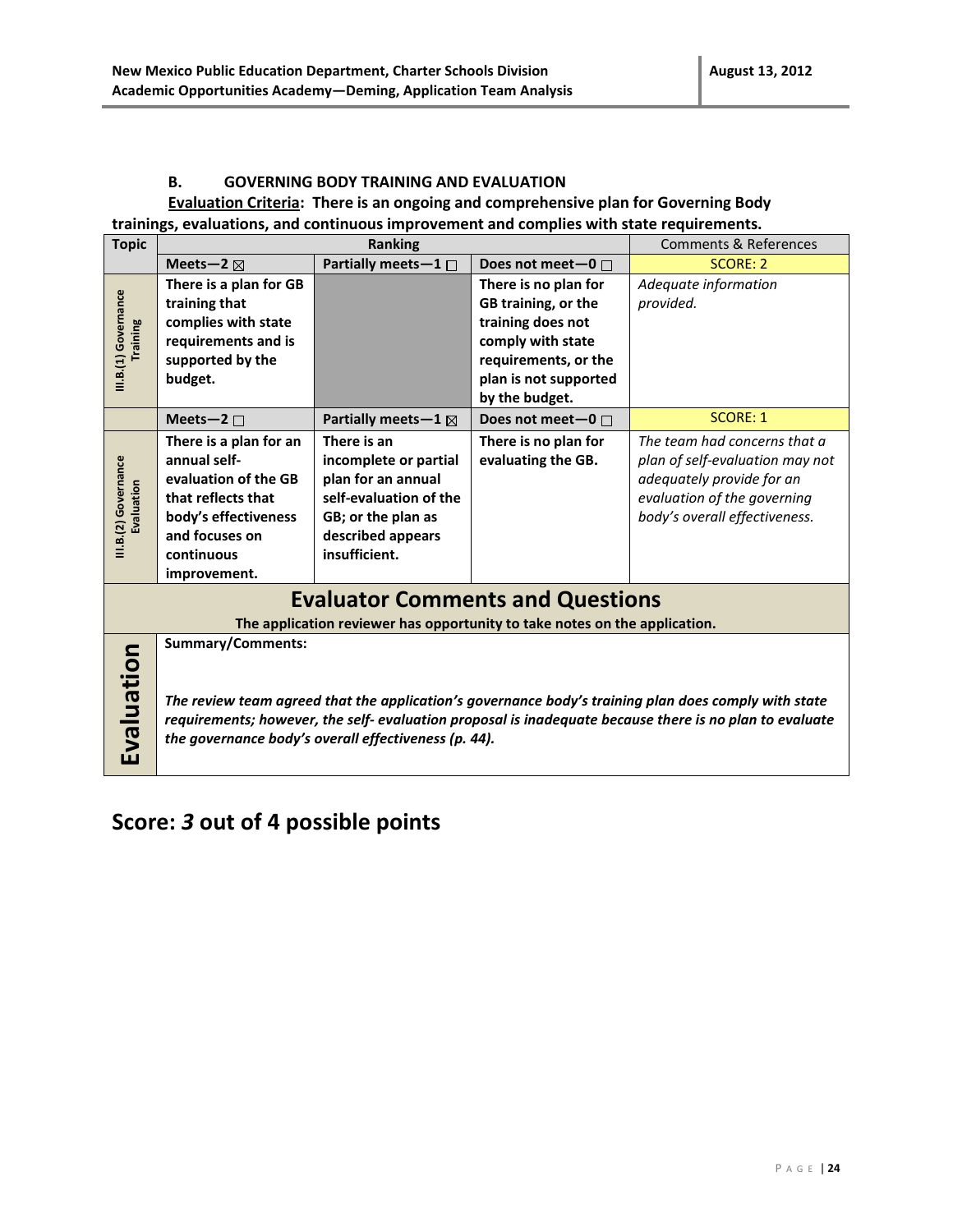#### **B. GOVERNING BODY TRAINING AND EVALUATION**

#### **Evaluation Criteria: There is an ongoing and comprehensive plan for Governing Body trainings, evaluations, and continuous improvement and complies with state requirements.**

| <b>Topic</b>                            | Ranking                                                                                                                                                                                                                                                                                             |                               |                                                                            | <b>Comments &amp; References</b> |  |  |
|-----------------------------------------|-----------------------------------------------------------------------------------------------------------------------------------------------------------------------------------------------------------------------------------------------------------------------------------------------------|-------------------------------|----------------------------------------------------------------------------|----------------------------------|--|--|
|                                         | Meets-2 $\boxtimes$                                                                                                                                                                                                                                                                                 | Partially meets-1 $\Box$      | Does not meet-0 $\Box$                                                     | <b>SCORE: 2</b>                  |  |  |
|                                         | There is a plan for GB                                                                                                                                                                                                                                                                              |                               | There is no plan for                                                       | Adequate information             |  |  |
|                                         | training that                                                                                                                                                                                                                                                                                       |                               | GB training, or the                                                        | provided.                        |  |  |
|                                         | complies with state                                                                                                                                                                                                                                                                                 |                               | training does not                                                          |                                  |  |  |
| III.B.(1) Governance<br><b>Training</b> | requirements and is                                                                                                                                                                                                                                                                                 |                               | comply with state                                                          |                                  |  |  |
|                                         | supported by the                                                                                                                                                                                                                                                                                    |                               | requirements, or the                                                       |                                  |  |  |
|                                         | budget.                                                                                                                                                                                                                                                                                             |                               | plan is not supported                                                      |                                  |  |  |
|                                         |                                                                                                                                                                                                                                                                                                     |                               | by the budget.                                                             |                                  |  |  |
|                                         | Meets-2 $\square$                                                                                                                                                                                                                                                                                   | Partially meets-1 $\boxtimes$ | Does not meet-0 $\Box$                                                     | <b>SCORE: 1</b>                  |  |  |
|                                         | There is a plan for an                                                                                                                                                                                                                                                                              | There is an                   | There is no plan for                                                       | The team had concerns that a     |  |  |
|                                         | annual self-                                                                                                                                                                                                                                                                                        | incomplete or partial         | evaluating the GB.                                                         | plan of self-evaluation may not  |  |  |
|                                         | evaluation of the GB                                                                                                                                                                                                                                                                                | plan for an annual            |                                                                            | adequately provide for an        |  |  |
| III.B.(2) Governance<br>Evaluation      | that reflects that                                                                                                                                                                                                                                                                                  | self-evaluation of the        |                                                                            | evaluation of the governing      |  |  |
|                                         | body's effectiveness                                                                                                                                                                                                                                                                                | GB; or the plan as            |                                                                            | body's overall effectiveness.    |  |  |
|                                         | and focuses on                                                                                                                                                                                                                                                                                      | described appears             |                                                                            |                                  |  |  |
|                                         | continuous                                                                                                                                                                                                                                                                                          | insufficient.                 |                                                                            |                                  |  |  |
|                                         | improvement.                                                                                                                                                                                                                                                                                        |                               |                                                                            |                                  |  |  |
|                                         |                                                                                                                                                                                                                                                                                                     |                               | <b>Evaluator Comments and Questions</b>                                    |                                  |  |  |
|                                         |                                                                                                                                                                                                                                                                                                     |                               | The application reviewer has opportunity to take notes on the application. |                                  |  |  |
| Evaluation                              | <b>Summary/Comments:</b><br>The review team agreed that the application's governance body's training plan does comply with state<br>requirements; however, the self- evaluation proposal is inadequate because there is no plan to evaluate<br>the governance body's overall effectiveness (p. 44). |                               |                                                                            |                                  |  |  |

## **Score:** *3* **out of 4 possible points**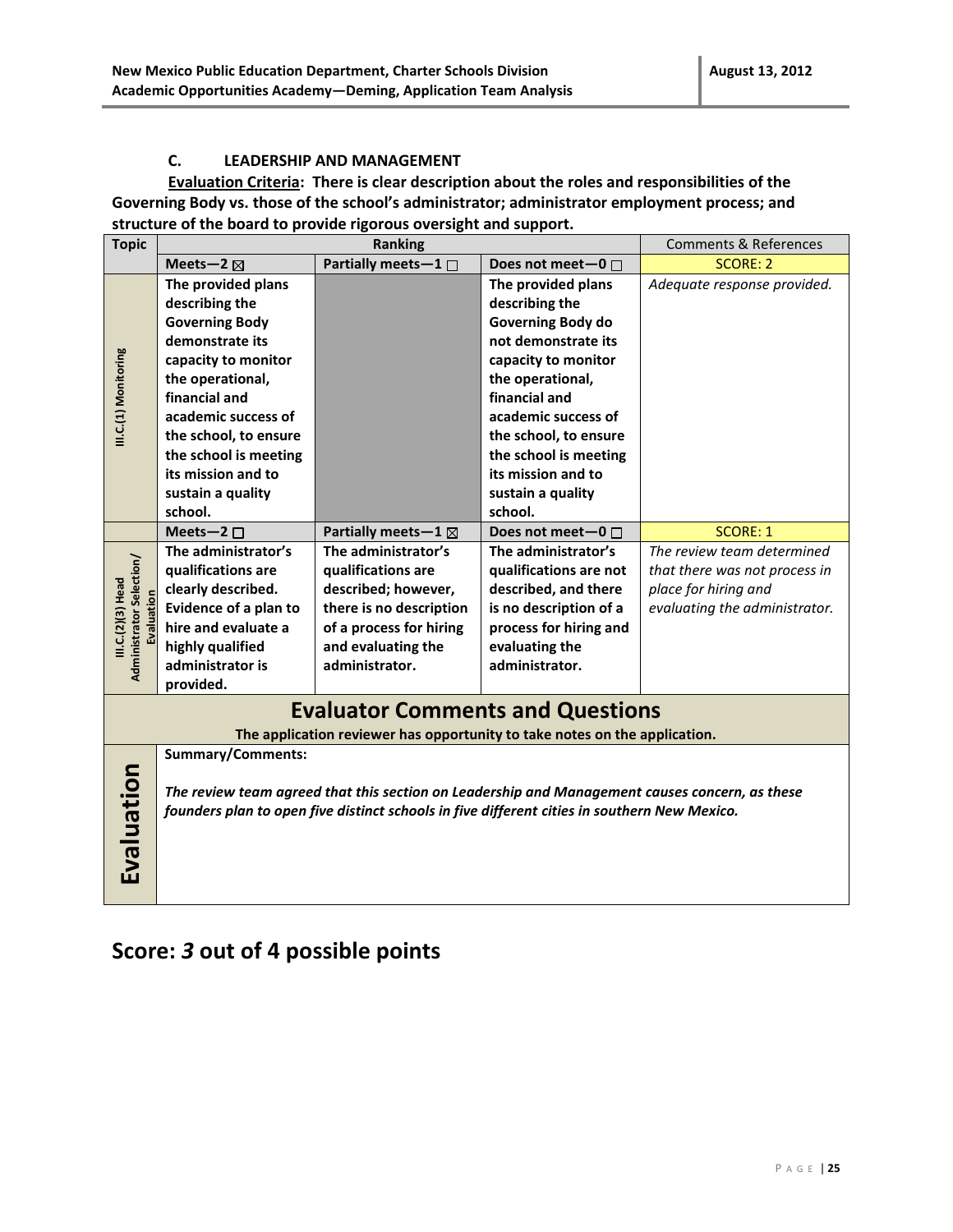#### **C. LEADERSHIP AND MANAGEMENT**

**Evaluation Criteria: There is clear description about the roles and responsibilities of the Governing Body vs. those of the school's administrator; administrator employment process; and structure of the board to provide rigorous oversight and support.**

| <b>Topic</b>                                                       |                                                                                                | <b>Comments &amp; References</b>                                                             |                          |                               |
|--------------------------------------------------------------------|------------------------------------------------------------------------------------------------|----------------------------------------------------------------------------------------------|--------------------------|-------------------------------|
|                                                                    | Meets-2 $\boxtimes$                                                                            | Partially meets-1 $\Box$                                                                     | Does not meet-0 $\Box$   | <b>SCORE: 2</b>               |
|                                                                    | The provided plans                                                                             |                                                                                              | The provided plans       | Adequate response provided.   |
|                                                                    | describing the                                                                                 |                                                                                              | describing the           |                               |
|                                                                    | <b>Governing Body</b>                                                                          |                                                                                              | <b>Governing Body do</b> |                               |
|                                                                    | demonstrate its                                                                                |                                                                                              | not demonstrate its      |                               |
|                                                                    | capacity to monitor                                                                            |                                                                                              | capacity to monitor      |                               |
| III.C.(1) Monitoring                                               | the operational,                                                                               |                                                                                              | the operational,         |                               |
|                                                                    | financial and                                                                                  |                                                                                              | financial and            |                               |
|                                                                    | academic success of                                                                            |                                                                                              | academic success of      |                               |
|                                                                    | the school, to ensure                                                                          |                                                                                              | the school, to ensure    |                               |
|                                                                    | the school is meeting                                                                          |                                                                                              | the school is meeting    |                               |
|                                                                    | its mission and to                                                                             |                                                                                              | its mission and to       |                               |
|                                                                    | sustain a quality                                                                              |                                                                                              | sustain a quality        |                               |
|                                                                    | school.                                                                                        |                                                                                              | school.                  |                               |
|                                                                    | Meets-2 $\square$                                                                              | Partially meets - $1 \boxtimes$                                                              | Does not meet-0 □        | <b>SCORE: 1</b>               |
|                                                                    | The administrator's                                                                            | The administrator's                                                                          | The administrator's      | The review team determined    |
|                                                                    | qualifications are                                                                             | qualifications are                                                                           | qualifications are not   | that there was not process in |
|                                                                    | clearly described.                                                                             | described; however,                                                                          | described, and there     | place for hiring and          |
| Administrator Selection/<br>III.C.(2)(3) Head<br><b>Evaluation</b> | Evidence of a plan to                                                                          | there is no description                                                                      | is no description of a   | evaluating the administrator. |
|                                                                    | hire and evaluate a                                                                            | of a process for hiring                                                                      | process for hiring and   |                               |
|                                                                    | highly qualified                                                                               | and evaluating the                                                                           | evaluating the           |                               |
|                                                                    | administrator is                                                                               | administrator.                                                                               | administrator.           |                               |
|                                                                    | provided.                                                                                      |                                                                                              |                          |                               |
|                                                                    |                                                                                                | <b>Evaluator Comments and Questions</b>                                                      |                          |                               |
|                                                                    |                                                                                                | The application reviewer has opportunity to take notes on the application.                   |                          |                               |
|                                                                    | <b>Summary/Comments:</b>                                                                       |                                                                                              |                          |                               |
| Evaluation                                                         | The review team agreed that this section on Leadership and Management causes concern, as these |                                                                                              |                          |                               |
|                                                                    |                                                                                                | founders plan to open five distinct schools in five different cities in southern New Mexico. |                          |                               |
|                                                                    |                                                                                                |                                                                                              |                          |                               |
|                                                                    |                                                                                                |                                                                                              |                          |                               |
|                                                                    |                                                                                                |                                                                                              |                          |                               |
|                                                                    |                                                                                                |                                                                                              |                          |                               |

### **Score:** *3* **out of 4 possible points**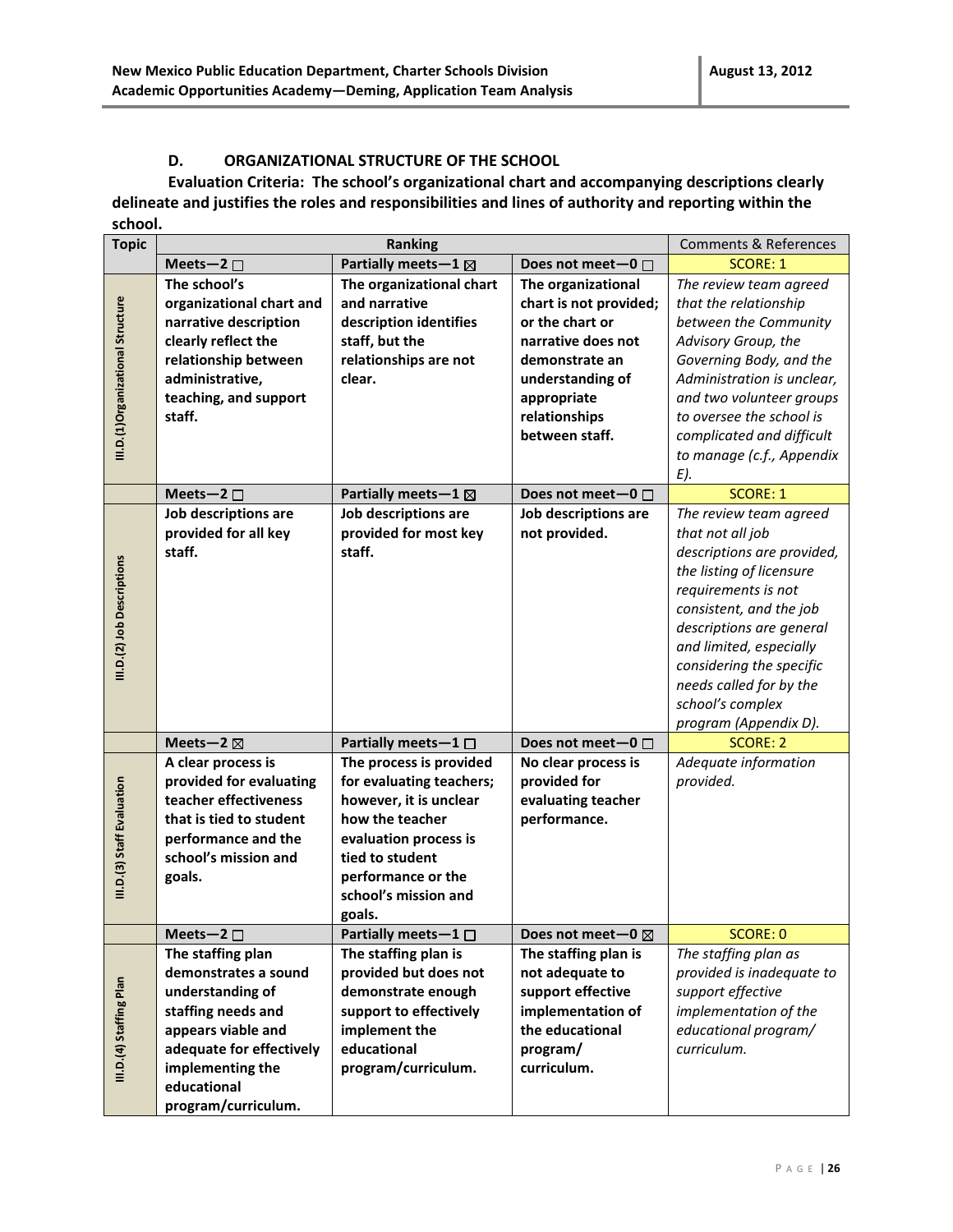#### **D. ORGANIZATIONAL STRUCTURE OF THE SCHOOL**

**Evaluation Criteria: The school's organizational chart and accompanying descriptions clearly delineate and justifies the roles and responsibilities and lines of authority and reporting within the school.** 

| <b>Topic</b> |                                   | Ranking                                                                                                                                                                                         |                                                                                                                                                                                                      |                                                                                                                                                                                                         | <b>Comments &amp; References</b>                                                                                                                                                                                                                                                                     |
|--------------|-----------------------------------|-------------------------------------------------------------------------------------------------------------------------------------------------------------------------------------------------|------------------------------------------------------------------------------------------------------------------------------------------------------------------------------------------------------|---------------------------------------------------------------------------------------------------------------------------------------------------------------------------------------------------------|------------------------------------------------------------------------------------------------------------------------------------------------------------------------------------------------------------------------------------------------------------------------------------------------------|
|              |                                   | Meets-2 $\square$                                                                                                                                                                               | Partially meets-1 $\boxtimes$                                                                                                                                                                        | Does not meet-0 $\Box$                                                                                                                                                                                  | <b>SCORE: 1</b>                                                                                                                                                                                                                                                                                      |
|              | III.D.(1)Organizational Structure | The school's<br>organizational chart and<br>narrative description<br>clearly reflect the<br>relationship between<br>administrative,<br>teaching, and support<br>staff.<br>Meets-2 $\square$     | The organizational chart<br>and narrative<br>description identifies<br>staff, but the<br>relationships are not<br>clear.<br>Partially meets - $1 \boxtimes$                                          | The organizational<br>chart is not provided;<br>or the chart or<br>narrative does not<br>demonstrate an<br>understanding of<br>appropriate<br>relationships<br>between staff.<br>Does not meet-0 $\Box$ | The review team agreed<br>that the relationship<br>between the Community<br>Advisory Group, the<br>Governing Body, and the<br>Administration is unclear,<br>and two volunteer groups<br>to oversee the school is<br>complicated and difficult<br>to manage (c.f., Appendix<br>E).<br><b>SCORE: 1</b> |
|              |                                   | Job descriptions are                                                                                                                                                                            | Job descriptions are                                                                                                                                                                                 | Job descriptions are                                                                                                                                                                                    | The review team agreed                                                                                                                                                                                                                                                                               |
|              | III.D.(2) Job Descriptions        | provided for all key<br>staff.                                                                                                                                                                  | provided for most key<br>staff.                                                                                                                                                                      | not provided.                                                                                                                                                                                           | that not all job<br>descriptions are provided,<br>the listing of licensure<br>requirements is not<br>consistent, and the job<br>descriptions are general<br>and limited, especially<br>considering the specific<br>needs called for by the<br>school's complex<br>program (Appendix D).              |
|              |                                   | Meets-2 $\boxtimes$                                                                                                                                                                             | Partially meets-1 $\Box$                                                                                                                                                                             | Does not meet-0 □                                                                                                                                                                                       | <b>SCORE: 2</b>                                                                                                                                                                                                                                                                                      |
|              | III.D.(3) Staff Evaluation        | A clear process is<br>provided for evaluating<br>teacher effectiveness<br>that is tied to student<br>performance and the<br>school's mission and<br>goals.                                      | The process is provided<br>for evaluating teachers;<br>however, it is unclear<br>how the teacher<br>evaluation process is<br>tied to student<br>performance or the<br>school's mission and<br>goals. | No clear process is<br>provided for<br>evaluating teacher<br>performance.                                                                                                                               | Adequate information<br>provided.                                                                                                                                                                                                                                                                    |
|              |                                   | Meets-2 $\square$                                                                                                                                                                               | Partially meets $-1$ $\square$                                                                                                                                                                       | Does not meet-0                                                                                                                                                                                         | <b>SCORE: 0</b>                                                                                                                                                                                                                                                                                      |
|              | III.D.(4) Staffing Plan           | The staffing plan<br>demonstrates a sound<br>understanding of<br>staffing needs and<br>appears viable and<br>adequate for effectively<br>implementing the<br>educational<br>program/curriculum. | The staffing plan is<br>provided but does not<br>demonstrate enough<br>support to effectively<br>implement the<br>educational<br>program/curriculum.                                                 | The staffing plan is<br>not adequate to<br>support effective<br>implementation of<br>the educational<br>program/<br>curriculum.                                                                         | The staffing plan as<br>provided is inadequate to<br>support effective<br>implementation of the<br>educational program/<br>curriculum.                                                                                                                                                               |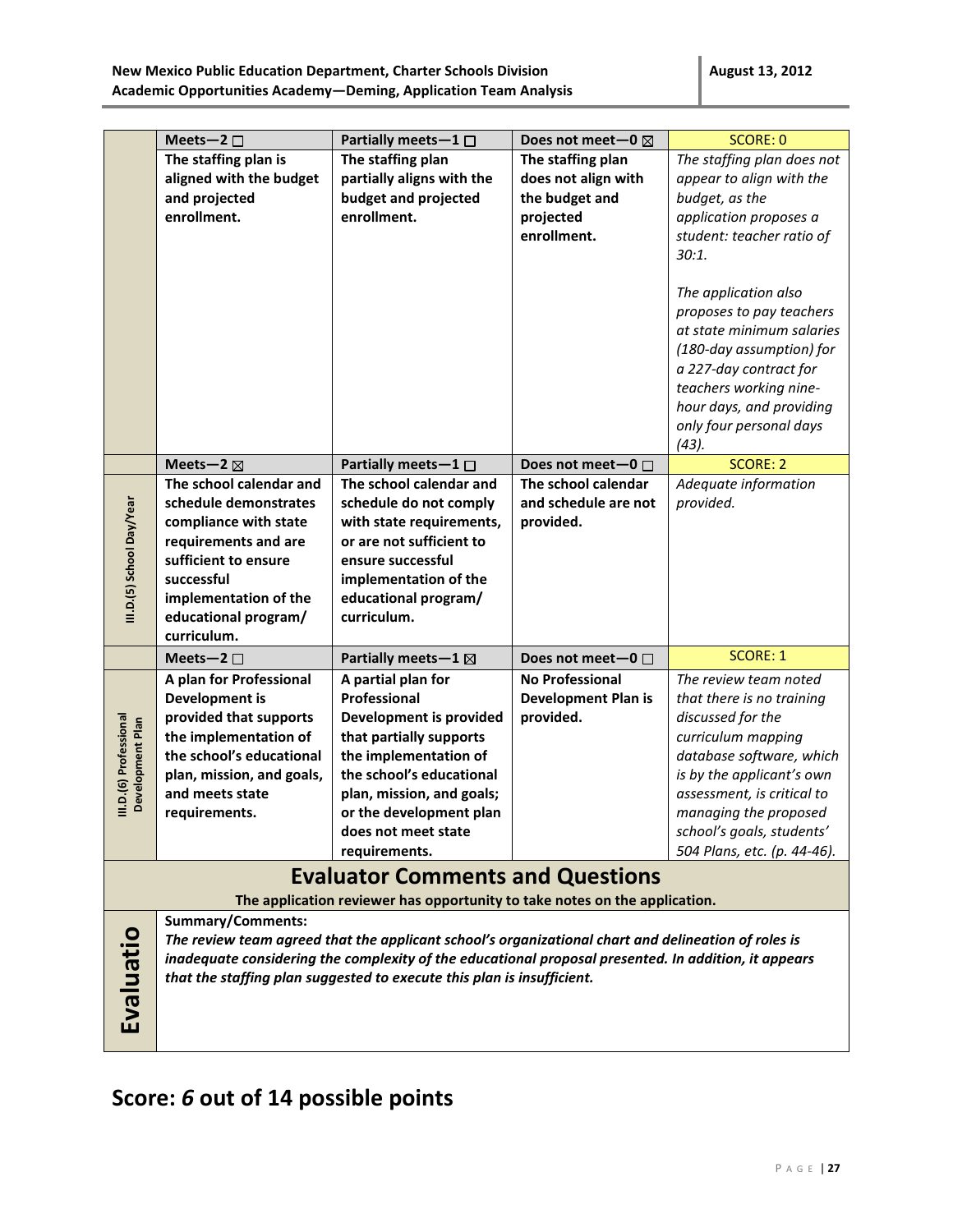|                           | Meets-2 $\square$                             | Partially meets $-1$ $\Box$                                                                          | Does not meet-0 $\boxtimes$ | <b>SCORE: 0</b>             |
|---------------------------|-----------------------------------------------|------------------------------------------------------------------------------------------------------|-----------------------------|-----------------------------|
|                           | The staffing plan is                          | The staffing plan                                                                                    | The staffing plan           | The staffing plan does not  |
|                           | aligned with the budget                       | partially aligns with the                                                                            | does not align with         | appear to align with the    |
|                           | and projected                                 | budget and projected                                                                                 | the budget and              | budget, as the              |
|                           | enrollment.                                   | enrollment.                                                                                          | projected                   | application proposes a      |
|                           |                                               |                                                                                                      | enrollment.                 | student: teacher ratio of   |
|                           |                                               |                                                                                                      |                             | 30:1.                       |
|                           |                                               |                                                                                                      |                             |                             |
|                           |                                               |                                                                                                      |                             | The application also        |
|                           |                                               |                                                                                                      |                             | proposes to pay teachers    |
|                           |                                               |                                                                                                      |                             | at state minimum salaries   |
|                           |                                               |                                                                                                      |                             | (180-day assumption) for    |
|                           |                                               |                                                                                                      |                             | a 227-day contract for      |
|                           |                                               |                                                                                                      |                             | teachers working nine-      |
|                           |                                               |                                                                                                      |                             | hour days, and providing    |
|                           |                                               |                                                                                                      |                             | only four personal days     |
|                           |                                               |                                                                                                      |                             |                             |
|                           | Meets-2 $\boxtimes$                           | Partially meets $-1$ $\Box$                                                                          | Does not meet-0 $\Box$      | $(43)$ .<br><b>SCORE: 2</b> |
|                           | The school calendar and                       | The school calendar and                                                                              | The school calendar         |                             |
|                           | schedule demonstrates                         | schedule do not comply                                                                               |                             | Adequate information        |
| III.D.(5) School Day/Year |                                               |                                                                                                      | and schedule are not        | provided.                   |
|                           | compliance with state<br>requirements and are | with state requirements,<br>or are not sufficient to                                                 | provided.                   |                             |
|                           |                                               |                                                                                                      |                             |                             |
|                           | sufficient to ensure                          | ensure successful                                                                                    |                             |                             |
|                           | successful                                    | implementation of the                                                                                |                             |                             |
|                           | implementation of the                         | educational program/                                                                                 |                             |                             |
|                           | educational program/                          | curriculum.                                                                                          |                             |                             |
|                           | curriculum.                                   |                                                                                                      |                             | <b>SCORE: 1</b>             |
|                           | Meets-2 $\square$                             | Partially meets-1 ⊠                                                                                  | Does not meet-0 $\Box$      |                             |
|                           | A plan for Professional                       | A partial plan for                                                                                   | <b>No Professional</b>      | The review team noted       |
|                           | <b>Development is</b>                         | Professional                                                                                         | <b>Development Plan is</b>  | that there is no training   |
| III.D.(6) Professional    | provided that supports                        | <b>Development is provided</b>                                                                       | provided.                   | discussed for the           |
| Development Plan          | the implementation of                         | that partially supports                                                                              |                             | curriculum mapping          |
|                           | the school's educational                      | the implementation of                                                                                |                             | database software, which    |
|                           | plan, mission, and goals,                     | the school's educational                                                                             |                             | is by the applicant's own   |
|                           | and meets state                               | plan, mission, and goals;                                                                            |                             | assessment, is critical to  |
|                           | requirements.                                 | or the development plan                                                                              |                             | managing the proposed       |
|                           |                                               | does not meet state                                                                                  |                             | school's goals, students'   |
|                           |                                               | requirements.                                                                                        |                             | 504 Plans, etc. (p. 44-46). |
|                           |                                               | <b>Evaluator Comments and Questions</b>                                                              |                             |                             |
|                           |                                               | The application reviewer has opportunity to take notes on the application.                           |                             |                             |
|                           | Summary/Comments:                             |                                                                                                      |                             |                             |
|                           |                                               | The review team agreed that the applicant school's organizational chart and delineation of roles is  |                             |                             |
|                           |                                               | inadequate considering the complexity of the educational proposal presented. In addition, it appears |                             |                             |
|                           |                                               | that the staffing plan suggested to execute this plan is insufficient.                               |                             |                             |
|                           |                                               |                                                                                                      |                             |                             |
| Evaluatio                 |                                               |                                                                                                      |                             |                             |
|                           |                                               |                                                                                                      |                             |                             |
|                           |                                               |                                                                                                      |                             |                             |

# **Score:** *6* **out of 14 possible points**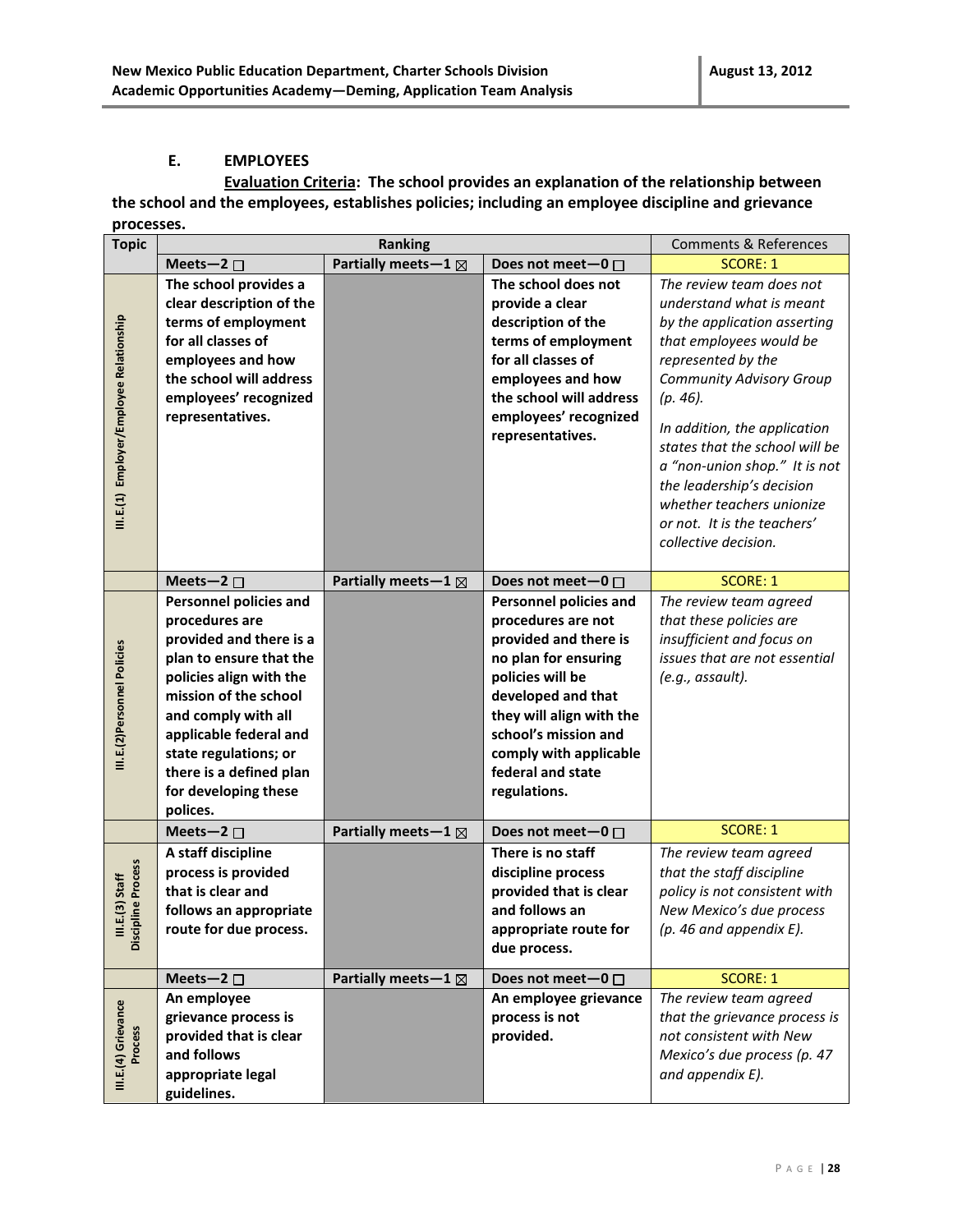#### **E. EMPLOYEES**

**Evaluation Criteria: The school provides an explanation of the relationship between the school and the employees, establishes policies; including an employee discipline and grievance processes.**

| <b>Topic</b>                             | <b>Ranking</b>                                                                                                                                                                                                                                                                                     |                                 | <b>Comments &amp; References</b>                                                                                                                                                                                                                                  |                                                                                                                                                                                                                                                                                                                                                                                                             |
|------------------------------------------|----------------------------------------------------------------------------------------------------------------------------------------------------------------------------------------------------------------------------------------------------------------------------------------------------|---------------------------------|-------------------------------------------------------------------------------------------------------------------------------------------------------------------------------------------------------------------------------------------------------------------|-------------------------------------------------------------------------------------------------------------------------------------------------------------------------------------------------------------------------------------------------------------------------------------------------------------------------------------------------------------------------------------------------------------|
|                                          | Meets-2 $\square$                                                                                                                                                                                                                                                                                  | Partially meets - $1 \boxtimes$ | Does not meet-0 □                                                                                                                                                                                                                                                 | <b>SCORE: 1</b>                                                                                                                                                                                                                                                                                                                                                                                             |
| III.E.(1) Employer/Employee Relationship | The school provides a<br>clear description of the<br>terms of employment<br>for all classes of<br>employees and how<br>the school will address<br>employees' recognized<br>representatives.                                                                                                        |                                 | The school does not<br>provide a clear<br>description of the<br>terms of employment<br>for all classes of<br>employees and how<br>the school will address<br>employees' recognized<br>representatives.                                                            | The review team does not<br>understand what is meant<br>by the application asserting<br>that employees would be<br>represented by the<br><b>Community Advisory Group</b><br>$(p. 46)$ .<br>In addition, the application<br>states that the school will be<br>a "non-union shop." It is not<br>the leadership's decision<br>whether teachers unionize<br>or not. It is the teachers'<br>collective decision. |
|                                          | Meets-2 $\square$                                                                                                                                                                                                                                                                                  | Partially meets - $1 \boxtimes$ | Does not meet-0 $\Box$                                                                                                                                                                                                                                            | <b>SCORE: 1</b>                                                                                                                                                                                                                                                                                                                                                                                             |
| III.E.(2)Personnel Policies              | <b>Personnel policies and</b><br>procedures are<br>provided and there is a<br>plan to ensure that the<br>policies align with the<br>mission of the school<br>and comply with all<br>applicable federal and<br>state regulations; or<br>there is a defined plan<br>for developing these<br>polices. |                                 | <b>Personnel policies and</b><br>procedures are not<br>provided and there is<br>no plan for ensuring<br>policies will be<br>developed and that<br>they will align with the<br>school's mission and<br>comply with applicable<br>federal and state<br>regulations. | The review team agreed<br>that these policies are<br>insufficient and focus on<br>issues that are not essential<br>(e.g., assault).                                                                                                                                                                                                                                                                         |
|                                          | Meets-2 $\square$                                                                                                                                                                                                                                                                                  | Partially meets-1 $\boxtimes$   | Does not meet-0 $\Box$                                                                                                                                                                                                                                            | <b>SCORE: 1</b>                                                                                                                                                                                                                                                                                                                                                                                             |
| cipline Process<br>III.E.(3) Staff<br>ä  | A staff discipline<br>process is provided<br>that is clear and<br>follows an appropriate<br>route for due process.                                                                                                                                                                                 |                                 | There is no staff<br>discipline process<br>provided that is clear<br>and follows an<br>appropriate route for<br>due process.                                                                                                                                      | The review team agreed<br>that the staff discipline<br>policy is not consistent with<br>New Mexico's due process<br>$(p. 46$ and appendix $E$ ).                                                                                                                                                                                                                                                            |
|                                          | Meets-2 $\square$                                                                                                                                                                                                                                                                                  | Partially meets-1 $\boxtimes$   | Does not meet-0 □                                                                                                                                                                                                                                                 | <b>SCORE: 1</b>                                                                                                                                                                                                                                                                                                                                                                                             |
| III.E.(4) Grievance<br>Process           | An employee<br>grievance process is<br>provided that is clear<br>and follows<br>appropriate legal<br>guidelines.                                                                                                                                                                                   |                                 | An employee grievance<br>process is not<br>provided.                                                                                                                                                                                                              | The review team agreed<br>that the grievance process is<br>not consistent with New<br>Mexico's due process (p. 47<br>and appendix E).                                                                                                                                                                                                                                                                       |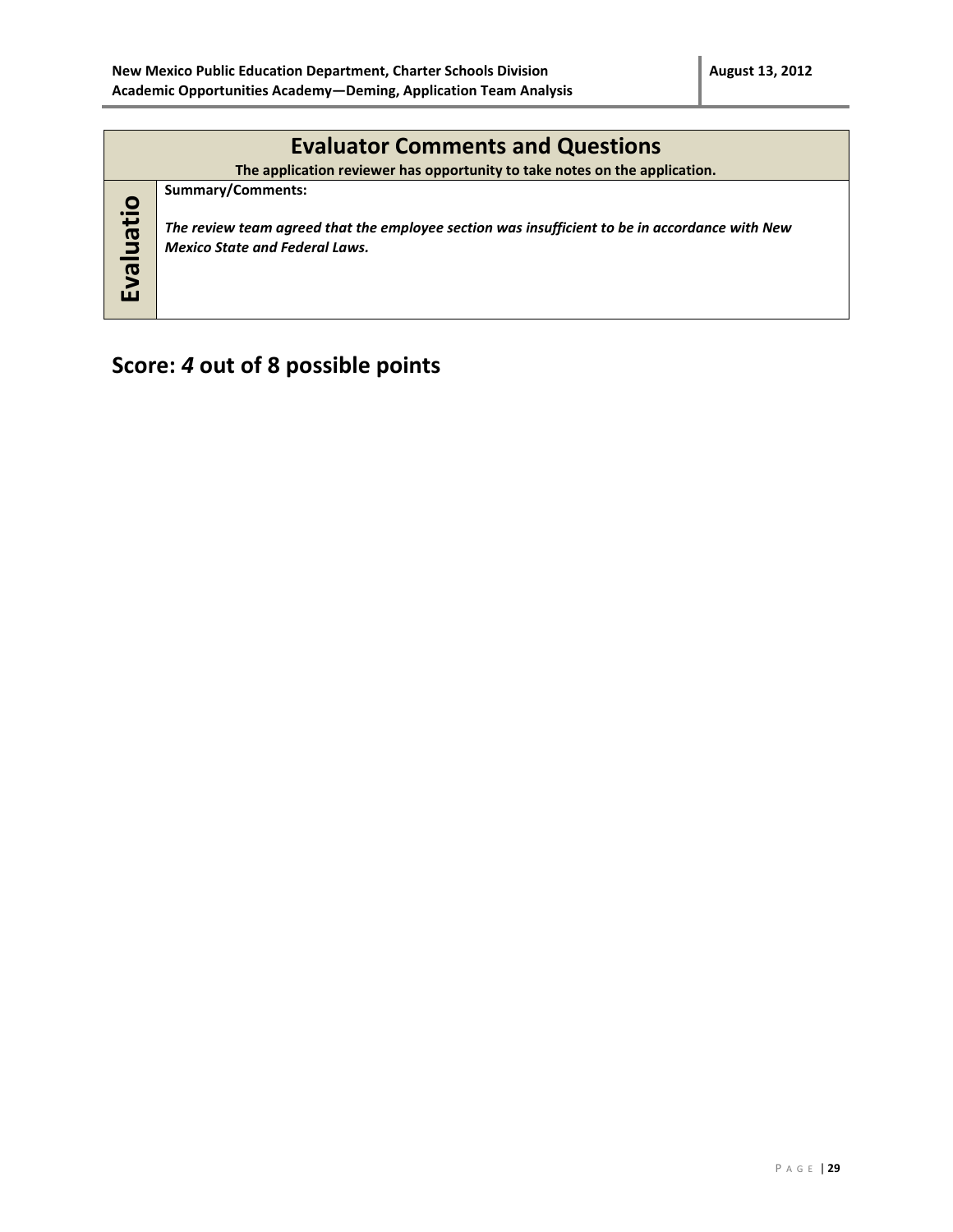|           | <b>Evaluator Comments and Questions</b><br>The application reviewer has opportunity to take notes on the application.                                        |
|-----------|--------------------------------------------------------------------------------------------------------------------------------------------------------------|
| Evaluatio | Summary/Comments:<br>The review team agreed that the employee section was insufficient to be in accordance with New<br><b>Mexico State and Federal Laws.</b> |

## **Score:** *4* **out of 8 possible points**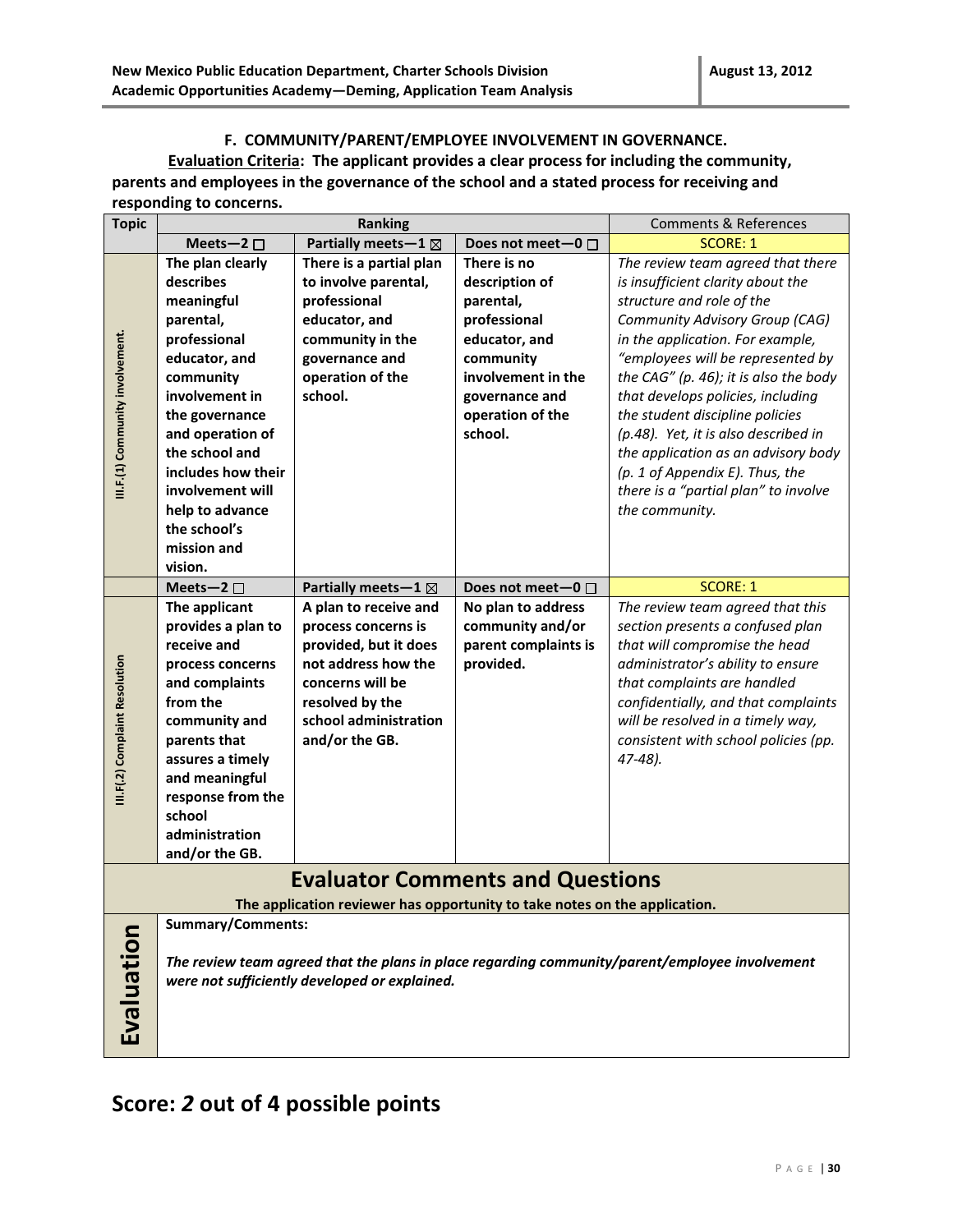#### **F. COMMUNITY/PARENT/EMPLOYEE INVOLVEMENT IN GOVERNANCE.**

**Evaluation Criteria: The applicant provides a clear process for including the community, parents and employees in the governance of the school and a stated process for receiving and responding to concerns.** 

| <b>Topic</b>                                                                                                          | Ranking                                                                                                                                                                                                                                        |                                                                                                                                                                                | <b>Comments &amp; References</b>                                                                                  |                                                                                                                                                                                                                                                                                                                                                                                                      |  |
|-----------------------------------------------------------------------------------------------------------------------|------------------------------------------------------------------------------------------------------------------------------------------------------------------------------------------------------------------------------------------------|--------------------------------------------------------------------------------------------------------------------------------------------------------------------------------|-------------------------------------------------------------------------------------------------------------------|------------------------------------------------------------------------------------------------------------------------------------------------------------------------------------------------------------------------------------------------------------------------------------------------------------------------------------------------------------------------------------------------------|--|
|                                                                                                                       | Meets-2 $\square$                                                                                                                                                                                                                              | Partially meets-1 ⊠                                                                                                                                                            | Does not meet-0 $\Box$                                                                                            | <b>SCORE: 1</b>                                                                                                                                                                                                                                                                                                                                                                                      |  |
|                                                                                                                       | The plan clearly<br>describes<br>meaningful                                                                                                                                                                                                    | There is a partial plan<br>to involve parental,<br>professional                                                                                                                | There is no<br>description of<br>parental,                                                                        | The review team agreed that there<br>is insufficient clarity about the<br>structure and role of the                                                                                                                                                                                                                                                                                                  |  |
| III.F.(1) Community involvement.                                                                                      | parental,<br>professional<br>educator, and<br>community<br>involvement in<br>the governance<br>and operation of<br>the school and<br>includes how their<br>involvement will<br>help to advance<br>the school's<br>mission and<br>vision.       | educator, and<br>community in the<br>governance and<br>operation of the<br>school.                                                                                             | professional<br>educator, and<br>community<br>involvement in the<br>governance and<br>operation of the<br>school. | Community Advisory Group (CAG)<br>in the application. For example,<br>"employees will be represented by<br>the CAG" (p. 46); it is also the body<br>that develops policies, including<br>the student discipline policies<br>(p.48). Yet, it is also described in<br>the application as an advisory body<br>(p. 1 of Appendix E). Thus, the<br>there is a "partial plan" to involve<br>the community. |  |
|                                                                                                                       | Meets-2 $\square$                                                                                                                                                                                                                              | Partially meets - $1 \boxtimes$                                                                                                                                                | Does not meet-0 $\Box$                                                                                            | <b>SCORE: 1</b>                                                                                                                                                                                                                                                                                                                                                                                      |  |
| III.F(.2) Complaint Resolution                                                                                        | The applicant<br>provides a plan to<br>receive and<br>process concerns<br>and complaints<br>from the<br>community and<br>parents that<br>assures a timely<br>and meaningful<br>response from the<br>school<br>administration<br>and/or the GB. | A plan to receive and<br>process concerns is<br>provided, but it does<br>not address how the<br>concerns will be<br>resolved by the<br>school administration<br>and/or the GB. | No plan to address<br>community and/or<br>parent complaints is<br>provided.                                       | The review team agreed that this<br>section presents a confused plan<br>that will compromise the head<br>administrator's ability to ensure<br>that complaints are handled<br>confidentially, and that complaints<br>will be resolved in a timely way,<br>consistent with school policies (pp.<br>47-48).                                                                                             |  |
| <b>Evaluator Comments and Questions</b><br>The application reviewer has opportunity to take notes on the application. |                                                                                                                                                                                                                                                |                                                                                                                                                                                |                                                                                                                   |                                                                                                                                                                                                                                                                                                                                                                                                      |  |
|                                                                                                                       |                                                                                                                                                                                                                                                |                                                                                                                                                                                |                                                                                                                   |                                                                                                                                                                                                                                                                                                                                                                                                      |  |
| Evaluation                                                                                                            | <b>Summary/Comments:</b>                                                                                                                                                                                                                       | were not sufficiently developed or explained.                                                                                                                                  |                                                                                                                   | The review team agreed that the plans in place regarding community/parent/employee involvement                                                                                                                                                                                                                                                                                                       |  |

### **Score:** *2* **out of 4 possible points**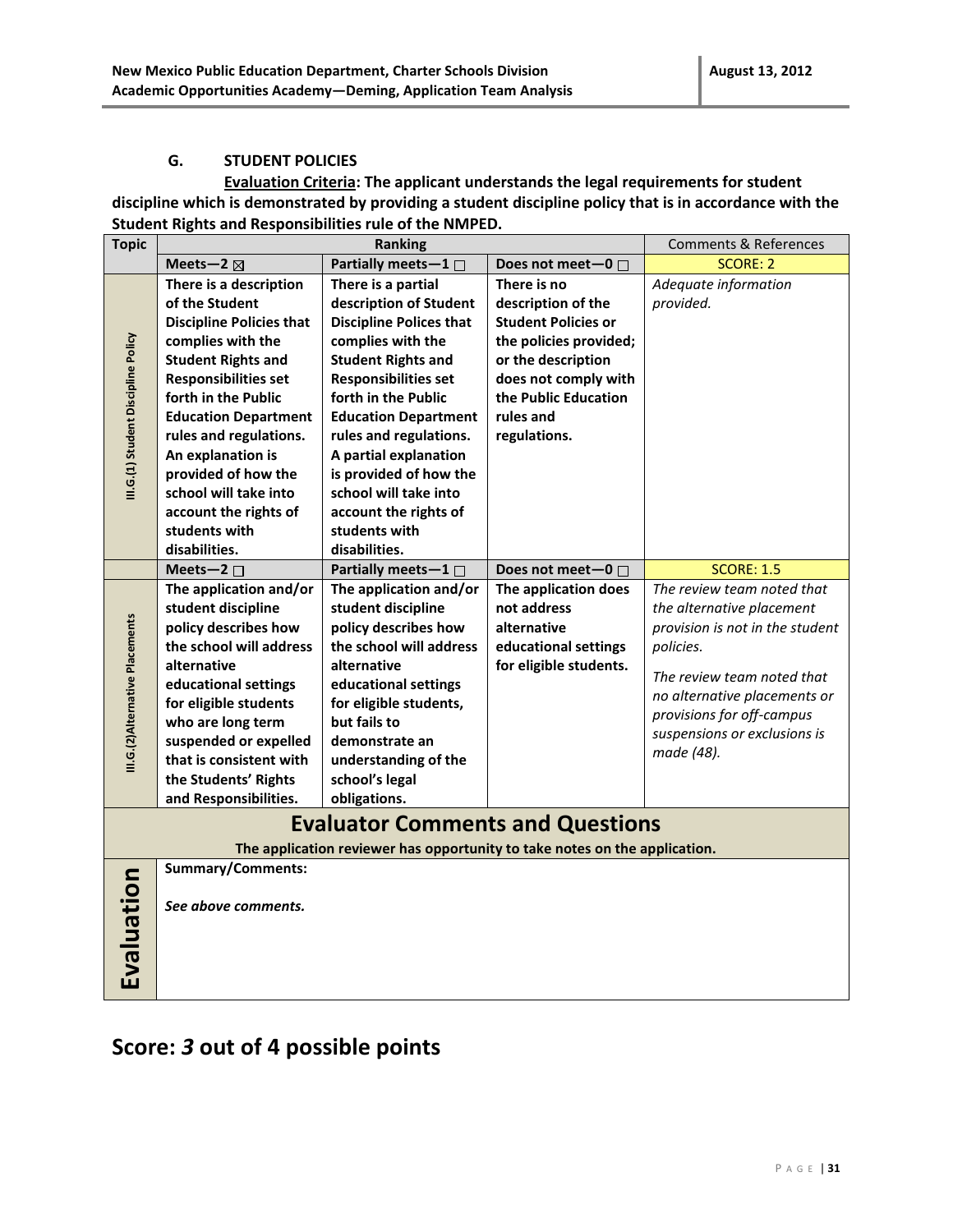#### **G. STUDENT POLICIES**

**Evaluation Criteria: The applicant understands the legal requirements for student discipline which is demonstrated by providing a student discipline policy that is in accordance with the Student Rights and Responsibilities rule of the NMPED.** 

| <b>Topic</b>                        | Ranking                                                                                                                                                                                                                                                                                                                                                                      |                                                                                                                                                                                                                                                                                                                                                                                        | <b>Comments &amp; References</b>                                                                                                                                                             |                                                                                                                                                                                                                                                                       |  |
|-------------------------------------|------------------------------------------------------------------------------------------------------------------------------------------------------------------------------------------------------------------------------------------------------------------------------------------------------------------------------------------------------------------------------|----------------------------------------------------------------------------------------------------------------------------------------------------------------------------------------------------------------------------------------------------------------------------------------------------------------------------------------------------------------------------------------|----------------------------------------------------------------------------------------------------------------------------------------------------------------------------------------------|-----------------------------------------------------------------------------------------------------------------------------------------------------------------------------------------------------------------------------------------------------------------------|--|
|                                     | Meets-2 $\boxtimes$                                                                                                                                                                                                                                                                                                                                                          | Partially meets-1 □                                                                                                                                                                                                                                                                                                                                                                    | Does not meet-0 □                                                                                                                                                                            | <b>SCORE: 2</b>                                                                                                                                                                                                                                                       |  |
| III.G.(1) Student Discipline Policy | There is a description<br>of the Student<br><b>Discipline Policies that</b><br>complies with the<br><b>Student Rights and</b><br><b>Responsibilities set</b><br>forth in the Public<br><b>Education Department</b><br>rules and regulations.<br>An explanation is<br>provided of how the<br>school will take into<br>account the rights of<br>students with<br>disabilities. | There is a partial<br>description of Student<br><b>Discipline Polices that</b><br>complies with the<br><b>Student Rights and</b><br><b>Responsibilities set</b><br>forth in the Public<br><b>Education Department</b><br>rules and regulations.<br>A partial explanation<br>is provided of how the<br>school will take into<br>account the rights of<br>students with<br>disabilities. | There is no<br>description of the<br><b>Student Policies or</b><br>the policies provided;<br>or the description<br>does not comply with<br>the Public Education<br>rules and<br>regulations. | Adequate information<br>provided.                                                                                                                                                                                                                                     |  |
| III.G.(2)Alternative Placements     | Meets-2 $\square$<br>The application and/or<br>student discipline<br>policy describes how<br>the school will address<br>alternative<br>educational settings<br>for eligible students<br>who are long term<br>suspended or expelled<br>that is consistent with<br>the Students' Rights<br>and Responsibilities.                                                               | Partially meets-1 $\Box$<br>The application and/or<br>student discipline<br>policy describes how<br>the school will address<br>alternative<br>educational settings<br>for eligible students,<br>but fails to<br>demonstrate an<br>understanding of the<br>school's legal<br>obligations.                                                                                               | Does not meet-0 □<br>The application does<br>not address<br>alternative<br>educational settings<br>for eligible students.                                                                    | <b>SCORE: 1.5</b><br>The review team noted that<br>the alternative placement<br>provision is not in the student<br>policies.<br>The review team noted that<br>no alternative placements or<br>provisions for off-campus<br>suspensions or exclusions is<br>made (48). |  |
|                                     | <b>Evaluator Comments and Questions</b><br>The application reviewer has opportunity to take notes on the application.                                                                                                                                                                                                                                                        |                                                                                                                                                                                                                                                                                                                                                                                        |                                                                                                                                                                                              |                                                                                                                                                                                                                                                                       |  |
| Evaluation                          | <b>Summary/Comments:</b><br>See above comments.                                                                                                                                                                                                                                                                                                                              |                                                                                                                                                                                                                                                                                                                                                                                        |                                                                                                                                                                                              |                                                                                                                                                                                                                                                                       |  |

# **Score:** *3* **out of 4 possible points**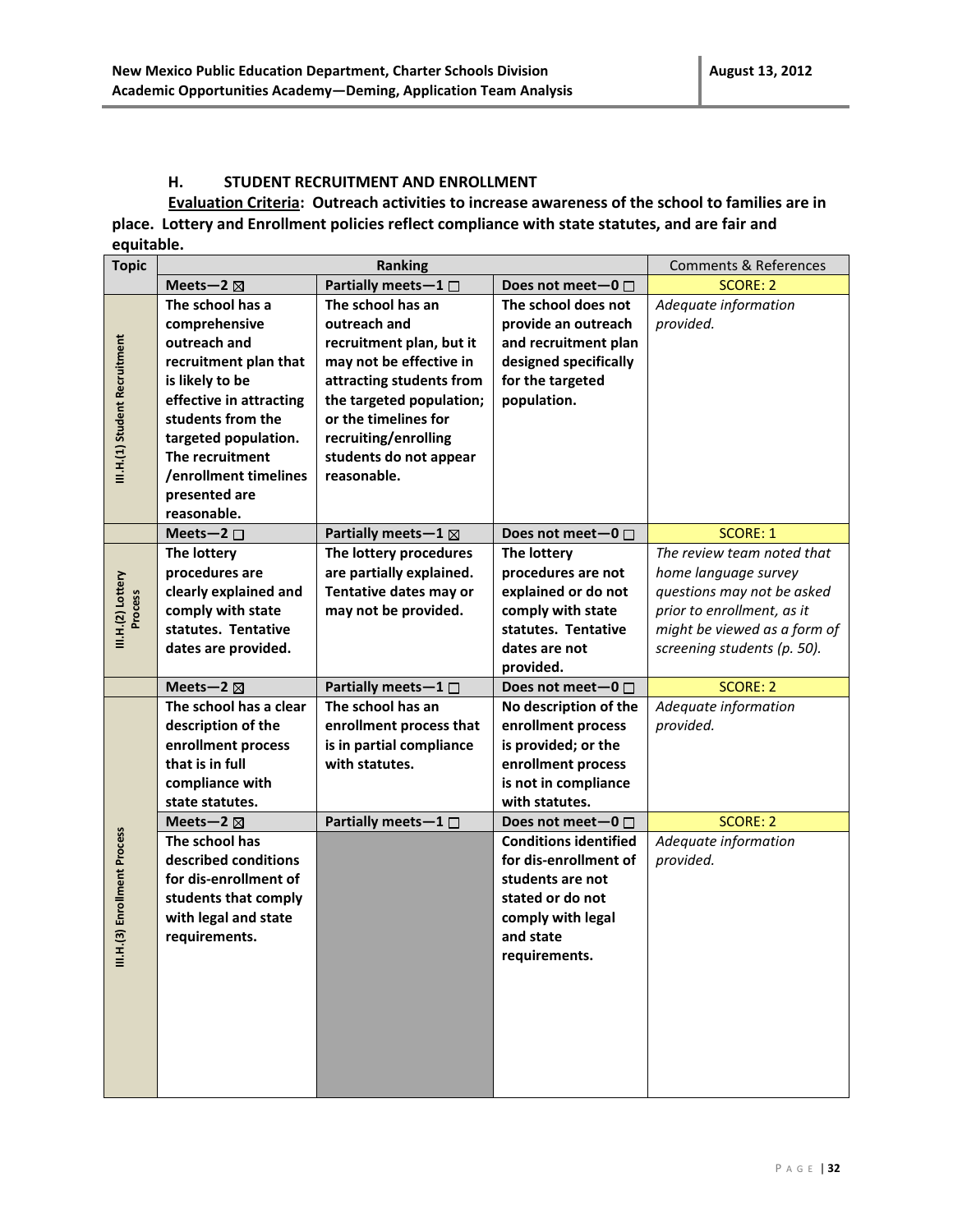#### **H. STUDENT RECRUITMENT AND ENROLLMENT**

**Evaluation Criteria: Outreach activities to increase awareness of the school to families are in place. Lottery and Enrollment policies reflect compliance with state statutes, and are fair and equitable.**

| <b>Topic</b>                  | Ranking                                       |                                                  |                                           | <b>Comments &amp; References</b> |
|-------------------------------|-----------------------------------------------|--------------------------------------------------|-------------------------------------------|----------------------------------|
|                               | Meets-2 $\boxtimes$                           | Partially meets $-1$ $\Box$                      | Does not meet-0 $\square$                 | <b>SCORE: 2</b>                  |
|                               | The school has a                              | The school has an                                | The school does not                       | Adequate information             |
|                               | comprehensive                                 | outreach and                                     | provide an outreach                       | provided.                        |
|                               | outreach and                                  | recruitment plan, but it                         | and recruitment plan                      |                                  |
|                               | recruitment plan that                         | may not be effective in                          | designed specifically                     |                                  |
|                               | is likely to be                               | attracting students from                         | for the targeted                          |                                  |
| III.H.(1) Student Recruitment | effective in attracting                       | the targeted population;                         | population.                               |                                  |
|                               | students from the                             | or the timelines for                             |                                           |                                  |
|                               | targeted population.                          | recruiting/enrolling                             |                                           |                                  |
|                               | The recruitment                               | students do not appear                           |                                           |                                  |
|                               | /enrollment timelines                         | reasonable.                                      |                                           |                                  |
|                               | presented are                                 |                                                  |                                           |                                  |
|                               | reasonable.                                   |                                                  |                                           |                                  |
|                               | Meets-2 $\square$                             | Partially meets - $1 \boxtimes$                  | Does not meet-0 $\Box$                    | <b>SCORE: 1</b>                  |
|                               | The lottery                                   | The lottery procedures                           | The lottery                               | The review team noted that       |
|                               | procedures are                                | are partially explained.                         | procedures are not                        | home language survey             |
|                               | clearly explained and                         | Tentative dates may or                           | explained or do not                       | questions may not be asked       |
| Process                       | comply with state                             | may not be provided.                             | comply with state                         | prior to enrollment, as it       |
| III.H.(2) Lottery             | statutes. Tentative                           |                                                  | statutes. Tentative                       | might be viewed as a form of     |
|                               | dates are provided.                           |                                                  | dates are not                             | screening students (p. 50).      |
|                               |                                               |                                                  | provided.                                 |                                  |
|                               | Meets-2 $\boxtimes$<br>The school has a clear | Partially meets $-1$ $\Box$<br>The school has an | Does not meet-0 $\Box$                    | <b>SCORE: 2</b>                  |
|                               |                                               |                                                  | No description of the                     | Adequate information             |
|                               | description of the                            | enrollment process that                          | enrollment process                        | provided.                        |
|                               | enrollment process<br>that is in full         | is in partial compliance<br>with statutes.       | is provided; or the<br>enrollment process |                                  |
|                               | compliance with                               |                                                  | is not in compliance                      |                                  |
|                               | state statutes.                               |                                                  | with statutes.                            |                                  |
|                               | Meets-2 $\boxtimes$                           | Partially meets-1 □                              | Does not meet-0 $\Box$                    | SCORE: 2                         |
|                               | The school has                                |                                                  | <b>Conditions identified</b>              | Adequate information             |
| III.H.(3) Enrollment Process  | described conditions                          |                                                  | for dis-enrollment of                     | provided.                        |
|                               | for dis-enrollment of                         |                                                  | students are not                          |                                  |
|                               | students that comply                          |                                                  | stated or do not                          |                                  |
|                               | with legal and state                          |                                                  | comply with legal                         |                                  |
|                               | requirements.                                 |                                                  | and state                                 |                                  |
|                               |                                               |                                                  | requirements.                             |                                  |
|                               |                                               |                                                  |                                           |                                  |
|                               |                                               |                                                  |                                           |                                  |
|                               |                                               |                                                  |                                           |                                  |
|                               |                                               |                                                  |                                           |                                  |
|                               |                                               |                                                  |                                           |                                  |
|                               |                                               |                                                  |                                           |                                  |
|                               |                                               |                                                  |                                           |                                  |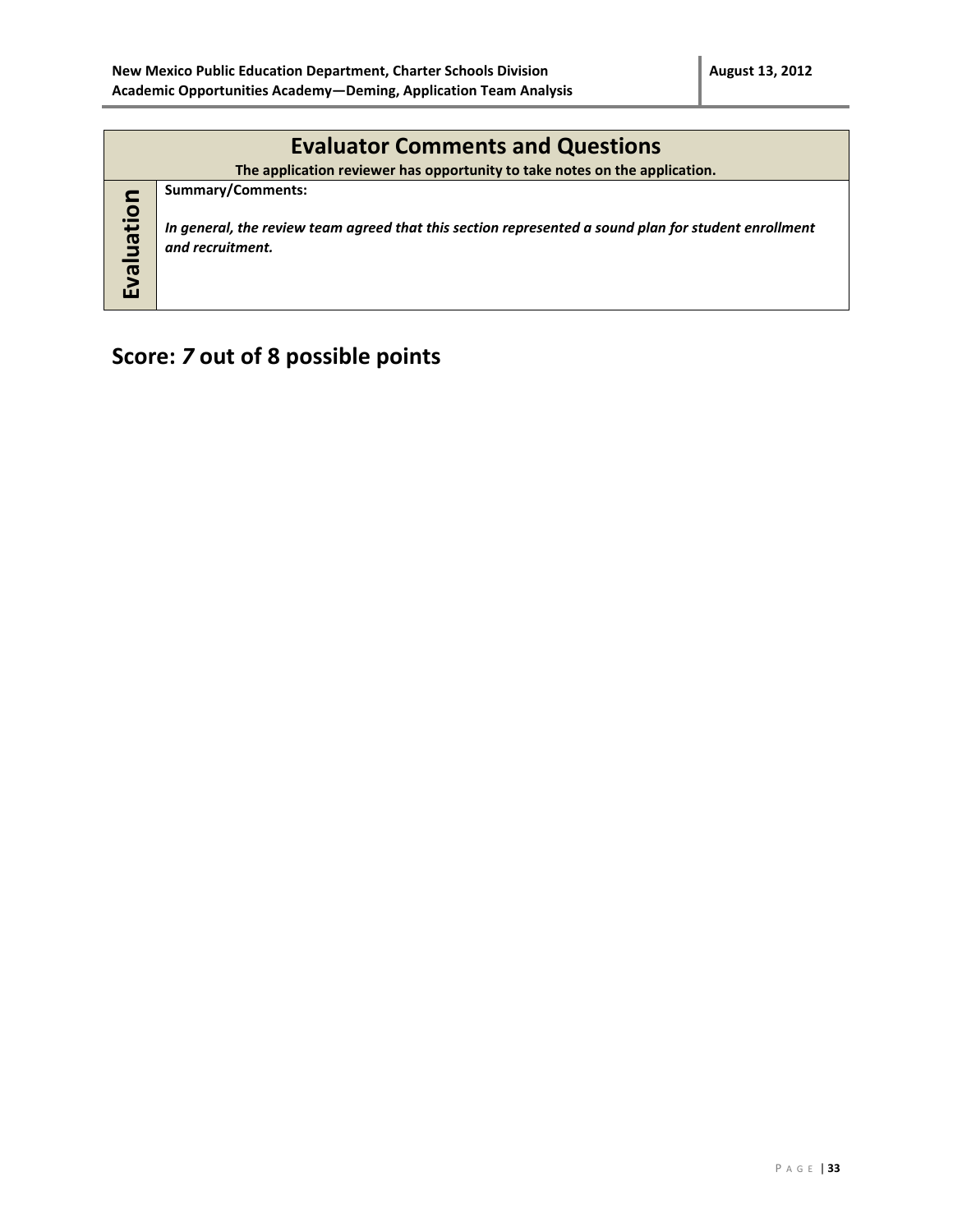|           | <b>Evaluator Comments and Questions</b>                                                                                                              |  |  |  |  |  |
|-----------|------------------------------------------------------------------------------------------------------------------------------------------------------|--|--|--|--|--|
|           | The application reviewer has opportunity to take notes on the application.                                                                           |  |  |  |  |  |
| Evaluatio | <b>Summary/Comments:</b><br>In general, the review team agreed that this section represented a sound plan for student enrollment<br>and recruitment. |  |  |  |  |  |

# **Score:** *7* **out of 8 possible points**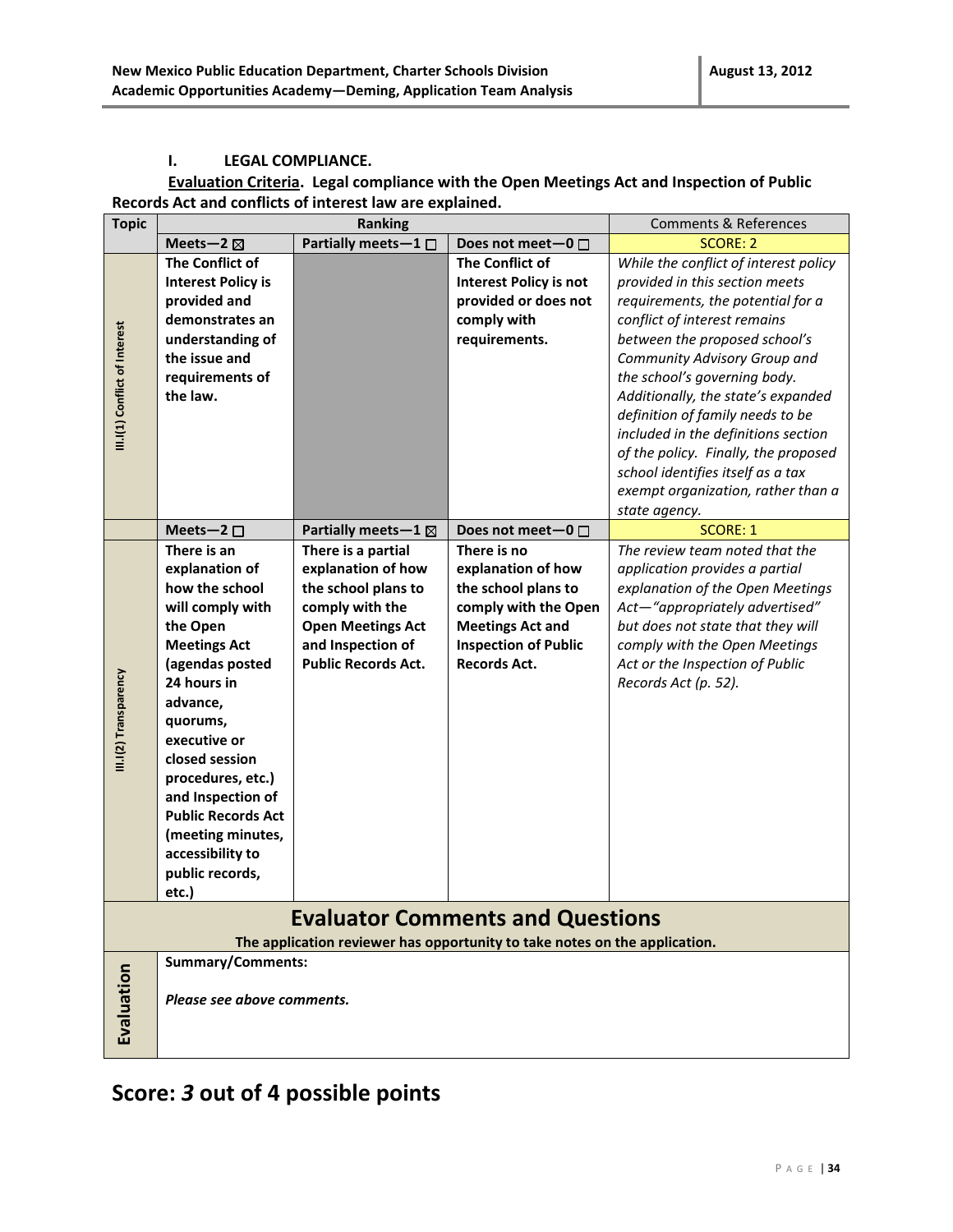#### **I. LEGAL COMPLIANCE.**

#### **Evaluation Criteria. Legal compliance with the Open Meetings Act and Inspection of Public Records Act and conflicts of interest law are explained.**

| <b>Topic</b>                  | <b>Ranking</b>                                                             |                                 | <b>Comments &amp; References</b> |                                       |  |  |
|-------------------------------|----------------------------------------------------------------------------|---------------------------------|----------------------------------|---------------------------------------|--|--|
|                               | Meets-2 $\boxtimes$                                                        | Partially meets $-1$ $\Box$     | Does not meet-0 $\Box$           | <b>SCORE: 2</b>                       |  |  |
|                               | <b>The Conflict of</b>                                                     |                                 | The Conflict of                  | While the conflict of interest policy |  |  |
|                               | <b>Interest Policy is</b>                                                  |                                 | <b>Interest Policy is not</b>    | provided in this section meets        |  |  |
|                               | provided and                                                               |                                 | provided or does not             | requirements, the potential for a     |  |  |
|                               | demonstrates an                                                            |                                 | comply with                      | conflict of interest remains          |  |  |
|                               | understanding of                                                           |                                 | requirements.                    | between the proposed school's         |  |  |
|                               | the issue and                                                              |                                 |                                  | Community Advisory Group and          |  |  |
|                               | requirements of                                                            |                                 |                                  | the school's governing body.          |  |  |
| III.I(1) Conflict of Interest | the law.                                                                   |                                 |                                  | Additionally, the state's expanded    |  |  |
|                               |                                                                            |                                 |                                  | definition of family needs to be      |  |  |
|                               |                                                                            |                                 |                                  | included in the definitions section   |  |  |
|                               |                                                                            |                                 |                                  | of the policy. Finally, the proposed  |  |  |
|                               |                                                                            |                                 |                                  | school identifies itself as a tax     |  |  |
|                               |                                                                            |                                 |                                  | exempt organization, rather than a    |  |  |
|                               |                                                                            |                                 |                                  | state agency.                         |  |  |
|                               | Meets-2 $\square$                                                          | Partially meets - $1 \boxtimes$ | Does not meet-0 □                | <b>SCORE: 1</b>                       |  |  |
|                               | There is an                                                                | There is a partial              | There is no                      | The review team noted that the        |  |  |
|                               | explanation of                                                             | explanation of how              | explanation of how               | application provides a partial        |  |  |
|                               | how the school                                                             | the school plans to             | the school plans to              | explanation of the Open Meetings      |  |  |
|                               | will comply with                                                           | comply with the                 | comply with the Open             | Act-"appropriately advertised"        |  |  |
|                               | the Open                                                                   | <b>Open Meetings Act</b>        | <b>Meetings Act and</b>          | but does not state that they will     |  |  |
|                               | <b>Meetings Act</b>                                                        | and Inspection of               | <b>Inspection of Public</b>      | comply with the Open Meetings         |  |  |
|                               | (agendas posted                                                            | <b>Public Records Act.</b>      | <b>Records Act.</b>              | Act or the Inspection of Public       |  |  |
|                               | 24 hours in                                                                |                                 |                                  | Records Act (p. 52).                  |  |  |
|                               | advance,                                                                   |                                 |                                  |                                       |  |  |
|                               | quorums,                                                                   |                                 |                                  |                                       |  |  |
| III.I(2) Transparency         | executive or                                                               |                                 |                                  |                                       |  |  |
|                               | closed session                                                             |                                 |                                  |                                       |  |  |
|                               | procedures, etc.)                                                          |                                 |                                  |                                       |  |  |
|                               | and Inspection of                                                          |                                 |                                  |                                       |  |  |
|                               | <b>Public Records Act</b>                                                  |                                 |                                  |                                       |  |  |
|                               | (meeting minutes,                                                          |                                 |                                  |                                       |  |  |
|                               | accessibility to                                                           |                                 |                                  |                                       |  |  |
|                               | public records,                                                            |                                 |                                  |                                       |  |  |
|                               | etc.)                                                                      |                                 |                                  |                                       |  |  |
|                               | <b>Evaluator Comments and Questions</b>                                    |                                 |                                  |                                       |  |  |
|                               | The application reviewer has opportunity to take notes on the application. |                                 |                                  |                                       |  |  |
|                               | <b>Summary/Comments:</b>                                                   |                                 |                                  |                                       |  |  |
| Evaluation                    |                                                                            |                                 |                                  |                                       |  |  |
|                               | Please see above comments.                                                 |                                 |                                  |                                       |  |  |
|                               |                                                                            |                                 |                                  |                                       |  |  |
|                               |                                                                            |                                 |                                  |                                       |  |  |
|                               |                                                                            |                                 |                                  |                                       |  |  |

### **Score:** *3* **out of 4 possible points**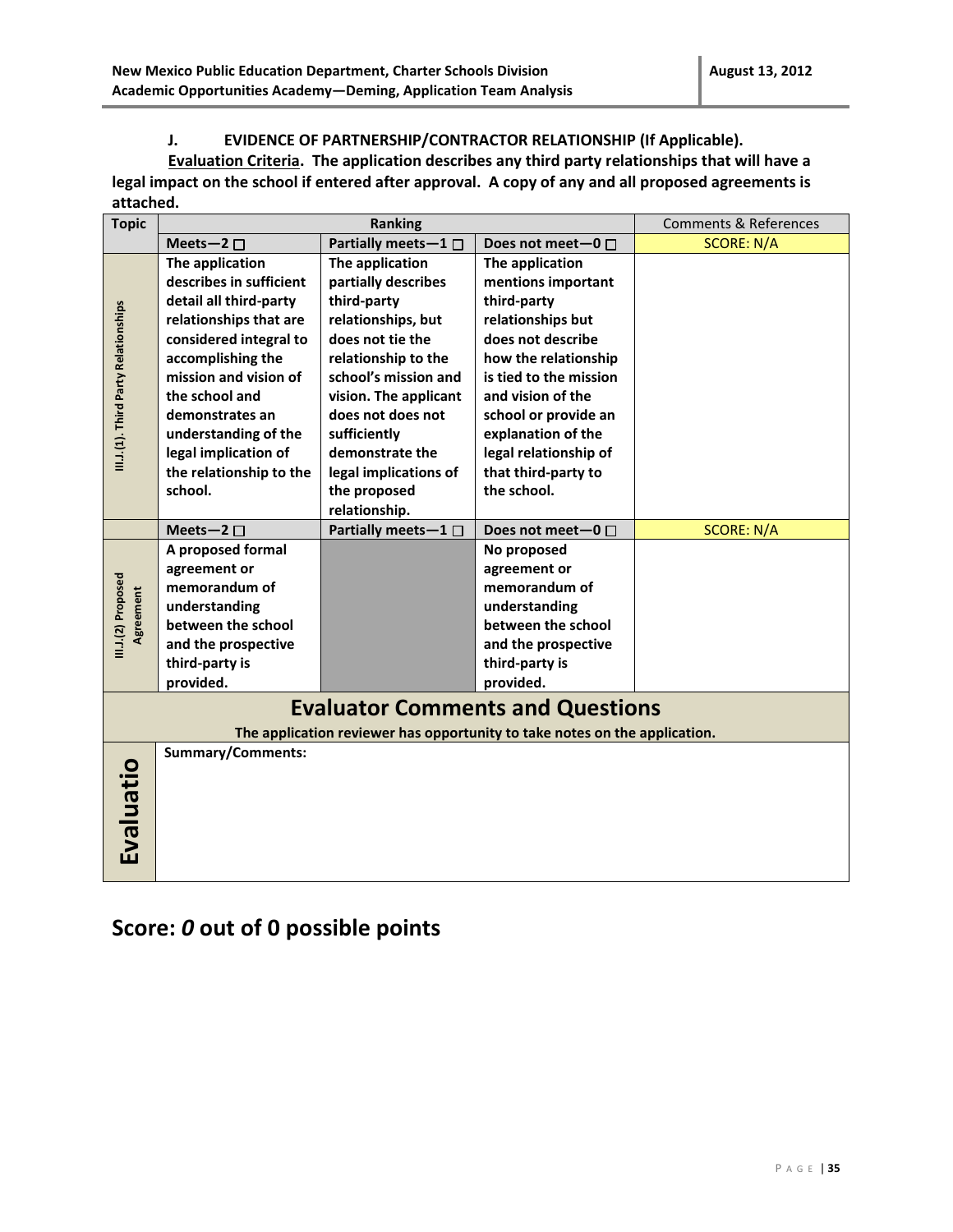#### **J. EVIDENCE OF PARTNERSHIP/CONTRACTOR RELATIONSHIP (If Applicable).**

**Evaluation Criteria. The application describes any third party relationships that will have a legal impact on the school if entered after approval. A copy of any and all proposed agreements is attached.** 

| <b>Topic</b>                         | <b>Ranking</b>           |                             | <b>Comments &amp; References</b>                                           |                   |  |
|--------------------------------------|--------------------------|-----------------------------|----------------------------------------------------------------------------|-------------------|--|
|                                      | Meets-2 $\square$        | Partially meets $-1$ $\Box$ | Does not meet-0 $\Box$                                                     | <b>SCORE: N/A</b> |  |
|                                      | The application          | The application             | The application                                                            |                   |  |
|                                      | describes in sufficient  | partially describes         | mentions important                                                         |                   |  |
|                                      | detail all third-party   | third-party                 | third-party                                                                |                   |  |
|                                      | relationships that are   | relationships, but          | relationships but                                                          |                   |  |
|                                      | considered integral to   | does not tie the            | does not describe                                                          |                   |  |
|                                      | accomplishing the        | relationship to the         | how the relationship                                                       |                   |  |
| III.J.(1). Third Party Relationships | mission and vision of    | school's mission and        | is tied to the mission                                                     |                   |  |
|                                      | the school and           | vision. The applicant       | and vision of the                                                          |                   |  |
|                                      | demonstrates an          | does not does not           | school or provide an                                                       |                   |  |
|                                      | understanding of the     | sufficiently                | explanation of the                                                         |                   |  |
|                                      | legal implication of     | demonstrate the             | legal relationship of                                                      |                   |  |
|                                      | the relationship to the  | legal implications of       | that third-party to                                                        |                   |  |
|                                      | school.                  | the proposed                | the school.                                                                |                   |  |
|                                      |                          | relationship.               |                                                                            |                   |  |
|                                      | Meets-2 $\square$        | Partially meets-1 □         | Does not meet-0 $\Box$                                                     | <b>SCORE: N/A</b> |  |
|                                      | A proposed formal        |                             | No proposed                                                                |                   |  |
|                                      | agreement or             |                             | agreement or                                                               |                   |  |
| III.J.(2) Proposed                   | memorandum of            |                             | memorandum of                                                              |                   |  |
| Agreement                            | understanding            |                             | understanding                                                              |                   |  |
|                                      | between the school       |                             | between the school                                                         |                   |  |
|                                      | and the prospective      |                             | and the prospective                                                        |                   |  |
|                                      | third-party is           |                             | third-party is                                                             |                   |  |
|                                      | provided.                |                             | provided.                                                                  |                   |  |
|                                      |                          |                             | <b>Evaluator Comments and Questions</b>                                    |                   |  |
|                                      |                          |                             | The application reviewer has opportunity to take notes on the application. |                   |  |
|                                      | <b>Summary/Comments:</b> |                             |                                                                            |                   |  |
|                                      |                          |                             |                                                                            |                   |  |
|                                      |                          |                             |                                                                            |                   |  |
|                                      |                          |                             |                                                                            |                   |  |
|                                      |                          |                             |                                                                            |                   |  |
| Evaluatio                            |                          |                             |                                                                            |                   |  |
|                                      |                          |                             |                                                                            |                   |  |

## **Score:** *0* **out of 0 possible points**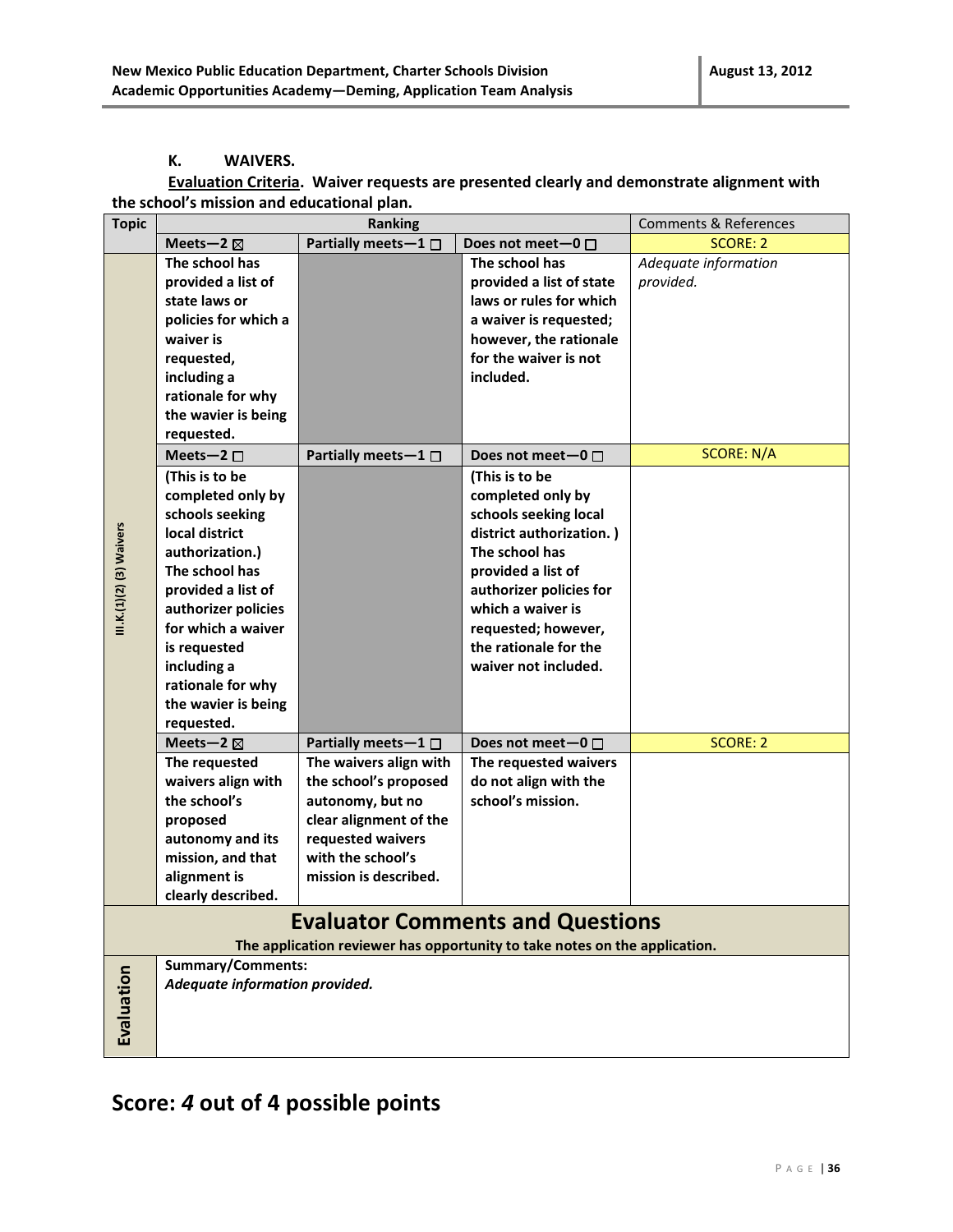#### **K. WAIVERS.**

#### **Evaluation Criteria. Waiver requests are presented clearly and demonstrate alignment with the school's mission and educational plan.**

| <b>Topic</b><br><b>Ranking</b> |                                |                                                                            | <b>Comments &amp; References</b>        |                      |
|--------------------------------|--------------------------------|----------------------------------------------------------------------------|-----------------------------------------|----------------------|
|                                | Meets-2 $\boxtimes$            | Partially meets-1 □                                                        | Does not meet-0 $\Box$                  | <b>SCORE: 2</b>      |
|                                | The school has                 |                                                                            | The school has                          | Adequate information |
|                                | provided a list of             |                                                                            | provided a list of state                | provided.            |
|                                | state laws or                  |                                                                            | laws or rules for which                 |                      |
|                                | policies for which a           |                                                                            | a waiver is requested;                  |                      |
|                                | waiver is                      |                                                                            | however, the rationale                  |                      |
|                                | requested,                     |                                                                            | for the waiver is not                   |                      |
|                                | including a                    |                                                                            | included.                               |                      |
|                                | rationale for why              |                                                                            |                                         |                      |
|                                | the wavier is being            |                                                                            |                                         |                      |
|                                | requested.                     |                                                                            |                                         |                      |
|                                | Meets-2 $\square$              | Partially meets $-1$ $\Box$                                                | Does not meet-0 $\Box$                  | <b>SCORE: N/A</b>    |
|                                | (This is to be                 |                                                                            | (This is to be                          |                      |
|                                | completed only by              |                                                                            | completed only by                       |                      |
|                                | schools seeking                |                                                                            | schools seeking local                   |                      |
|                                | local district                 |                                                                            | district authorization.)                |                      |
| III.K.(1)(2) (3) Waivers       | authorization.)                |                                                                            | The school has                          |                      |
|                                | The school has                 |                                                                            | provided a list of                      |                      |
|                                | provided a list of             |                                                                            | authorizer policies for                 |                      |
|                                | authorizer policies            |                                                                            | which a waiver is                       |                      |
|                                | for which a waiver             |                                                                            | requested; however,                     |                      |
|                                | is requested                   |                                                                            | the rationale for the                   |                      |
|                                | including a                    |                                                                            | waiver not included.                    |                      |
|                                | rationale for why              |                                                                            |                                         |                      |
|                                | the wavier is being            |                                                                            |                                         |                      |
|                                | requested.                     |                                                                            |                                         |                      |
|                                | Meets-2 $\boxtimes$            | Partially meets $-1$ $\Box$                                                | Does not meet $-0$ $\Box$               | <b>SCORE: 2</b>      |
|                                | The requested                  | The waivers align with                                                     | The requested waivers                   |                      |
|                                | waivers align with             | the school's proposed                                                      | do not align with the                   |                      |
|                                | the school's                   | autonomy, but no                                                           | school's mission.                       |                      |
|                                | proposed                       | clear alignment of the                                                     |                                         |                      |
|                                | autonomy and its               | requested waivers                                                          |                                         |                      |
|                                | mission, and that              | with the school's                                                          |                                         |                      |
|                                | alignment is                   | mission is described.                                                      |                                         |                      |
|                                | clearly described.             |                                                                            |                                         |                      |
|                                |                                |                                                                            | <b>Evaluator Comments and Questions</b> |                      |
|                                |                                | The application reviewer has opportunity to take notes on the application. |                                         |                      |
|                                | Summary/Comments:              |                                                                            |                                         |                      |
| Evaluation                     | Adequate information provided. |                                                                            |                                         |                      |
|                                |                                |                                                                            |                                         |                      |
|                                |                                |                                                                            |                                         |                      |
|                                |                                |                                                                            |                                         |                      |
|                                |                                |                                                                            |                                         |                      |

## **Score:** *4* **out of 4 possible points**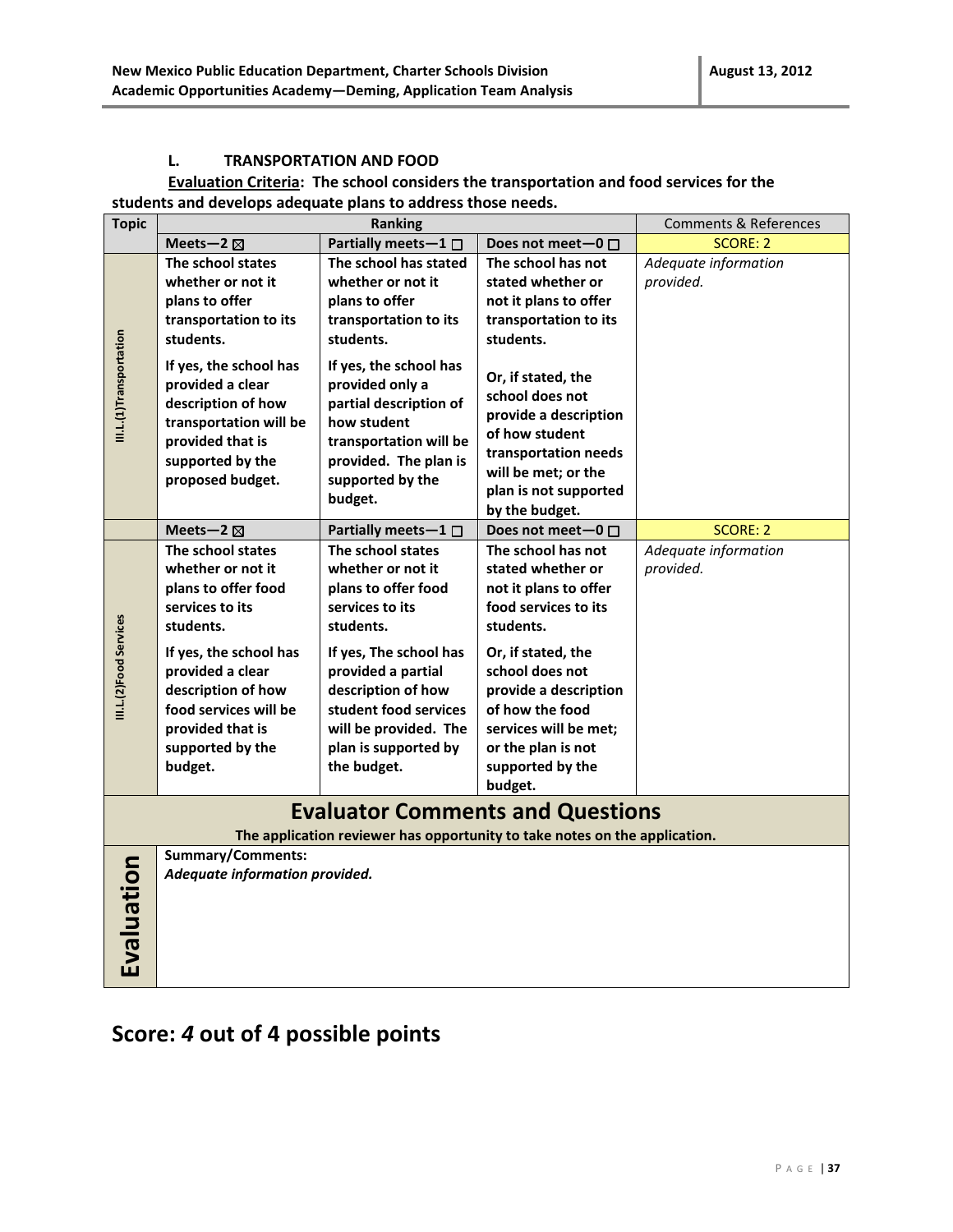#### **L. TRANSPORTATION AND FOOD**

#### **Evaluation Criteria: The school considers the transportation and food services for the students and develops adequate plans to address those needs.**

| <b>Topic</b>                                                                                                          | Ranking                                                                                                                                                                                                                                       |                                                                                                                                                                                                                                                              | <b>Comments &amp; References</b>                                                                                                                                                                                                                                         |                                   |  |
|-----------------------------------------------------------------------------------------------------------------------|-----------------------------------------------------------------------------------------------------------------------------------------------------------------------------------------------------------------------------------------------|--------------------------------------------------------------------------------------------------------------------------------------------------------------------------------------------------------------------------------------------------------------|--------------------------------------------------------------------------------------------------------------------------------------------------------------------------------------------------------------------------------------------------------------------------|-----------------------------------|--|
|                                                                                                                       | Meets-2 $\boxtimes$                                                                                                                                                                                                                           | Partially meets-1 $\Box$                                                                                                                                                                                                                                     | Does not meet-0 $\Box$                                                                                                                                                                                                                                                   | SCORE: 2                          |  |
|                                                                                                                       | The school states<br>whether or not it<br>plans to offer<br>transportation to its<br>students.                                                                                                                                                | The school has stated<br>whether or not it<br>plans to offer<br>transportation to its<br>students.                                                                                                                                                           | The school has not<br>stated whether or<br>not it plans to offer<br>transportation to its<br>students.                                                                                                                                                                   | Adequate information<br>provided. |  |
| III.L.(1)Transportation                                                                                               | If yes, the school has<br>provided a clear<br>description of how<br>transportation will be<br>provided that is<br>supported by the<br>proposed budget.                                                                                        | If yes, the school has<br>provided only a<br>partial description of<br>how student<br>transportation will be<br>provided. The plan is<br>supported by the<br>budget.                                                                                         | Or, if stated, the<br>school does not<br>provide a description<br>of how student<br>transportation needs<br>will be met; or the<br>plan is not supported<br>by the budget.                                                                                               |                                   |  |
|                                                                                                                       | Meets-2 $\boxtimes$                                                                                                                                                                                                                           | Partially meets-1 $\Box$                                                                                                                                                                                                                                     | Does not meet-0 □                                                                                                                                                                                                                                                        | <b>SCORE: 2</b>                   |  |
| III.L.(2)Food Services                                                                                                | The school states<br>whether or not it<br>plans to offer food<br>services to its<br>students.<br>If yes, the school has<br>provided a clear<br>description of how<br>food services will be<br>provided that is<br>supported by the<br>budget. | The school states<br>whether or not it<br>plans to offer food<br>services to its<br>students.<br>If yes, The school has<br>provided a partial<br>description of how<br>student food services<br>will be provided. The<br>plan is supported by<br>the budget. | The school has not<br>stated whether or<br>not it plans to offer<br>food services to its<br>students.<br>Or, if stated, the<br>school does not<br>provide a description<br>of how the food<br>services will be met;<br>or the plan is not<br>supported by the<br>budget. | Adequate information<br>provided. |  |
| <b>Evaluator Comments and Questions</b><br>The application reviewer has opportunity to take notes on the application. |                                                                                                                                                                                                                                               |                                                                                                                                                                                                                                                              |                                                                                                                                                                                                                                                                          |                                   |  |
|                                                                                                                       | <b>Summary/Comments:</b>                                                                                                                                                                                                                      |                                                                                                                                                                                                                                                              |                                                                                                                                                                                                                                                                          |                                   |  |
| Evaluation                                                                                                            | Adequate information provided.                                                                                                                                                                                                                |                                                                                                                                                                                                                                                              |                                                                                                                                                                                                                                                                          |                                   |  |

## **Score:** *4* **out of 4 possible points**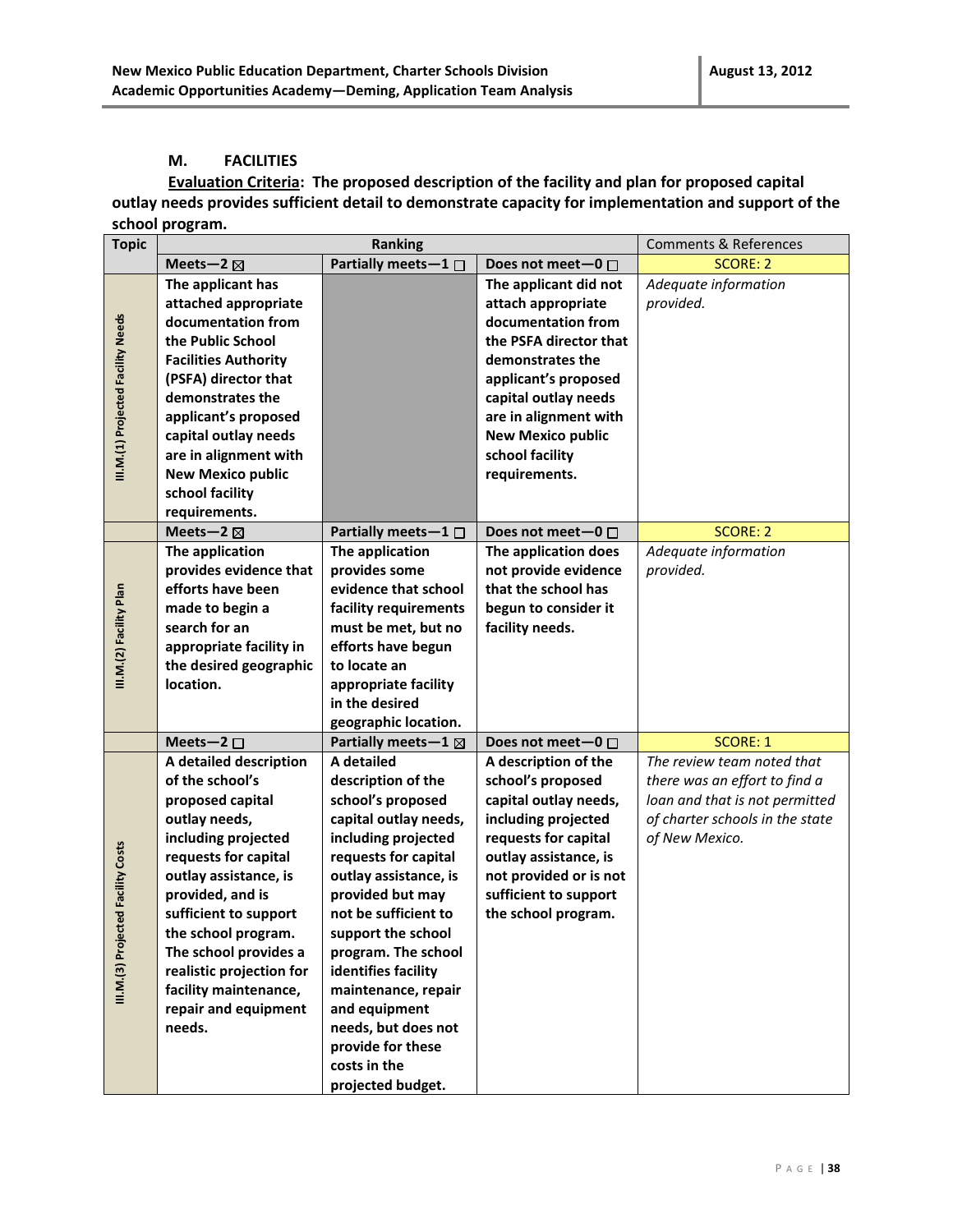#### **M. FACILITIES**

**Evaluation Criteria: The proposed description of the facility and plan for proposed capital outlay needs provides sufficient detail to demonstrate capacity for implementation and support of the school program.**

| <b>Topic</b>                       |                             | <b>Ranking</b>                |                          |                                 |
|------------------------------------|-----------------------------|-------------------------------|--------------------------|---------------------------------|
|                                    | Meets-2 $\boxtimes$         | Partially meets-1 $\Box$      | Does not meet-0 □        | <b>SCORE: 2</b>                 |
|                                    | The applicant has           |                               | The applicant did not    | Adequate information            |
|                                    | attached appropriate        |                               | attach appropriate       | provided.                       |
|                                    | documentation from          |                               | documentation from       |                                 |
|                                    | the Public School           |                               | the PSFA director that   |                                 |
|                                    | <b>Facilities Authority</b> |                               | demonstrates the         |                                 |
|                                    | (PSFA) director that        |                               | applicant's proposed     |                                 |
|                                    | demonstrates the            |                               | capital outlay needs     |                                 |
| III.M.(1) Projected Facility Needs | applicant's proposed        |                               | are in alignment with    |                                 |
|                                    | capital outlay needs        |                               | <b>New Mexico public</b> |                                 |
|                                    | are in alignment with       |                               | school facility          |                                 |
|                                    | <b>New Mexico public</b>    |                               | requirements.            |                                 |
|                                    | school facility             |                               |                          |                                 |
|                                    | requirements.               |                               |                          |                                 |
|                                    | Meets-2 $\boxtimes$         | Partially meets $-1$ $\Box$   | Does not meet-0 $\Box$   | <b>SCORE: 2</b>                 |
|                                    | The application             | The application               | The application does     | Adequate information            |
|                                    | provides evidence that      | provides some                 | not provide evidence     | provided.                       |
|                                    | efforts have been           | evidence that school          | that the school has      |                                 |
|                                    | made to begin a             | facility requirements         | begun to consider it     |                                 |
| III.M.(2) Facility Plan            | search for an               | must be met, but no           | facility needs.          |                                 |
|                                    | appropriate facility in     | efforts have begun            |                          |                                 |
|                                    | the desired geographic      | to locate an                  |                          |                                 |
|                                    | location.                   | appropriate facility          |                          |                                 |
|                                    |                             | in the desired                |                          |                                 |
|                                    |                             | geographic location.          |                          |                                 |
|                                    | Meets-2 $\square$           | Partially meets-1 $\boxtimes$ | Does not meet-0 □        | <b>SCORE: 1</b>                 |
|                                    | A detailed description      | A detailed                    | A description of the     | The review team noted that      |
|                                    | of the school's             | description of the            | school's proposed        | there was an effort to find a   |
|                                    | proposed capital            | school's proposed             | capital outlay needs,    | loan and that is not permitted  |
|                                    | outlay needs,               | capital outlay needs,         | including projected      | of charter schools in the state |
|                                    | including projected         | including projected           | requests for capital     | of New Mexico.                  |
|                                    | requests for capital        | requests for capital          | outlay assistance, is    |                                 |
|                                    | outlay assistance, is       | outlay assistance, is         | not provided or is not   |                                 |
|                                    | provided, and is            | provided but may              | sufficient to support    |                                 |
|                                    | sufficient to support       | not be sufficient to          | the school program.      |                                 |
|                                    | the school program.         | support the school            |                          |                                 |
|                                    | The school provides a       | program. The school           |                          |                                 |
|                                    | realistic projection for    | identifies facility           |                          |                                 |
| III.M.(3) Projected Facility Costs | facility maintenance,       | maintenance, repair           |                          |                                 |
|                                    | repair and equipment        | and equipment                 |                          |                                 |
|                                    | needs.                      | needs, but does not           |                          |                                 |
|                                    |                             | provide for these             |                          |                                 |
|                                    |                             | costs in the                  |                          |                                 |
|                                    |                             | projected budget.             |                          |                                 |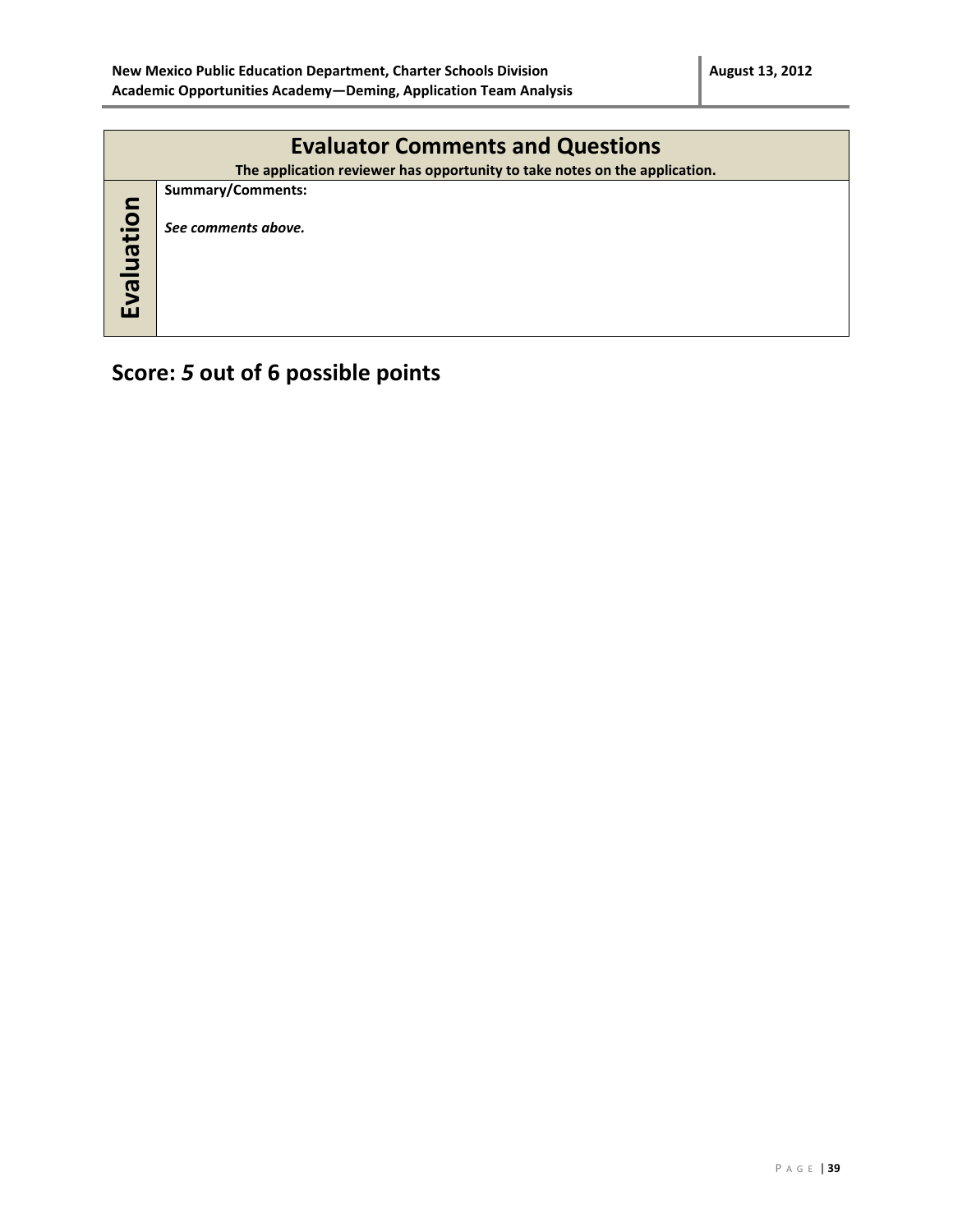|            | <b>Evaluator Comments and Questions</b><br>The application reviewer has opportunity to take notes on the application. |  |  |  |  |
|------------|-----------------------------------------------------------------------------------------------------------------------|--|--|--|--|
| Evaluation | <b>Summary/Comments:</b><br>See comments above.                                                                       |  |  |  |  |

# **Score:** *5* **out of 6 possible points**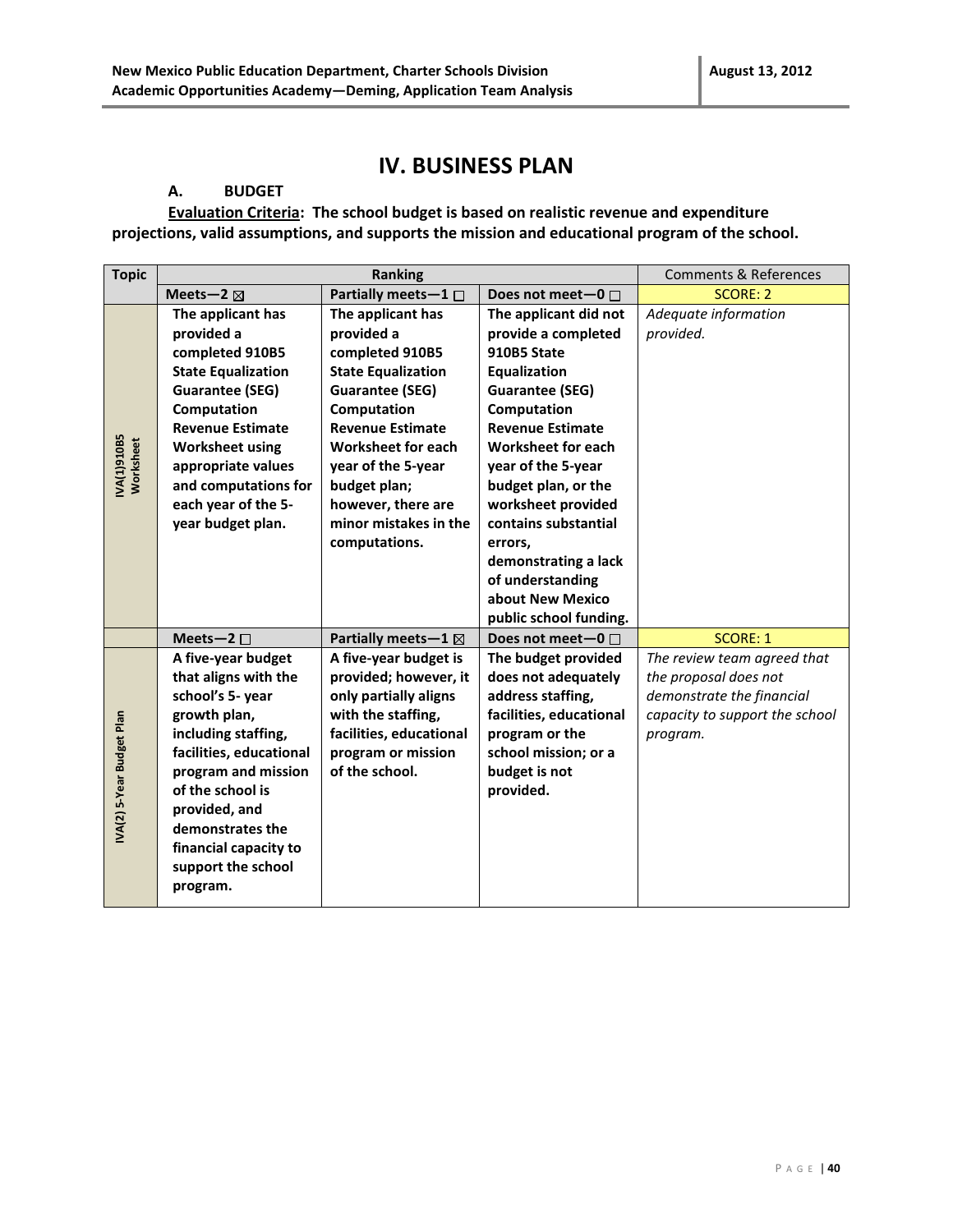### **IV. BUSINESS PLAN**

#### **A. BUDGET**

**Evaluation Criteria: The school budget is based on realistic revenue and expenditure projections, valid assumptions, and supports the mission and educational program of the school.**

| <b>Topic</b>              | <b>Ranking</b>                             |                           |                           | <b>Comments &amp; References</b> |
|---------------------------|--------------------------------------------|---------------------------|---------------------------|----------------------------------|
|                           | Partially meets-1 □<br>Meets-2 $\boxtimes$ |                           | Does not meet-0 $\Box$    | <b>SCORE: 2</b>                  |
|                           | The applicant has                          | The applicant has         | The applicant did not     | Adequate information             |
|                           | provided a                                 | provided a                | provide a completed       | provided.                        |
|                           | completed 910B5                            | completed 910B5           | 910B5 State               |                                  |
|                           | <b>State Equalization</b>                  | <b>State Equalization</b> | Equalization              |                                  |
|                           | <b>Guarantee (SEG)</b>                     | <b>Guarantee (SEG)</b>    | <b>Guarantee (SEG)</b>    |                                  |
|                           | Computation                                | Computation               | Computation               |                                  |
|                           | <b>Revenue Estimate</b>                    | <b>Revenue Estimate</b>   | <b>Revenue Estimate</b>   |                                  |
| VA(1)910B5<br>Worksheet   | <b>Worksheet using</b>                     | <b>Worksheet for each</b> | <b>Worksheet for each</b> |                                  |
|                           | appropriate values                         | year of the 5-year        | year of the 5-year        |                                  |
|                           | and computations for                       | budget plan;              | budget plan, or the       |                                  |
|                           | each year of the 5-                        | however, there are        | worksheet provided        |                                  |
|                           | year budget plan.                          | minor mistakes in the     | contains substantial      |                                  |
|                           |                                            | computations.             | errors,                   |                                  |
|                           |                                            |                           | demonstrating a lack      |                                  |
|                           |                                            |                           | of understanding          |                                  |
|                           |                                            |                           | about New Mexico          |                                  |
|                           |                                            |                           | public school funding.    |                                  |
|                           | Meets-2 $\square$                          | Partially meets-1 ⊠       | Does not meet-0 $\Box$    | <b>SCORE: 1</b>                  |
|                           | A five-year budget                         | A five-year budget is     | The budget provided       | The review team agreed that      |
|                           | that aligns with the                       | provided; however, it     | does not adequately       | the proposal does not            |
|                           | school's 5- year                           | only partially aligns     | address staffing,         | demonstrate the financial        |
|                           | growth plan,                               | with the staffing,        | facilities, educational   | capacity to support the school   |
|                           | including staffing,                        | facilities, educational   | program or the            | program.                         |
|                           | facilities, educational                    | program or mission        | school mission; or a      |                                  |
| IVA(2) 5-Year Budget Plan | program and mission                        | of the school.            | budget is not             |                                  |
|                           | of the school is                           |                           | provided.                 |                                  |
|                           | provided, and                              |                           |                           |                                  |
|                           | demonstrates the                           |                           |                           |                                  |
|                           | financial capacity to                      |                           |                           |                                  |
|                           | support the school                         |                           |                           |                                  |
|                           | program.                                   |                           |                           |                                  |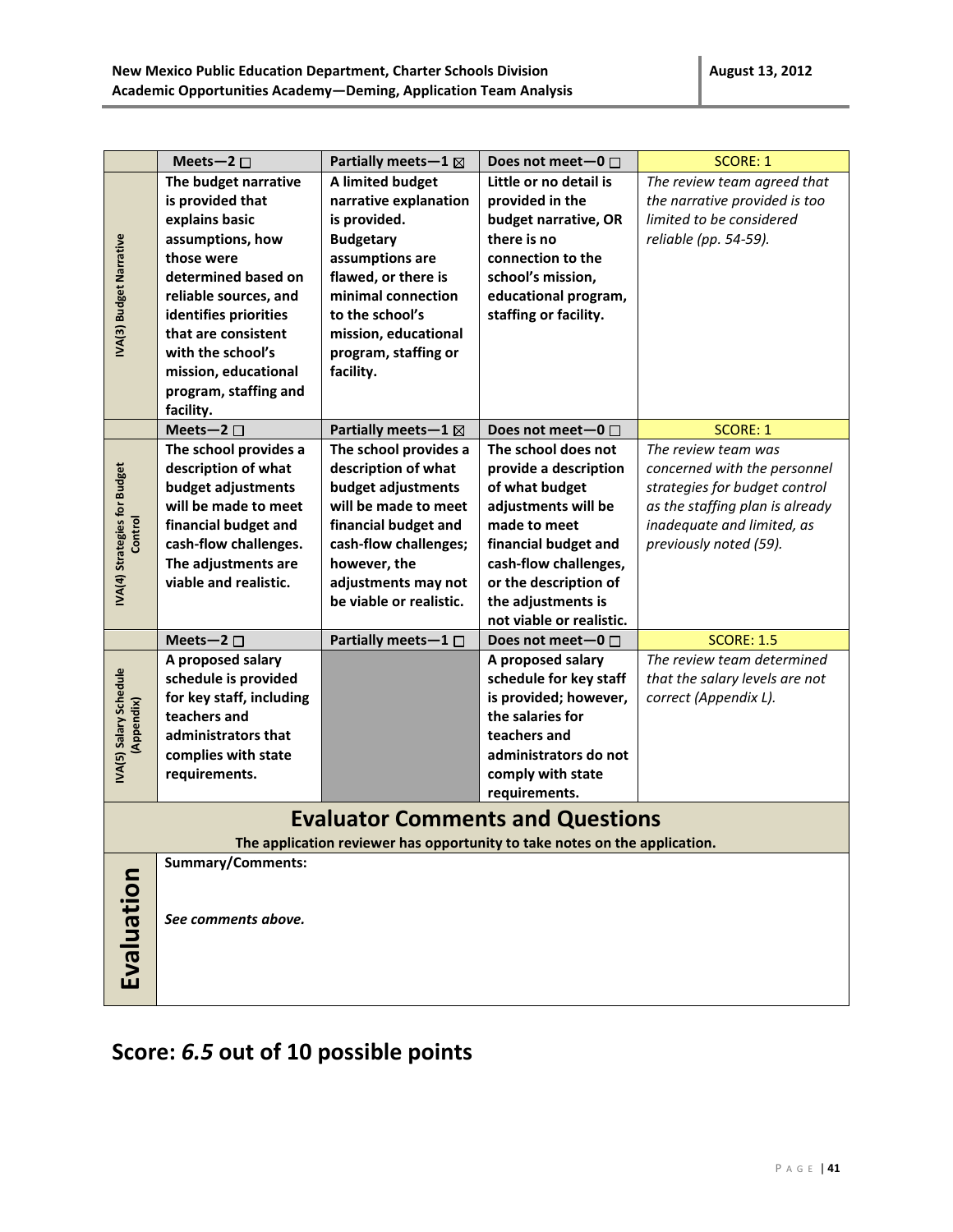|                                         | Meets-2 $\square$                                                                                                                                                                                                                                                               | Partially meets-1 $\boxtimes$                                                                                                                                                                                                 | Does not meet-0 $\Box$                                                                                                                                                                                                            | <b>SCORE: 1</b>                                                                                                                                                                 |
|-----------------------------------------|---------------------------------------------------------------------------------------------------------------------------------------------------------------------------------------------------------------------------------------------------------------------------------|-------------------------------------------------------------------------------------------------------------------------------------------------------------------------------------------------------------------------------|-----------------------------------------------------------------------------------------------------------------------------------------------------------------------------------------------------------------------------------|---------------------------------------------------------------------------------------------------------------------------------------------------------------------------------|
| IVA(3) Budget Narrative                 | The budget narrative<br>is provided that<br>explains basic<br>assumptions, how<br>those were<br>determined based on<br>reliable sources, and<br>identifies priorities<br>that are consistent<br>with the school's<br>mission, educational<br>program, staffing and<br>facility. | A limited budget<br>narrative explanation<br>is provided.<br><b>Budgetary</b><br>assumptions are<br>flawed, or there is<br>minimal connection<br>to the school's<br>mission, educational<br>program, staffing or<br>facility. | Little or no detail is<br>provided in the<br>budget narrative, OR<br>there is no<br>connection to the<br>school's mission,<br>educational program,<br>staffing or facility.                                                       | The review team agreed that<br>the narrative provided is too<br>limited to be considered<br>reliable (pp. 54-59).                                                               |
|                                         | Meets-2 $\square$                                                                                                                                                                                                                                                               | Partially meets-1 $\boxtimes$                                                                                                                                                                                                 | Does not meet-0 $\Box$                                                                                                                                                                                                            | <b>SCORE: 1</b>                                                                                                                                                                 |
| IVA(4) Strategies for Budget<br>Control | The school provides a<br>description of what<br>budget adjustments<br>will be made to meet<br>financial budget and<br>cash-flow challenges.<br>The adjustments are<br>viable and realistic.                                                                                     | The school provides a<br>description of what<br>budget adjustments<br>will be made to meet<br>financial budget and<br>cash-flow challenges;<br>however, the<br>adjustments may not<br>be viable or realistic.                 | The school does not<br>provide a description<br>of what budget<br>adjustments will be<br>made to meet<br>financial budget and<br>cash-flow challenges,<br>or the description of<br>the adjustments is<br>not viable or realistic. | The review team was<br>concerned with the personnel<br>strategies for budget control<br>as the staffing plan is already<br>inadequate and limited, as<br>previously noted (59). |
|                                         | Meets-2 $\square$                                                                                                                                                                                                                                                               | Partially meets-1 □                                                                                                                                                                                                           | Does not meet-0 $\Box$                                                                                                                                                                                                            | <b>SCORE: 1.5</b>                                                                                                                                                               |
| IVA(5) Salary Schedule<br>(Appendix)    | A proposed salary<br>schedule is provided<br>for key staff, including<br>teachers and<br>administrators that<br>complies with state<br>requirements.                                                                                                                            |                                                                                                                                                                                                                               | A proposed salary<br>schedule for key staff<br>is provided; however,<br>the salaries for<br>teachers and<br>administrators do not<br>comply with state<br>requirements.                                                           | The review team determined<br>that the salary levels are not<br>correct (Appendix L).                                                                                           |
|                                         |                                                                                                                                                                                                                                                                                 |                                                                                                                                                                                                                               | <b>Evaluator Comments and Questions</b>                                                                                                                                                                                           |                                                                                                                                                                                 |
|                                         |                                                                                                                                                                                                                                                                                 |                                                                                                                                                                                                                               | The application reviewer has opportunity to take notes on the application.                                                                                                                                                        |                                                                                                                                                                                 |
| Evaluation                              | <b>Summary/Comments:</b><br>See comments above.                                                                                                                                                                                                                                 |                                                                                                                                                                                                                               |                                                                                                                                                                                                                                   |                                                                                                                                                                                 |

# **Score:** *6.5* **out of 10 possible points**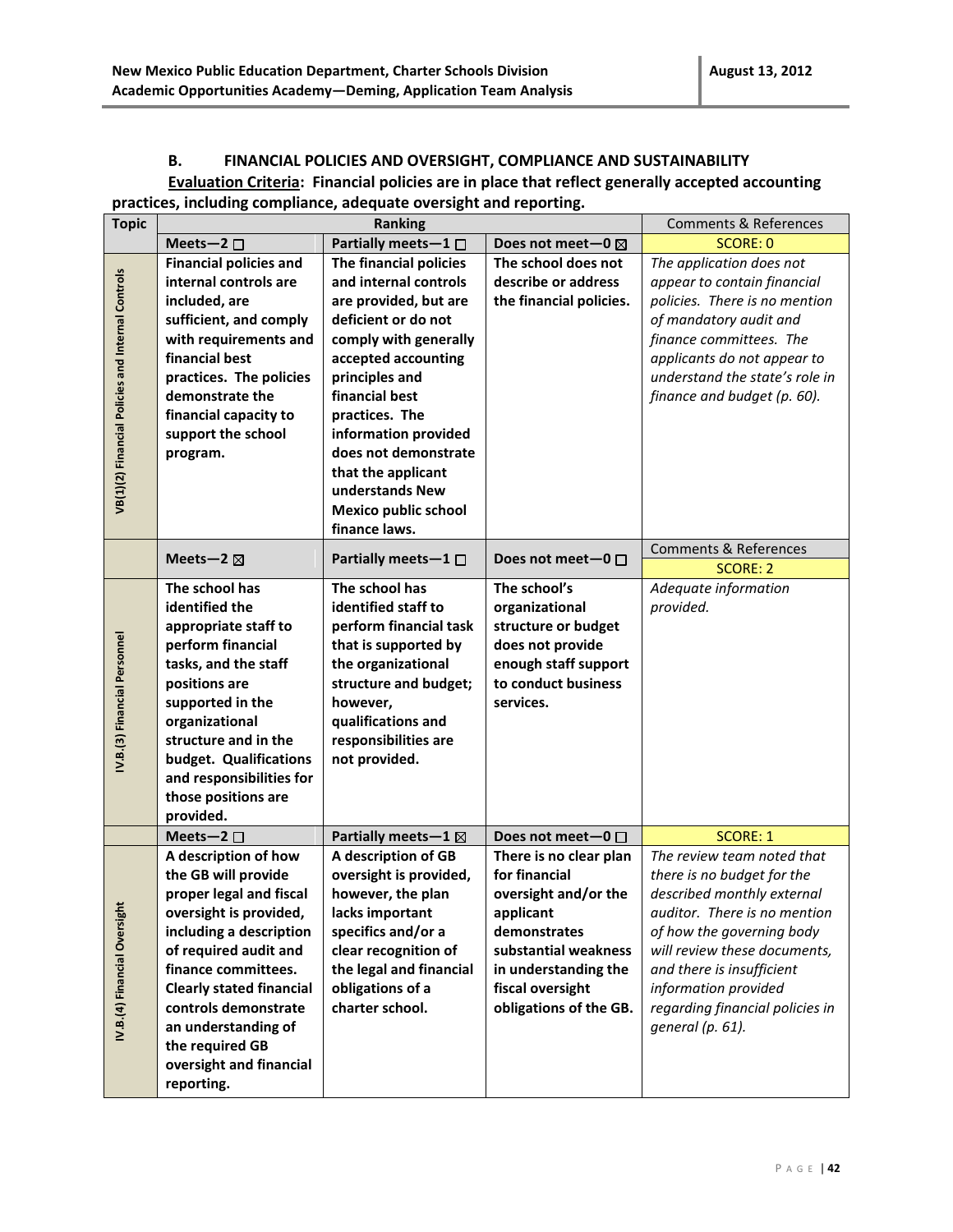#### **B. FINANCIAL POLICIES AND OVERSIGHT, COMPLIANCE AND SUSTAINABILITY Evaluation Criteria: Financial policies are in place that reflect generally accepted accounting practices, including compliance, adequate oversight and reporting.**

| <b>Topic</b>                                      |                                                                                                                                                                                                                                                                                                                           | Ranking                                                                                                                                                                                                                                                                                                                                        |                                                                                                                                                                                            | <b>Comments &amp; References</b>                                                                                                                                                                                                                                                                |
|---------------------------------------------------|---------------------------------------------------------------------------------------------------------------------------------------------------------------------------------------------------------------------------------------------------------------------------------------------------------------------------|------------------------------------------------------------------------------------------------------------------------------------------------------------------------------------------------------------------------------------------------------------------------------------------------------------------------------------------------|--------------------------------------------------------------------------------------------------------------------------------------------------------------------------------------------|-------------------------------------------------------------------------------------------------------------------------------------------------------------------------------------------------------------------------------------------------------------------------------------------------|
|                                                   | Meets-2 $\square$                                                                                                                                                                                                                                                                                                         | Partially meets-1 $\Box$                                                                                                                                                                                                                                                                                                                       | Does not meet-0 $\boxtimes$                                                                                                                                                                | <b>SCORE: 0</b>                                                                                                                                                                                                                                                                                 |
| VB(1)(2) Financial Policies and Internal Controls | <b>Financial policies and</b><br>internal controls are<br>included, are<br>sufficient, and comply<br>with requirements and<br>financial best<br>practices. The policies<br>demonstrate the<br>financial capacity to<br>support the school<br>program.                                                                     | The financial policies<br>and internal controls<br>are provided, but are<br>deficient or do not<br>comply with generally<br>accepted accounting<br>principles and<br>financial best<br>practices. The<br>information provided<br>does not demonstrate<br>that the applicant<br>understands New<br><b>Mexico public school</b><br>finance laws. | The school does not<br>describe or address<br>the financial policies.                                                                                                                      | The application does not<br>appear to contain financial<br>policies. There is no mention<br>of mandatory audit and<br>finance committees. The<br>applicants do not appear to<br>understand the state's role in<br>finance and budget (p. 60).                                                   |
|                                                   |                                                                                                                                                                                                                                                                                                                           |                                                                                                                                                                                                                                                                                                                                                | Does not meet-0 $\Box$                                                                                                                                                                     | <b>Comments &amp; References</b>                                                                                                                                                                                                                                                                |
|                                                   | Meets-2 $\boxtimes$                                                                                                                                                                                                                                                                                                       | Partially meets $-1$ $\Box$                                                                                                                                                                                                                                                                                                                    |                                                                                                                                                                                            | <b>SCORE: 2</b>                                                                                                                                                                                                                                                                                 |
| IV.B.(3) Financial Personnel                      | The school has<br>identified the<br>appropriate staff to<br>perform financial<br>tasks, and the staff<br>positions are<br>supported in the<br>organizational<br>structure and in the<br>budget. Qualifications<br>and responsibilities for<br>those positions are<br>provided.                                            | The school has<br>identified staff to<br>perform financial task<br>that is supported by<br>the organizational<br>structure and budget;<br>however,<br>qualifications and<br>responsibilities are<br>not provided.                                                                                                                              | The school's<br>organizational<br>structure or budget<br>does not provide<br>enough staff support<br>to conduct business<br>services.                                                      | Adequate information<br>provided.                                                                                                                                                                                                                                                               |
|                                                   | Meets-2 $\square$                                                                                                                                                                                                                                                                                                         | Partially meets - $1 \boxtimes$                                                                                                                                                                                                                                                                                                                | Does not meet-0 $\Box$                                                                                                                                                                     | <b>SCORE: 1</b>                                                                                                                                                                                                                                                                                 |
| IV.B.(4) Financial Oversight                      | A description of how<br>the GB will provide<br>proper legal and fiscal<br>oversight is provided,<br>including a description<br>of required audit and<br>finance committees.<br><b>Clearly stated financial</b><br>controls demonstrate<br>an understanding of<br>the required GB<br>oversight and financial<br>reporting. | A description of GB<br>oversight is provided,<br>however, the plan<br>lacks important<br>specifics and/or a<br>clear recognition of<br>the legal and financial<br>obligations of a<br>charter school.                                                                                                                                          | There is no clear plan<br>for financial<br>oversight and/or the<br>applicant<br>demonstrates<br>substantial weakness<br>in understanding the<br>fiscal oversight<br>obligations of the GB. | The review team noted that<br>there is no budget for the<br>described monthly external<br>auditor. There is no mention<br>of how the governing body<br>will review these documents,<br>and there is insufficient<br>information provided<br>regarding financial policies in<br>general (p. 61). |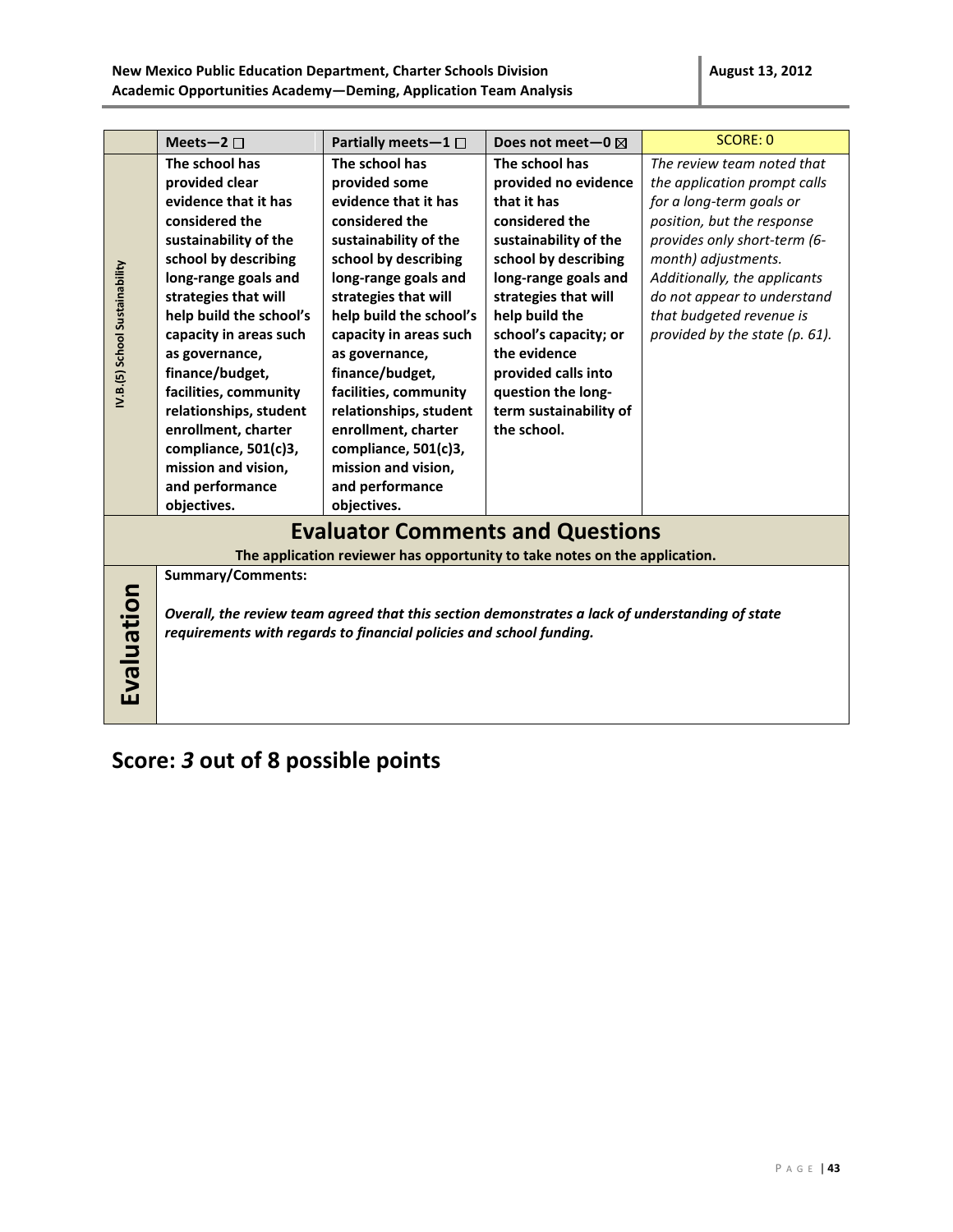|                                |                                                                                                                                                                                                                                                                                                                                                                                              |                                                                                                                                                                                                                                                                                                                                                                                                    | Does not meet-0 $\boxtimes$                                                                                                                                                                                                                                                                                               | SCORE: 0                                                                                                                                                                                                                                                                                                 |
|--------------------------------|----------------------------------------------------------------------------------------------------------------------------------------------------------------------------------------------------------------------------------------------------------------------------------------------------------------------------------------------------------------------------------------------|----------------------------------------------------------------------------------------------------------------------------------------------------------------------------------------------------------------------------------------------------------------------------------------------------------------------------------------------------------------------------------------------------|---------------------------------------------------------------------------------------------------------------------------------------------------------------------------------------------------------------------------------------------------------------------------------------------------------------------------|----------------------------------------------------------------------------------------------------------------------------------------------------------------------------------------------------------------------------------------------------------------------------------------------------------|
| IV.B.(5) School Sustainability | Meets-2 $\square$<br>The school has<br>provided clear<br>evidence that it has<br>considered the<br>sustainability of the<br>school by describing<br>long-range goals and<br>strategies that will<br>help build the school's<br>capacity in areas such<br>as governance,<br>finance/budget,<br>facilities, community<br>relationships, student<br>enrollment, charter<br>compliance, 501(c)3, | Partially meets-1 $\Box$<br>The school has<br>provided some<br>evidence that it has<br>considered the<br>sustainability of the<br>school by describing<br>long-range goals and<br>strategies that will<br>help build the school's<br>capacity in areas such<br>as governance,<br>finance/budget,<br>facilities, community<br>relationships, student<br>enrollment, charter<br>compliance, 501(c)3, | The school has<br>provided no evidence<br>that it has<br>considered the<br>sustainability of the<br>school by describing<br>long-range goals and<br>strategies that will<br>help build the<br>school's capacity; or<br>the evidence<br>provided calls into<br>question the long-<br>term sustainability of<br>the school. | The review team noted that<br>the application prompt calls<br>for a long-term goals or<br>position, but the response<br>provides only short-term (6-<br>month) adjustments.<br>Additionally, the applicants<br>do not appear to understand<br>that budgeted revenue is<br>provided by the state (p. 61). |
|                                | mission and vision,<br>and performance                                                                                                                                                                                                                                                                                                                                                       | mission and vision,<br>and performance                                                                                                                                                                                                                                                                                                                                                             |                                                                                                                                                                                                                                                                                                                           |                                                                                                                                                                                                                                                                                                          |
|                                | objectives.                                                                                                                                                                                                                                                                                                                                                                                  | objectives.                                                                                                                                                                                                                                                                                                                                                                                        |                                                                                                                                                                                                                                                                                                                           |                                                                                                                                                                                                                                                                                                          |
|                                |                                                                                                                                                                                                                                                                                                                                                                                              | <b>Evaluator Comments and Questions</b>                                                                                                                                                                                                                                                                                                                                                            |                                                                                                                                                                                                                                                                                                                           |                                                                                                                                                                                                                                                                                                          |
|                                |                                                                                                                                                                                                                                                                                                                                                                                              | The application reviewer has opportunity to take notes on the application.                                                                                                                                                                                                                                                                                                                         |                                                                                                                                                                                                                                                                                                                           |                                                                                                                                                                                                                                                                                                          |
| Evaluation                     | <b>Summary/Comments:</b>                                                                                                                                                                                                                                                                                                                                                                     | Overall, the review team agreed that this section demonstrates a lack of understanding of state<br>requirements with regards to financial policies and school funding.                                                                                                                                                                                                                             |                                                                                                                                                                                                                                                                                                                           |                                                                                                                                                                                                                                                                                                          |

## **Score:** *3* **out of 8 possible points**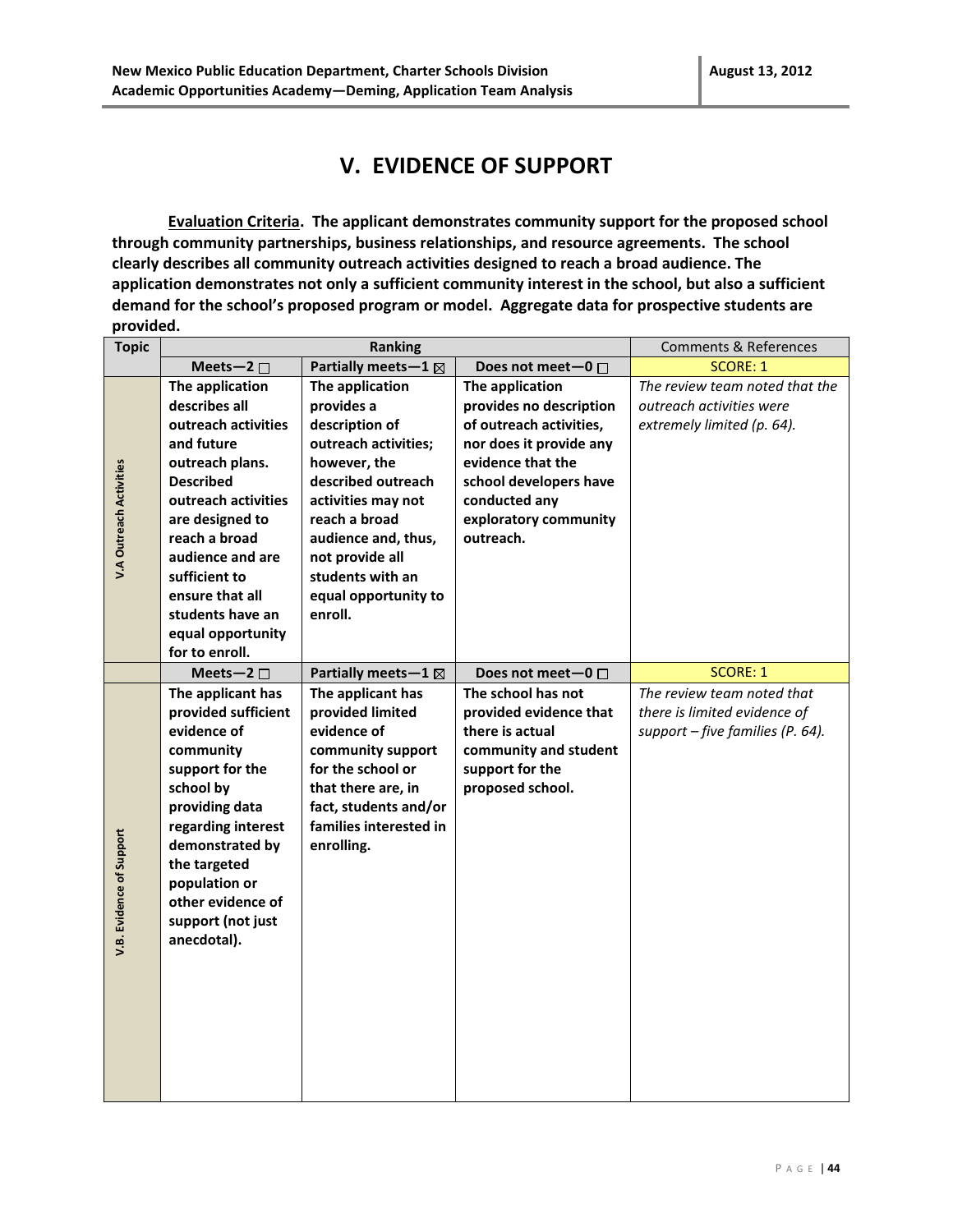### **V. EVIDENCE OF SUPPORT**

**Evaluation Criteria. The applicant demonstrates community support for the proposed school through community partnerships, business relationships, and resource agreements. The school clearly describes all community outreach activities designed to reach a broad audience. The application demonstrates not only a sufficient community interest in the school, but also a sufficient demand for the school's proposed program or model. Aggregate data for prospective students are provided.**

| <b>Topic</b>                   | Ranking                                                                                                                                                                                                                                                                  |                                                                                                                                                                                                                                                       | Comments & References                                                                                                                                                                                  |                                                                                                  |
|--------------------------------|--------------------------------------------------------------------------------------------------------------------------------------------------------------------------------------------------------------------------------------------------------------------------|-------------------------------------------------------------------------------------------------------------------------------------------------------------------------------------------------------------------------------------------------------|--------------------------------------------------------------------------------------------------------------------------------------------------------------------------------------------------------|--------------------------------------------------------------------------------------------------|
|                                | Meets-2 $\square$                                                                                                                                                                                                                                                        | Partially meets-1 $\boxtimes$                                                                                                                                                                                                                         | Does not meet-0 □                                                                                                                                                                                      | <b>SCORE: 1</b>                                                                                  |
| <b>V.A Outreach Activities</b> | The application<br>describes all<br>outreach activities<br>and future<br>outreach plans.<br><b>Described</b><br>outreach activities<br>are designed to<br>reach a broad<br>audience and are<br>sufficient to<br>ensure that all<br>students have an<br>equal opportunity | The application<br>provides a<br>description of<br>outreach activities;<br>however, the<br>described outreach<br>activities may not<br>reach a broad<br>audience and, thus,<br>not provide all<br>students with an<br>equal opportunity to<br>enroll. | The application<br>provides no description<br>of outreach activities,<br>nor does it provide any<br>evidence that the<br>school developers have<br>conducted any<br>exploratory community<br>outreach. | The review team noted that the<br>outreach activities were<br>extremely limited (p. 64).         |
|                                | for to enroll.<br>Meets-2 $\square$                                                                                                                                                                                                                                      | Partially meets-1 $\boxtimes$                                                                                                                                                                                                                         | Does not meet-0 □                                                                                                                                                                                      | <b>SCORE: 1</b>                                                                                  |
| V.B. Evidence of Support       | The applicant has<br>provided sufficient<br>evidence of<br>community<br>support for the<br>school by<br>providing data<br>regarding interest<br>demonstrated by<br>the targeted<br>population or<br>other evidence of<br>support (not just<br>anecdotal).                | The applicant has<br>provided limited<br>evidence of<br>community support<br>for the school or<br>that there are, in<br>fact, students and/or<br>families interested in<br>enrolling.                                                                 | The school has not<br>provided evidence that<br>there is actual<br>community and student<br>support for the<br>proposed school.                                                                        | The review team noted that<br>there is limited evidence of<br>support $-$ five families (P. 64). |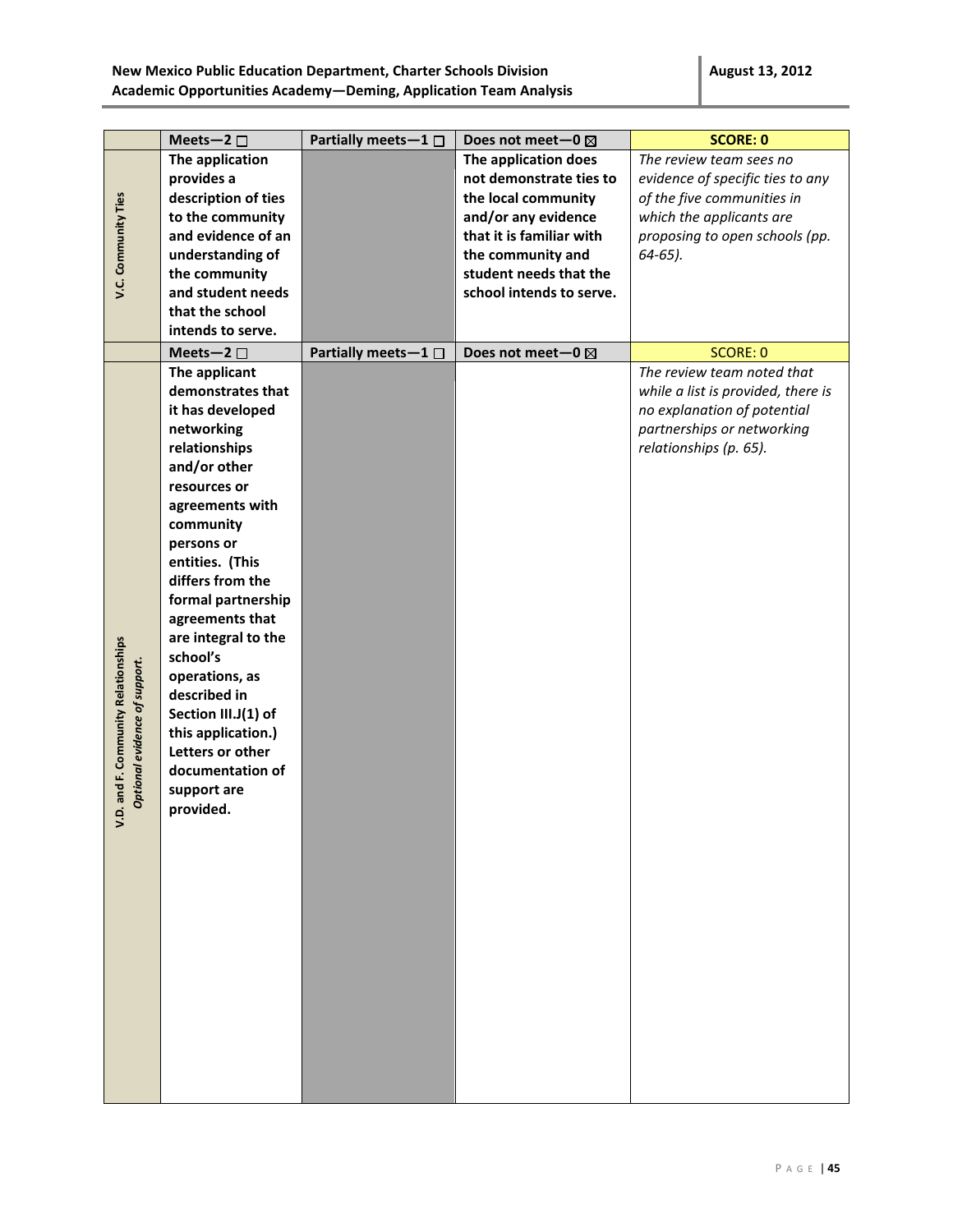|                                                                    | Meets-2 $\square$   | Partially meets-1 $\square$ | Does not meet-0 ⊠        | <b>SCORE: 0</b>                    |
|--------------------------------------------------------------------|---------------------|-----------------------------|--------------------------|------------------------------------|
|                                                                    | The application     |                             | The application does     | The review team sees no            |
|                                                                    | provides a          |                             | not demonstrate ties to  | evidence of specific ties to any   |
|                                                                    | description of ties |                             | the local community      | of the five communities in         |
| V.C. Community Ties                                                | to the community    |                             | and/or any evidence      | which the applicants are           |
|                                                                    | and evidence of an  |                             | that it is familiar with | proposing to open schools (pp.     |
|                                                                    | understanding of    |                             | the community and        | $64-65$ ).                         |
|                                                                    | the community       |                             | student needs that the   |                                    |
|                                                                    | and student needs   |                             | school intends to serve. |                                    |
|                                                                    | that the school     |                             |                          |                                    |
|                                                                    | intends to serve.   |                             |                          |                                    |
|                                                                    | Meets-2 $\square$   | Partially meets-1 □         | Does not meet-0 ⊠        | <b>SCORE: 0</b>                    |
|                                                                    | The applicant       |                             |                          | The review team noted that         |
|                                                                    | demonstrates that   |                             |                          | while a list is provided, there is |
|                                                                    | it has developed    |                             |                          | no explanation of potential        |
|                                                                    | networking          |                             |                          | partnerships or networking         |
|                                                                    | relationships       |                             |                          | relationships (p. 65).             |
|                                                                    | and/or other        |                             |                          |                                    |
|                                                                    | resources or        |                             |                          |                                    |
|                                                                    | agreements with     |                             |                          |                                    |
|                                                                    |                     |                             |                          |                                    |
|                                                                    | community           |                             |                          |                                    |
|                                                                    | persons or          |                             |                          |                                    |
|                                                                    | entities. (This     |                             |                          |                                    |
|                                                                    | differs from the    |                             |                          |                                    |
|                                                                    | formal partnership  |                             |                          |                                    |
|                                                                    | agreements that     |                             |                          |                                    |
|                                                                    | are integral to the |                             |                          |                                    |
|                                                                    | school's            |                             |                          |                                    |
|                                                                    | operations, as      |                             |                          |                                    |
|                                                                    | described in        |                             |                          |                                    |
|                                                                    | Section III.J(1) of |                             |                          |                                    |
|                                                                    | this application.)  |                             |                          |                                    |
|                                                                    | Letters or other    |                             |                          |                                    |
|                                                                    | documentation of    |                             |                          |                                    |
| D. and F. Community Relationships<br>Optional evidence of support. | support are         |                             |                          |                                    |
|                                                                    | provided.           |                             |                          |                                    |
|                                                                    |                     |                             |                          |                                    |
|                                                                    |                     |                             |                          |                                    |
|                                                                    |                     |                             |                          |                                    |
|                                                                    |                     |                             |                          |                                    |
|                                                                    |                     |                             |                          |                                    |
|                                                                    |                     |                             |                          |                                    |
|                                                                    |                     |                             |                          |                                    |
|                                                                    |                     |                             |                          |                                    |
|                                                                    |                     |                             |                          |                                    |
|                                                                    |                     |                             |                          |                                    |
|                                                                    |                     |                             |                          |                                    |
|                                                                    |                     |                             |                          |                                    |
|                                                                    |                     |                             |                          |                                    |
|                                                                    |                     |                             |                          |                                    |
|                                                                    |                     |                             |                          |                                    |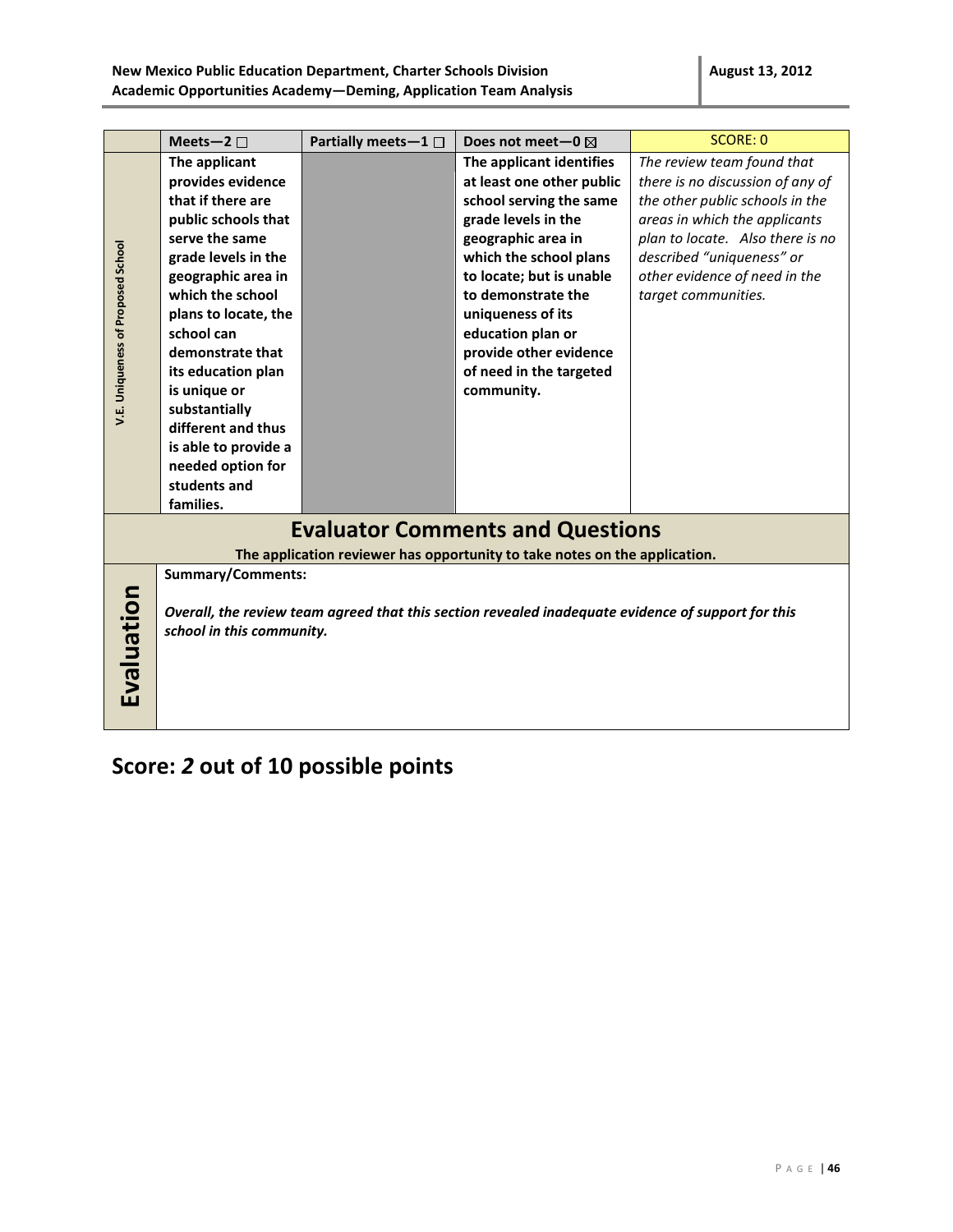|                                         |                          |                             |                                                                                                    | <b>SCORE: 0</b>                  |
|-----------------------------------------|--------------------------|-----------------------------|----------------------------------------------------------------------------------------------------|----------------------------------|
|                                         | Meets-2 $\square$        | Partially meets-1 $\square$ | Does not meet-0 $\boxtimes$                                                                        |                                  |
|                                         | The applicant            |                             | The applicant identifies                                                                           | The review team found that       |
|                                         | provides evidence        |                             | at least one other public                                                                          | there is no discussion of any of |
|                                         | that if there are        |                             | school serving the same                                                                            | the other public schools in the  |
|                                         | public schools that      |                             | grade levels in the                                                                                | areas in which the applicants    |
|                                         | serve the same           |                             | geographic area in                                                                                 | plan to locate. Also there is no |
| V.E. Uniqueness of Proposed School      | grade levels in the      |                             | which the school plans                                                                             | described "uniqueness" or        |
|                                         | geographic area in       |                             | to locate; but is unable                                                                           | other evidence of need in the    |
|                                         | which the school         |                             | to demonstrate the                                                                                 | target communities.              |
|                                         | plans to locate, the     |                             | uniqueness of its                                                                                  |                                  |
|                                         | school can               |                             | education plan or                                                                                  |                                  |
|                                         | demonstrate that         |                             | provide other evidence                                                                             |                                  |
|                                         | its education plan       |                             | of need in the targeted                                                                            |                                  |
|                                         | is unique or             |                             | community.                                                                                         |                                  |
|                                         | substantially            |                             |                                                                                                    |                                  |
|                                         | different and thus       |                             |                                                                                                    |                                  |
|                                         | is able to provide a     |                             |                                                                                                    |                                  |
|                                         | needed option for        |                             |                                                                                                    |                                  |
|                                         | students and             |                             |                                                                                                    |                                  |
|                                         | families.                |                             |                                                                                                    |                                  |
|                                         |                          |                             | <b>Evaluator Comments and Questions</b>                                                            |                                  |
|                                         |                          |                             |                                                                                                    |                                  |
|                                         |                          |                             | The application reviewer has opportunity to take notes on the application.                         |                                  |
|                                         | <b>Summary/Comments:</b> |                             |                                                                                                    |                                  |
|                                         |                          |                             |                                                                                                    |                                  |
|                                         |                          |                             | Overall, the review team agreed that this section revealed inadequate evidence of support for this |                                  |
| Evaluation<br>school in this community. |                          |                             |                                                                                                    |                                  |
|                                         |                          |                             |                                                                                                    |                                  |
|                                         |                          |                             |                                                                                                    |                                  |
|                                         |                          |                             |                                                                                                    |                                  |
|                                         |                          |                             |                                                                                                    |                                  |
|                                         |                          |                             |                                                                                                    |                                  |

# **Score:** *2* **out of 10 possible points**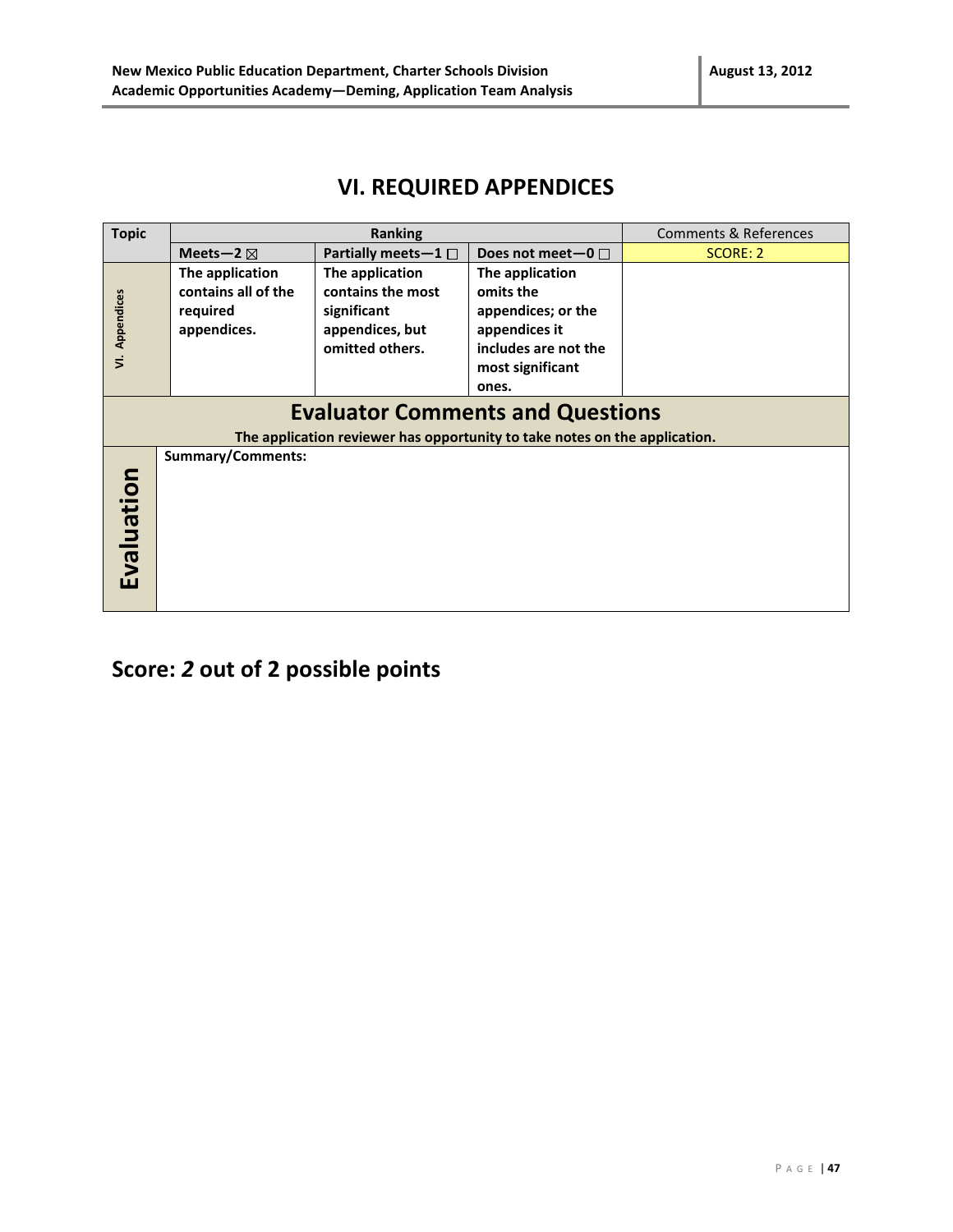### **VI. REQUIRED APPENDICES**

| <b>Topic</b>   |                                         | <b>Ranking</b>                                                             |                        | <b>Comments &amp; References</b> |  |
|----------------|-----------------------------------------|----------------------------------------------------------------------------|------------------------|----------------------------------|--|
|                | Meets-2 $\boxtimes$                     | Partially meets-1 $\square$                                                | Does not meet-0 $\Box$ | SCORE: 2                         |  |
|                | The application                         | The application                                                            | The application        |                                  |  |
|                | contains all of the                     | contains the most                                                          | omits the              |                                  |  |
| VI. Appendices | required                                | significant                                                                | appendices; or the     |                                  |  |
|                | appendices.                             | appendices, but                                                            | appendices it          |                                  |  |
|                |                                         | omitted others.                                                            | includes are not the   |                                  |  |
|                |                                         |                                                                            | most significant       |                                  |  |
|                |                                         |                                                                            | ones.                  |                                  |  |
|                | <b>Evaluator Comments and Questions</b> |                                                                            |                        |                                  |  |
|                |                                         | The application reviewer has opportunity to take notes on the application. |                        |                                  |  |
|                | <b>Summary/Comments:</b>                |                                                                            |                        |                                  |  |
|                |                                         |                                                                            |                        |                                  |  |
|                |                                         |                                                                            |                        |                                  |  |
| Evaluation     |                                         |                                                                            |                        |                                  |  |
|                |                                         |                                                                            |                        |                                  |  |
|                |                                         |                                                                            |                        |                                  |  |
|                |                                         |                                                                            |                        |                                  |  |
|                |                                         |                                                                            |                        |                                  |  |
|                |                                         |                                                                            |                        |                                  |  |

**Score:** *2* **out of 2 possible points**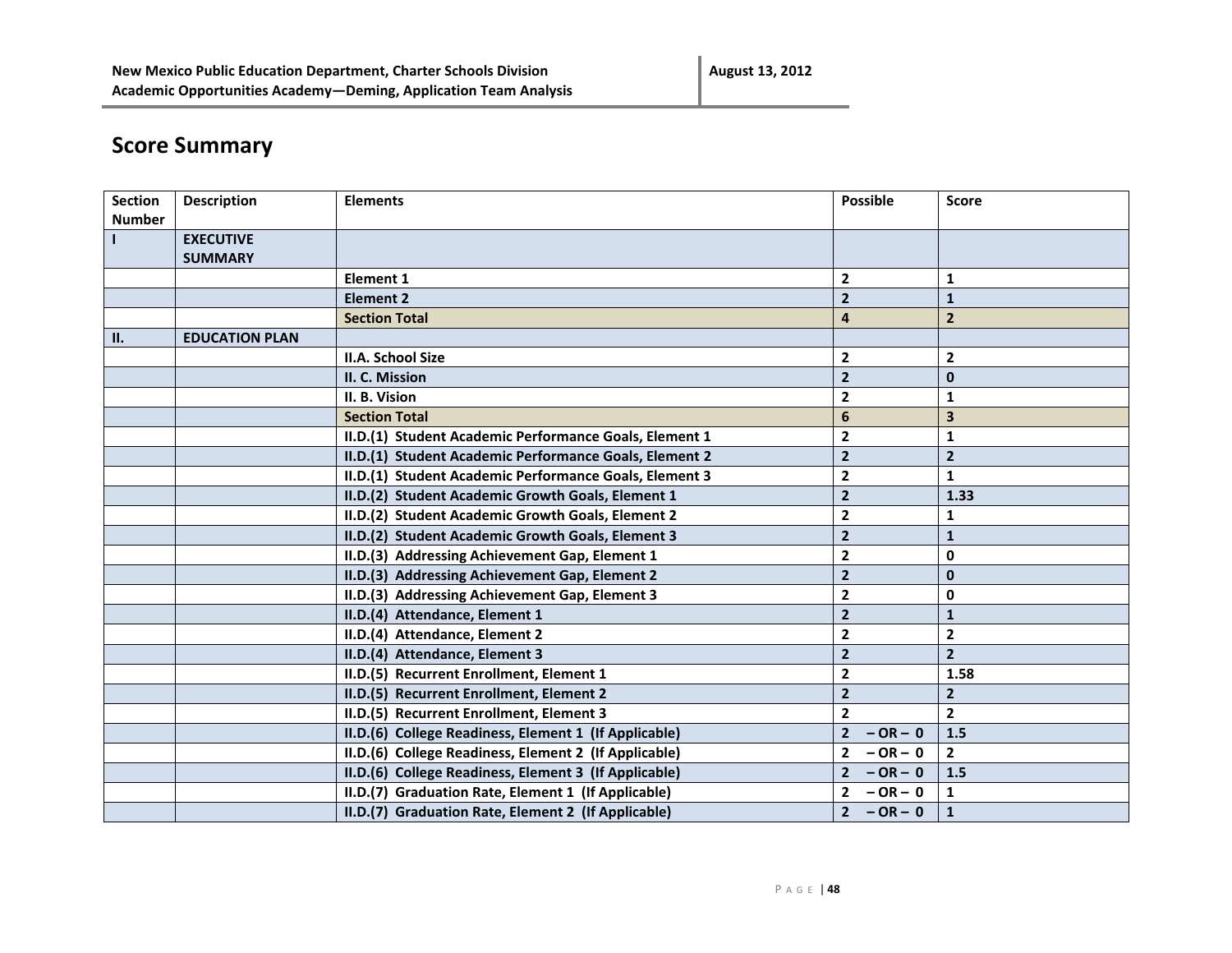# **Score Summary**

| <b>Section</b> | <b>Description</b>    | <b>Elements</b>                                        | <b>Possible</b>             | Score          |
|----------------|-----------------------|--------------------------------------------------------|-----------------------------|----------------|
| <b>Number</b>  |                       |                                                        |                             |                |
|                | <b>EXECUTIVE</b>      |                                                        |                             |                |
|                | <b>SUMMARY</b>        |                                                        |                             |                |
|                |                       | <b>Element 1</b>                                       | $\overline{2}$              | 1              |
|                |                       | <b>Element 2</b>                                       | $\overline{2}$              | ${\bf 1}$      |
|                |                       | <b>Section Total</b>                                   | $\overline{\mathbf{4}}$     | $\overline{2}$ |
| П.             | <b>EDUCATION PLAN</b> |                                                        |                             |                |
|                |                       | <b>II.A. School Size</b>                               | $\overline{\mathbf{2}}$     | $\mathbf{2}$   |
|                |                       | II. C. Mission                                         | $\overline{\mathbf{2}}$     | $\mathbf 0$    |
|                |                       | II. B. Vision                                          | $\overline{2}$              | 1              |
|                |                       | <b>Section Total</b>                                   | $6\phantom{1}6$             | 3              |
|                |                       | II.D.(1) Student Academic Performance Goals, Element 1 | $\mathbf{2}$                | $\mathbf{1}$   |
|                |                       | II.D.(1) Student Academic Performance Goals, Element 2 | $\overline{2}$              | $\overline{2}$ |
|                |                       | II.D.(1) Student Academic Performance Goals, Element 3 | $\overline{\mathbf{2}}$     | 1              |
|                |                       | II.D.(2) Student Academic Growth Goals, Element 1      | $\overline{\mathbf{2}}$     | 1.33           |
|                |                       | II.D.(2) Student Academic Growth Goals, Element 2      | $\mathbf{2}$                | 1              |
|                |                       | II.D.(2) Student Academic Growth Goals, Element 3      | $\overline{\mathbf{2}}$     | ${\bf 1}$      |
|                |                       | II.D.(3) Addressing Achievement Gap, Element 1         | $\overline{\mathbf{2}}$     | $\mathbf 0$    |
|                |                       | II.D.(3) Addressing Achievement Gap, Element 2         | $\overline{\mathbf{2}}$     | $\mathbf{0}$   |
|                |                       | II.D.(3) Addressing Achievement Gap, Element 3         | $\overline{2}$              | $\mathbf 0$    |
|                |                       | II.D.(4) Attendance, Element 1                         | $\overline{2}$              | $\mathbf{1}$   |
|                |                       | II.D.(4) Attendance, Element 2                         | $\mathbf{2}$                | $\mathbf{2}$   |
|                |                       | II.D.(4) Attendance, Element 3                         | $\overline{2}$              | $\overline{2}$ |
|                |                       | II.D.(5) Recurrent Enrollment, Element 1               | $\mathbf{2}$                | 1.58           |
|                |                       | II.D.(5) Recurrent Enrollment, Element 2               | $\overline{2}$              | $\mathbf{2}$   |
|                |                       | II.D.(5) Recurrent Enrollment, Element 3               | $\overline{2}$              | $\overline{2}$ |
|                |                       | II.D.(6) College Readiness, Element 1 (If Applicable)  | $\overline{2}$<br>$-OR - 0$ | 1.5            |
|                |                       | II.D.(6) College Readiness, Element 2 (If Applicable)  | $\overline{2}$<br>$-OR - 0$ | $\overline{2}$ |
|                |                       | II.D.(6) College Readiness, Element 3 (If Applicable)  | $\overline{2}$<br>$-OR - 0$ | 1.5            |
|                |                       | II.D.(7) Graduation Rate, Element 1 (If Applicable)    | $\overline{2}$<br>$-OR - 0$ | 1              |
|                |                       | II.D.(7) Graduation Rate, Element 2 (If Applicable)    | 2 <sup>7</sup><br>$-OR - 0$ | $\mathbf{1}$   |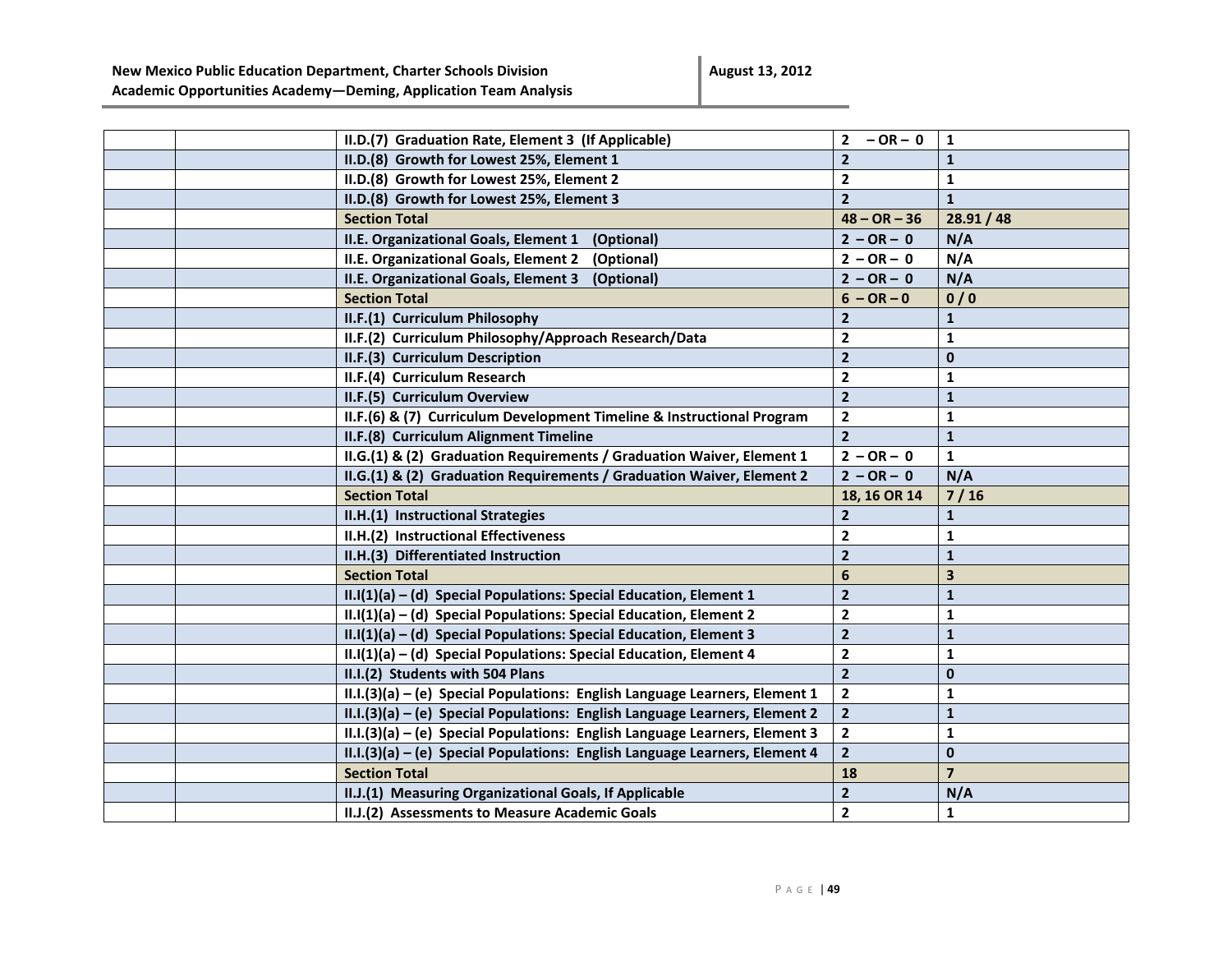**August 13, 2012**

|  | II.D.(7) Graduation Rate, Element 3 (If Applicable)                         | $-OR - 0$<br>$\overline{2}$ | $\mathbf{1}$   |
|--|-----------------------------------------------------------------------------|-----------------------------|----------------|
|  | II.D.(8) Growth for Lowest 25%, Element 1                                   | $\overline{2}$              | $\mathbf{1}$   |
|  | II.D.(8) Growth for Lowest 25%, Element 2                                   | $\mathbf{2}$                | 1              |
|  | II.D.(8) Growth for Lowest 25%, Element 3                                   | $\overline{2}$              | $\mathbf{1}$   |
|  | <b>Section Total</b>                                                        | $48 - OR - 36$              | 28.91 / 48     |
|  | II.E. Organizational Goals, Element 1<br>(Optional)                         | $2 - OR - 0$                | N/A            |
|  | II.E. Organizational Goals, Element 2<br>(Optional)                         | $2 - OR - 0$                | N/A            |
|  | II.E. Organizational Goals, Element 3<br>(Optional)                         | $2 - OR - 0$                | N/A            |
|  | <b>Section Total</b>                                                        | $6 - OR - 0$                | 0/0            |
|  | II.F.(1) Curriculum Philosophy                                              | $\mathbf{2}$                | $\mathbf{1}$   |
|  | II.F.(2) Curriculum Philosophy/Approach Research/Data                       | $\mathbf{2}$                | 1              |
|  | II.F.(3) Curriculum Description                                             | $\overline{\mathbf{2}}$     | $\mathbf{0}$   |
|  | II.F.(4) Curriculum Research                                                | $\mathbf{2}$                | 1              |
|  | II.F.(5) Curriculum Overview                                                | $\overline{2}$              | $\mathbf{1}$   |
|  | II.F.(6) & (7) Curriculum Development Timeline & Instructional Program      | $\mathbf{2}$                | $\mathbf{1}$   |
|  | II.F.(8) Curriculum Alignment Timeline                                      | $\overline{2}$              | $\mathbf{1}$   |
|  | II.G.(1) & (2) Graduation Requirements / Graduation Waiver, Element 1       | $2 - OR - 0$                | $\mathbf{1}$   |
|  | II.G.(1) & (2) Graduation Requirements / Graduation Waiver, Element 2       | $2 - OR - 0$                | N/A            |
|  | <b>Section Total</b>                                                        | 18, 16 OR 14                | $7/16$         |
|  | II.H.(1) Instructional Strategies                                           | $\overline{2}$              | $\mathbf{1}$   |
|  | II.H.(2) Instructional Effectiveness                                        | $\overline{2}$              | $\mathbf{1}$   |
|  | II.H.(3) Differentiated Instruction                                         | $\overline{2}$              | $\mathbf{1}$   |
|  | <b>Section Total</b>                                                        | 6                           | 3              |
|  | $II.I(1)(a) - (d)$ Special Populations: Special Education, Element 1        | $\overline{\mathbf{2}}$     | $\mathbf{1}$   |
|  | II.I(1)(a) - (d) Special Populations: Special Education, Element 2          | $\mathbf{2}$                | $\mathbf{1}$   |
|  | II.I(1)(a) - (d) Special Populations: Special Education, Element 3          | $\mathbf{2}$                | $\mathbf{1}$   |
|  | II.I(1)(a) - (d) Special Populations: Special Education, Element 4          | $\overline{2}$              | 1              |
|  | II.I.(2) Students with 504 Plans                                            | $\overline{2}$              | $\mathbf{0}$   |
|  | II.I.(3)(a) - (e) Special Populations: English Language Learners, Element 1 | $\overline{2}$              | $\mathbf{1}$   |
|  | II.I.(3)(a) - (e) Special Populations: English Language Learners, Element 2 | $\mathbf{2}$                | $\mathbf{1}$   |
|  | II.I.(3)(a) - (e) Special Populations: English Language Learners, Element 3 | $\mathbf{2}$                | 1              |
|  | II.I.(3)(a) - (e) Special Populations: English Language Learners, Element 4 | $\overline{2}$              | 0              |
|  | <b>Section Total</b>                                                        | 18                          | $\overline{7}$ |
|  | II.J.(1) Measuring Organizational Goals, If Applicable                      | $\mathbf{2}$                | N/A            |
|  | II.J.(2) Assessments to Measure Academic Goals                              | $\mathbf{2}$                | 1              |
|  |                                                                             |                             |                |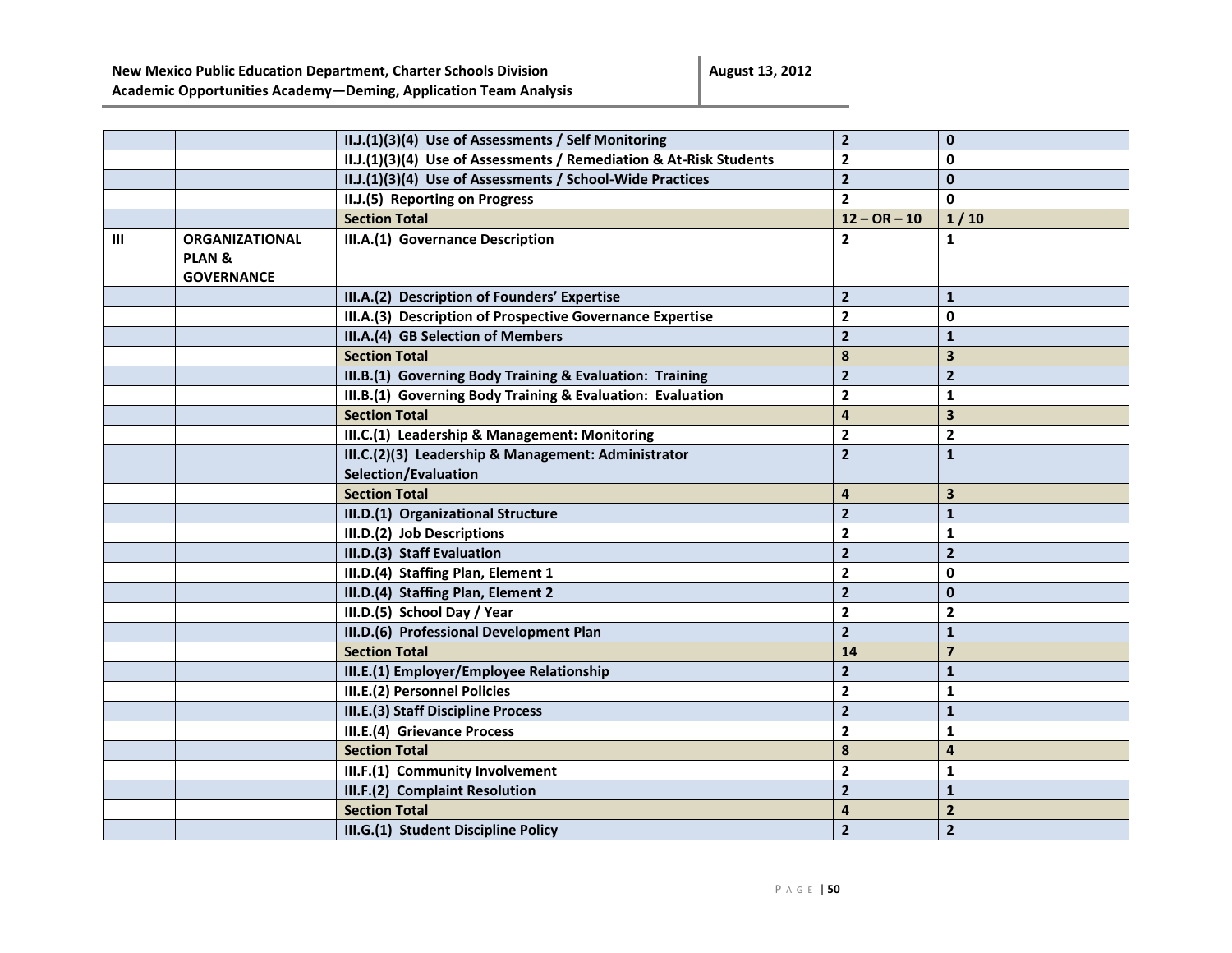|                |                       | II.J.(1)(3)(4) Use of Assessments / Self Monitoring                | $\mathbf{2}$            | $\bf{0}$                |
|----------------|-----------------------|--------------------------------------------------------------------|-------------------------|-------------------------|
|                |                       | II.J.(1)(3)(4) Use of Assessments / Remediation & At-Risk Students | $\mathbf{2}$            | 0                       |
|                |                       | II.J.(1)(3)(4) Use of Assessments / School-Wide Practices          | $\mathbf{2}$            | $\mathbf{0}$            |
|                |                       | II.J.(5) Reporting on Progress                                     | $\mathbf{2}$            | $\mathbf{0}$            |
|                |                       | <b>Section Total</b>                                               | $12 - OR - 10$          | 1/10                    |
| $\mathbf{III}$ | <b>ORGANIZATIONAL</b> | III.A.(1) Governance Description                                   | $\mathbf{2}$            | $\mathbf{1}$            |
|                | <b>PLAN &amp;</b>     |                                                                    |                         |                         |
|                | <b>GOVERNANCE</b>     |                                                                    |                         |                         |
|                |                       | III.A.(2) Description of Founders' Expertise                       | $\overline{2}$          | $\mathbf{1}$            |
|                |                       | III.A.(3) Description of Prospective Governance Expertise          | $\overline{2}$          | 0                       |
|                |                       | III.A.(4) GB Selection of Members                                  | $\overline{2}$          | $\mathbf{1}$            |
|                |                       | <b>Section Total</b>                                               | 8                       | 3                       |
|                |                       | III.B.(1) Governing Body Training & Evaluation: Training           | $\overline{2}$          | $\overline{2}$          |
|                |                       | III.B.(1) Governing Body Training & Evaluation: Evaluation         | $\overline{\mathbf{2}}$ | $\mathbf{1}$            |
|                |                       | <b>Section Total</b>                                               | $\overline{\mathbf{4}}$ | 3                       |
|                |                       | III.C.(1) Leadership & Management: Monitoring                      | $\mathbf{2}$            | $\mathbf{2}$            |
|                |                       | III.C.(2)(3) Leadership & Management: Administrator                | $\overline{\mathbf{2}}$ | $\mathbf{1}$            |
|                |                       | <b>Selection/Evaluation</b>                                        |                         |                         |
|                |                       | <b>Section Total</b>                                               | $\overline{\mathbf{4}}$ | 3                       |
|                |                       | III.D.(1) Organizational Structure                                 | $\overline{2}$          | $\mathbf{1}$            |
|                |                       | III.D.(2) Job Descriptions                                         | $\mathbf{2}$            | $\mathbf{1}$            |
|                |                       | III.D.(3) Staff Evaluation                                         | $\overline{2}$          | $\overline{2}$          |
|                |                       | III.D.(4) Staffing Plan, Element 1                                 | $\mathbf{2}$            | 0                       |
|                |                       | III.D.(4) Staffing Plan, Element 2                                 | $\overline{2}$          | $\mathbf{0}$            |
|                |                       | III.D.(5) School Day / Year                                        | $\mathbf{2}$            | $\mathbf{2}$            |
|                |                       | III.D.(6) Professional Development Plan                            | $\overline{2}$          | $\mathbf{1}$            |
|                |                       | <b>Section Total</b>                                               | 14                      | $\overline{\mathbf{z}}$ |
|                |                       | III.E.(1) Employer/Employee Relationship                           | $\overline{2}$          | $\mathbf{1}$            |
|                |                       | III.E.(2) Personnel Policies                                       | $\mathbf{2}$            | $\mathbf{1}$            |
|                |                       | III.E.(3) Staff Discipline Process                                 | $\overline{\mathbf{2}}$ | $\mathbf{1}$            |
|                |                       | III.E.(4) Grievance Process                                        | $\mathbf{2}$            | $\mathbf{1}$            |
|                |                       | <b>Section Total</b>                                               | 8                       | 4                       |
|                |                       | III.F.(1) Community Involvement                                    | $\overline{2}$          | $\mathbf{1}$            |
|                |                       | III.F.(2) Complaint Resolution                                     | $\overline{2}$          | $\mathbf{1}$            |
|                |                       | <b>Section Total</b>                                               | 4                       | $\overline{2}$          |
|                |                       | III.G.(1) Student Discipline Policy                                | $\overline{2}$          | $\overline{2}$          |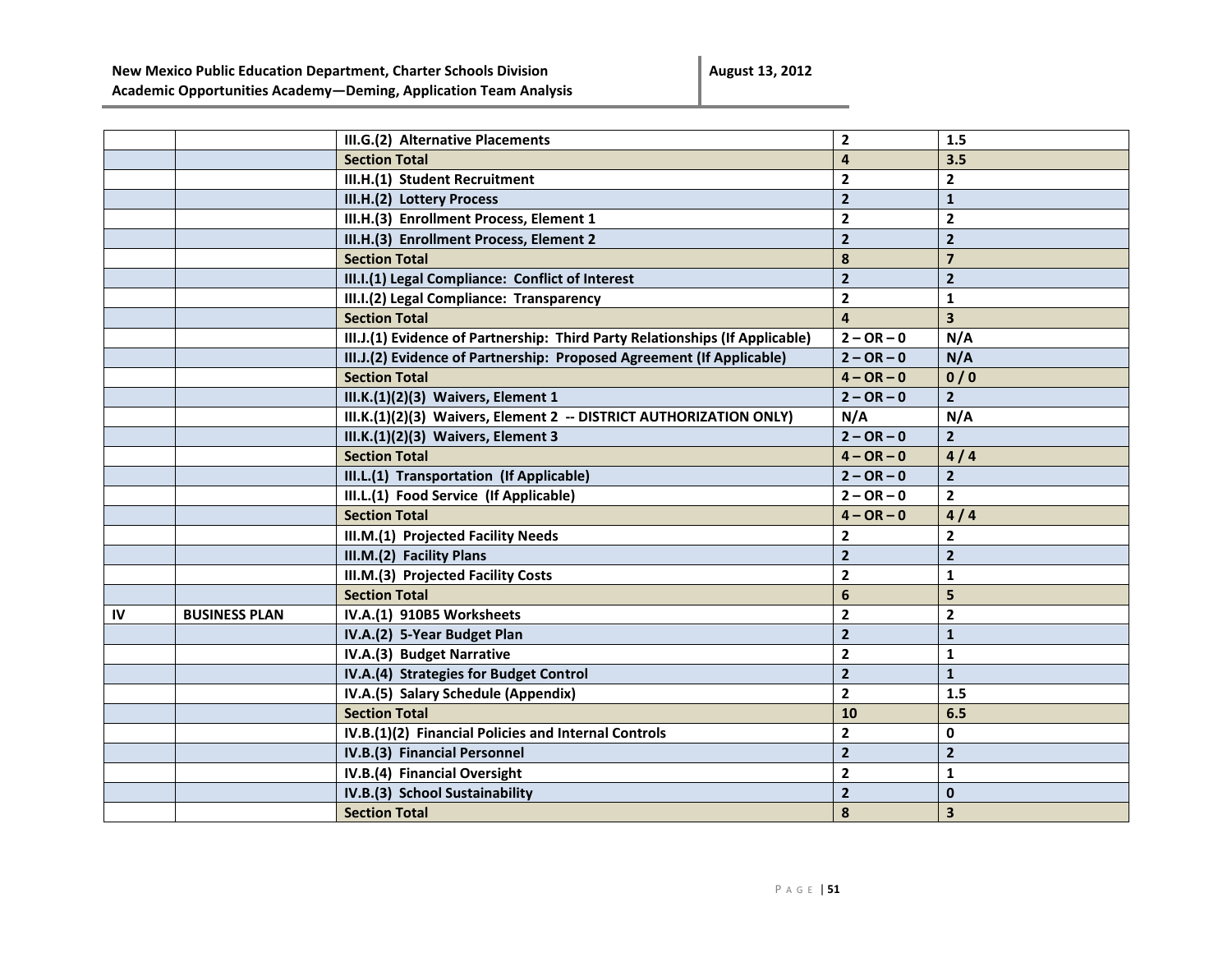**August 13, 2012**

|    |                      | III.G.(2) Alternative Placements                                             | $\mathbf{2}$   | 1.5                     |
|----|----------------------|------------------------------------------------------------------------------|----------------|-------------------------|
|    |                      | <b>Section Total</b>                                                         | 4              | 3.5                     |
|    |                      | III.H.(1) Student Recruitment                                                | $\overline{2}$ | $\overline{2}$          |
|    |                      | III.H.(2) Lottery Process                                                    | $\overline{2}$ | $\mathbf{1}$            |
|    |                      | III.H.(3) Enrollment Process, Element 1                                      | $\overline{2}$ | $\overline{2}$          |
|    |                      | III.H.(3) Enrollment Process, Element 2                                      | $\overline{2}$ | $\overline{2}$          |
|    |                      | <b>Section Total</b>                                                         | 8              | $\overline{\mathbf{z}}$ |
|    |                      | III.I.(1) Legal Compliance: Conflict of Interest                             | $\overline{2}$ | $\overline{2}$          |
|    |                      | III.I.(2) Legal Compliance: Transparency                                     | $\mathbf{2}$   | $\mathbf{1}$            |
|    |                      | <b>Section Total</b>                                                         | $\overline{4}$ | 3 <sup>1</sup>          |
|    |                      | III.J.(1) Evidence of Partnership: Third Party Relationships (If Applicable) | $2 - OR - 0$   | N/A                     |
|    |                      | III.J.(2) Evidence of Partnership: Proposed Agreement (If Applicable)        | $2 - OR - 0$   | N/A                     |
|    |                      | <b>Section Total</b>                                                         | $4 - OR - 0$   | 0/0                     |
|    |                      | III.K.(1)(2)(3) Waivers, Element 1                                           | $2 - OR - 0$   | $2^{\circ}$             |
|    |                      | III.K.(1)(2)(3) Waivers, Element 2 -- DISTRICT AUTHORIZATION ONLY)           | N/A            | N/A                     |
|    |                      | III.K.(1)(2)(3) Waivers, Element 3                                           | $2 - OR - 0$   | $\mathbf{2}$            |
|    |                      | <b>Section Total</b>                                                         | $4 - OR - 0$   | 4/4                     |
|    |                      | III.L.(1) Transportation (If Applicable)                                     | $2 - OR - 0$   | $\overline{2}$          |
|    |                      | III.L.(1) Food Service (If Applicable)                                       | $2 - OR - 0$   | $\overline{2}$          |
|    |                      | <b>Section Total</b>                                                         | $4 - OR - 0$   | 4/4                     |
|    |                      | III.M.(1) Projected Facility Needs                                           | 2              | $\mathbf{2}$            |
|    |                      | III.M.(2) Facility Plans                                                     | $\overline{2}$ | $\overline{2}$          |
|    |                      | III.M.(3) Projected Facility Costs                                           | $\mathbf{2}$   | $\mathbf{1}$            |
|    |                      | <b>Section Total</b>                                                         | 6              | 5                       |
| IV | <b>BUSINESS PLAN</b> | IV.A.(1) 910B5 Worksheets                                                    | $\mathbf{2}$   | $\mathbf{2}$            |
|    |                      | IV.A.(2) 5-Year Budget Plan                                                  | $\overline{2}$ | $\mathbf{1}$            |
|    |                      | IV.A.(3) Budget Narrative                                                    | $\mathbf{2}$   | $\mathbf{1}$            |
|    |                      | IV.A.(4) Strategies for Budget Control                                       | $\mathbf{2}$   | $\mathbf{1}$            |
|    |                      | IV.A.(5) Salary Schedule (Appendix)                                          | $\overline{2}$ | 1.5                     |
|    |                      | <b>Section Total</b>                                                         | 10             | 6.5                     |
|    |                      | IV.B.(1)(2) Financial Policies and Internal Controls                         | $\mathbf{2}$   | 0                       |
|    |                      | IV.B.(3) Financial Personnel                                                 | $\overline{2}$ | $\mathbf{2}$            |
|    |                      | IV.B.(4) Financial Oversight                                                 | $\overline{2}$ | $\mathbf{1}$            |
|    |                      | IV.B.(3) School Sustainability                                               | $\overline{2}$ | $\bf{0}$                |
|    |                      | <b>Section Total</b>                                                         | 8              | 3                       |